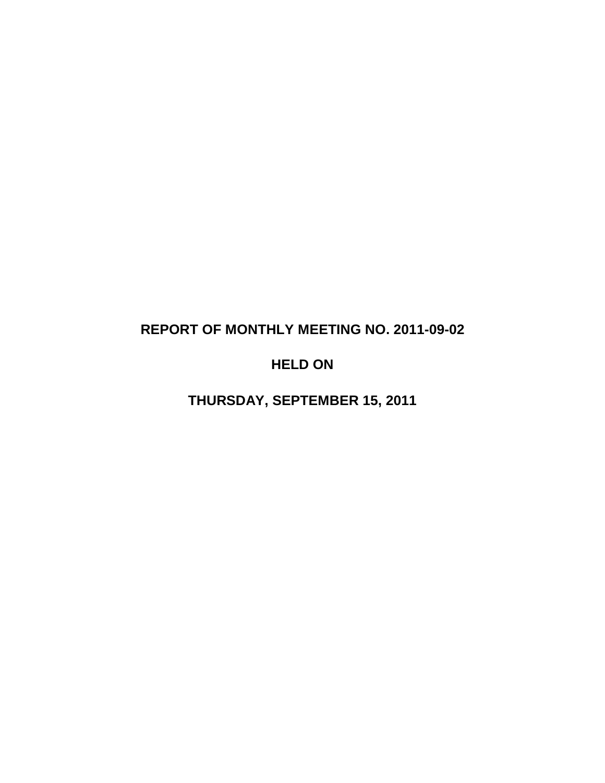# **REPORT OF MONTHLY MEETING NO. 2011-09-02**

# **HELD ON**

**THURSDAY, SEPTEMBER 15, 2011**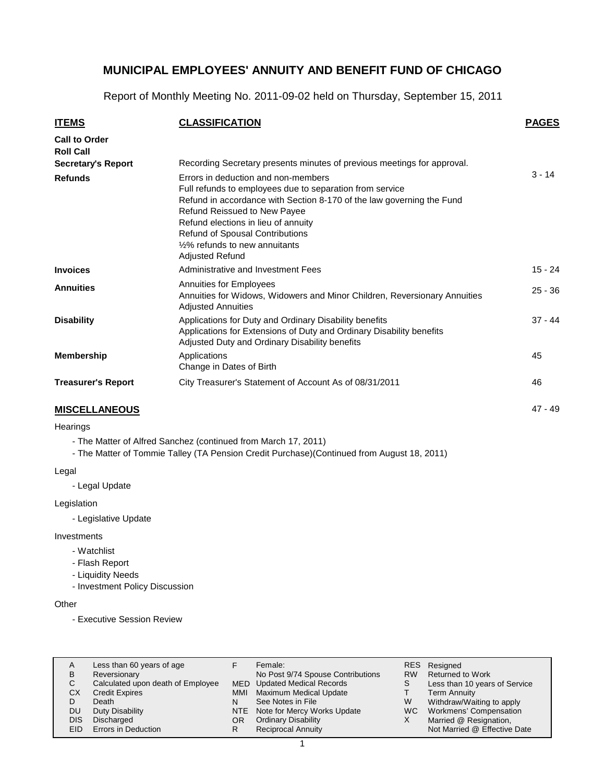Report of Monthly Meeting No. 2011-09-02 held on Thursday, September 15, 2011

| <b>ITEMS</b>                                                          | <b>CLASSIFICATION</b>                                                                                                                                                                                                                                                                                                                   | <b>PAGES</b> |
|-----------------------------------------------------------------------|-----------------------------------------------------------------------------------------------------------------------------------------------------------------------------------------------------------------------------------------------------------------------------------------------------------------------------------------|--------------|
| <b>Call to Order</b><br><b>Roll Call</b><br><b>Secretary's Report</b> | Recording Secretary presents minutes of previous meetings for approval.                                                                                                                                                                                                                                                                 |              |
| <b>Refunds</b>                                                        | Errors in deduction and non-members<br>Full refunds to employees due to separation from service<br>Refund in accordance with Section 8-170 of the law governing the Fund<br>Refund Reissued to New Payee<br>Refund elections in lieu of annuity<br>Refund of Spousal Contributions<br>1/2% refunds to new annuitants<br>Adjusted Refund | $3 - 14$     |
| <b>Invoices</b>                                                       | Administrative and Investment Fees                                                                                                                                                                                                                                                                                                      | $15 - 24$    |
| <b>Annuities</b>                                                      | Annuities for Employees<br>Annuities for Widows, Widowers and Minor Children, Reversionary Annuities<br><b>Adjusted Annuities</b>                                                                                                                                                                                                       | $25 - 36$    |
| <b>Disability</b>                                                     | Applications for Duty and Ordinary Disability benefits<br>Applications for Extensions of Duty and Ordinary Disability benefits<br>Adjusted Duty and Ordinary Disability benefits                                                                                                                                                        | $37 - 44$    |
| <b>Membership</b>                                                     | Applications<br>Change in Dates of Birth                                                                                                                                                                                                                                                                                                | 45           |
| <b>Treasurer's Report</b>                                             | City Treasurer's Statement of Account As of 08/31/2011                                                                                                                                                                                                                                                                                  | 46           |
| <b>MISCELLANEOUS</b>                                                  |                                                                                                                                                                                                                                                                                                                                         | $47 - 49$    |

### **Hearings**

- The Matter of Alfred Sanchez (continued from March 17, 2011)

- The Matter of Tommie Talley (TA Pension Credit Purchase)(Continued from August 18, 2011)

Legal

- Legal Update

Legislation

- Legislative Update

Investments

- Watchlist
- Flash Report
- Liquidity Needs

- Investment Policy Discussion

#### **Other**

- Executive Session Review

| В<br>U<br>СX<br>DU<br><b>DIS</b><br>EID. | Less than 60 years of age<br>Reversionary<br>Calculated upon death of Employee<br><b>Credit Expires</b><br>Death<br>Duty Disability<br>Discharged<br>Errors in Deduction | MMI<br>N<br>OR<br>R | Female:<br>No Post 9/74 Spouse Contributions<br><b>MED</b> Updated Medical Records<br><b>Maximum Medical Update</b><br>See Notes in File<br>NTE Note for Mercy Works Update<br><b>Ordinary Disability</b><br><b>Reciprocal Annuity</b> | <b>RW</b><br>W<br>WC. | RES Resigned<br><b>Returned to Work</b><br>Less than 10 years of Service<br><b>Term Annuity</b><br>Withdraw/Waiting to apply<br>Workmens' Compensation<br>Married @ Resignation,<br>Not Married @ Effective Date |
|------------------------------------------|--------------------------------------------------------------------------------------------------------------------------------------------------------------------------|---------------------|----------------------------------------------------------------------------------------------------------------------------------------------------------------------------------------------------------------------------------------|-----------------------|------------------------------------------------------------------------------------------------------------------------------------------------------------------------------------------------------------------|
|------------------------------------------|--------------------------------------------------------------------------------------------------------------------------------------------------------------------------|---------------------|----------------------------------------------------------------------------------------------------------------------------------------------------------------------------------------------------------------------------------------|-----------------------|------------------------------------------------------------------------------------------------------------------------------------------------------------------------------------------------------------------|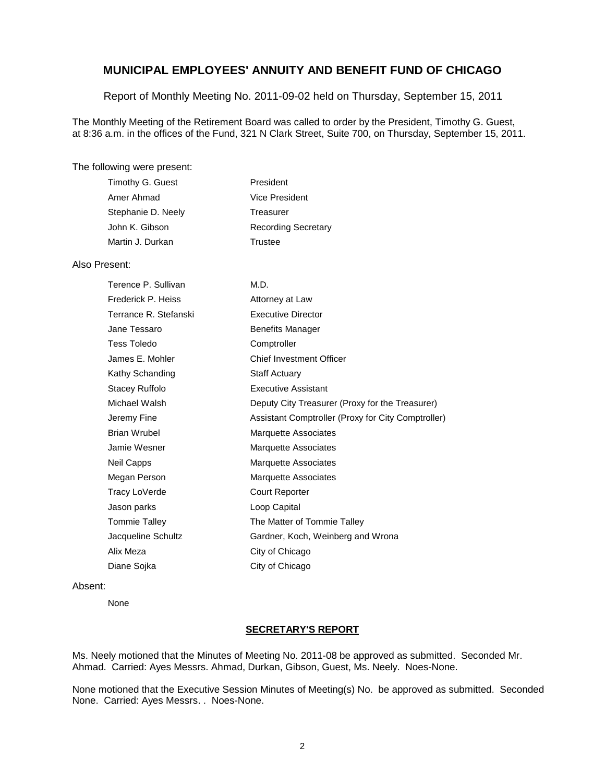Report of Monthly Meeting No. 2011-09-02 held on Thursday, September 15, 2011

The Monthly Meeting of the Retirement Board was called to order by the President, Timothy G. Guest, at 8:36 a.m. in the offices of the Fund, 321 N Clark Street, Suite 700, on Thursday, September 15, 2011.

#### The following were present:

| Timothy G. Guest   | President                  |
|--------------------|----------------------------|
| Amer Ahmad         | Vice President             |
| Stephanie D. Neely | Treasurer                  |
| John K. Gibson     | <b>Recording Secretary</b> |
| Martin J. Durkan   | Trustee                    |
|                    |                            |

#### Also Present:

| Terence P. Sullivan   | M.D.                                               |
|-----------------------|----------------------------------------------------|
| Frederick P. Heiss    | Attorney at Law                                    |
| Terrance R. Stefanski | <b>Executive Director</b>                          |
| Jane Tessaro          | <b>Benefits Manager</b>                            |
| Tess Toledo           | Comptroller                                        |
| James E. Mohler       | <b>Chief Investment Officer</b>                    |
| Kathy Schanding       | <b>Staff Actuary</b>                               |
| Stacey Ruffolo        | <b>Executive Assistant</b>                         |
| Michael Walsh         | Deputy City Treasurer (Proxy for the Treasurer)    |
| Jeremy Fine           | Assistant Comptroller (Proxy for City Comptroller) |
| Brian Wrubel          | Marquette Associates                               |
| Jamie Wesner          | Marquette Associates                               |
| Neil Capps            | <b>Marquette Associates</b>                        |
| Megan Person          | <b>Marquette Associates</b>                        |
| Tracy LoVerde         | <b>Court Reporter</b>                              |
| Jason parks           | Loop Capital                                       |
| Tommie Talley         | The Matter of Tommie Talley                        |
| Jacqueline Schultz    | Gardner, Koch, Weinberg and Wrona                  |
| Alix Meza             | City of Chicago                                    |
| Diane Sojka           | City of Chicago                                    |

#### Absent:

None

### **SECRETARY'S REPORT**

Ms. Neely motioned that the Minutes of Meeting No. 2011-08 be approved as submitted. Seconded Mr. Ahmad. Carried: Ayes Messrs. Ahmad, Durkan, Gibson, Guest, Ms. Neely. Noes-None.

None motioned that the Executive Session Minutes of Meeting(s) No. be approved as submitted. Seconded None. Carried: Ayes Messrs. . Noes-None.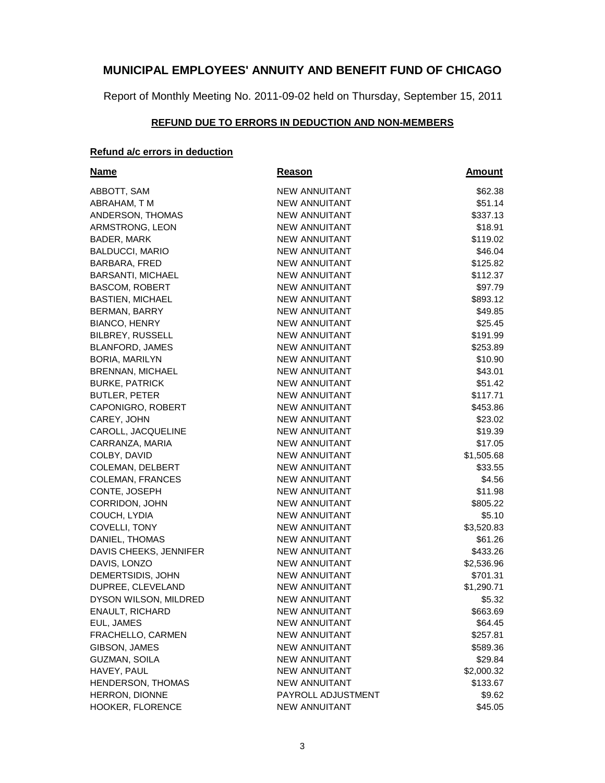Report of Monthly Meeting No. 2011-09-02 held on Thursday, September 15, 2011

### **REFUND DUE TO ERRORS IN DEDUCTION AND NON-MEMBERS**

### **Refund a/c errors in deduction**

| <u>Name</u>              | Reason               | <b>Amount</b> |
|--------------------------|----------------------|---------------|
| ABBOTT, SAM              | <b>NEW ANNUITANT</b> | \$62.38       |
| ABRAHAM, T M             | <b>NEW ANNUITANT</b> | \$51.14       |
| ANDERSON, THOMAS         | NEW ANNUITANT        | \$337.13      |
| ARMSTRONG, LEON          | <b>NEW ANNUITANT</b> | \$18.91       |
| BADER, MARK              | <b>NEW ANNUITANT</b> | \$119.02      |
| <b>BALDUCCI, MARIO</b>   | <b>NEW ANNUITANT</b> | \$46.04       |
| BARBARA, FRED            | <b>NEW ANNUITANT</b> | \$125.82      |
| <b>BARSANTI, MICHAEL</b> | <b>NEW ANNUITANT</b> | \$112.37      |
| <b>BASCOM, ROBERT</b>    | <b>NEW ANNUITANT</b> | \$97.79       |
| <b>BASTIEN, MICHAEL</b>  | <b>NEW ANNUITANT</b> | \$893.12      |
| <b>BERMAN, BARRY</b>     | <b>NEW ANNUITANT</b> | \$49.85       |
| <b>BIANCO, HENRY</b>     | NEW ANNUITANT        | \$25.45       |
| <b>BILBREY, RUSSELL</b>  | NEW ANNUITANT        | \$191.99      |
| <b>BLANFORD, JAMES</b>   | NEW ANNUITANT        | \$253.89      |
| BORIA, MARILYN           | <b>NEW ANNUITANT</b> | \$10.90       |
| BRENNAN, MICHAEL         | <b>NEW ANNUITANT</b> | \$43.01       |
| <b>BURKE, PATRICK</b>    | <b>NEW ANNUITANT</b> | \$51.42       |
| <b>BUTLER, PETER</b>     | <b>NEW ANNUITANT</b> | \$117.71      |
| CAPONIGRO, ROBERT        | <b>NEW ANNUITANT</b> | \$453.86      |
| CAREY, JOHN              | <b>NEW ANNUITANT</b> | \$23.02       |
| CAROLL, JACQUELINE       | <b>NEW ANNUITANT</b> | \$19.39       |
| CARRANZA, MARIA          | <b>NEW ANNUITANT</b> | \$17.05       |
| COLBY, DAVID             | <b>NEW ANNUITANT</b> | \$1,505.68    |
| <b>COLEMAN, DELBERT</b>  | <b>NEW ANNUITANT</b> | \$33.55       |
| <b>COLEMAN, FRANCES</b>  | <b>NEW ANNUITANT</b> | \$4.56        |
| CONTE, JOSEPH            | <b>NEW ANNUITANT</b> | \$11.98       |
| CORRIDON, JOHN           | <b>NEW ANNUITANT</b> | \$805.22      |
| COUCH, LYDIA             | <b>NEW ANNUITANT</b> | \$5.10        |
| COVELLI, TONY            | <b>NEW ANNUITANT</b> | \$3,520.83    |
| DANIEL, THOMAS           | <b>NEW ANNUITANT</b> | \$61.26       |
| DAVIS CHEEKS, JENNIFER   | <b>NEW ANNUITANT</b> | \$433.26      |
| DAVIS, LONZO             | <b>NEW ANNUITANT</b> | \$2,536.96    |
| DEMERTSIDIS, JOHN        | <b>NEW ANNUITANT</b> | \$701.31      |
| DUPREE, CLEVELAND        | <b>NEW ANNUITANT</b> | \$1,290.71    |
| DYSON WILSON, MILDRED    | <b>NEW ANNUITANT</b> | \$5.32        |
| ENAULT, RICHARD          | NEW ANNUITANT        | \$663.69      |
| EUL, JAMES               | <b>NEW ANNUITANT</b> | \$64.45       |
| FRACHELLO, CARMEN        | <b>NEW ANNUITANT</b> | \$257.81      |
| GIBSON, JAMES            | <b>NEW ANNUITANT</b> | \$589.36      |
| <b>GUZMAN, SOILA</b>     | <b>NEW ANNUITANT</b> | \$29.84       |
| HAVEY, PAUL              | <b>NEW ANNUITANT</b> | \$2,000.32    |
| HENDERSON, THOMAS        | <b>NEW ANNUITANT</b> | \$133.67      |
| HERRON, DIONNE           | PAYROLL ADJUSTMENT   | \$9.62        |
| HOOKER, FLORENCE         | <b>NEW ANNUITANT</b> | \$45.05       |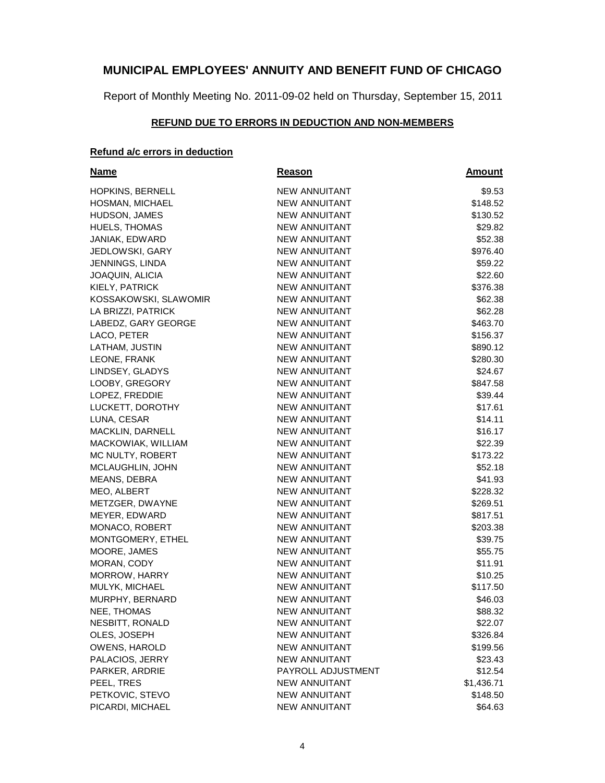Report of Monthly Meeting No. 2011-09-02 held on Thursday, September 15, 2011

### **REFUND DUE TO ERRORS IN DEDUCTION AND NON-MEMBERS**

### **Refund a/c errors in deduction**

| <b>Name</b>            | Reason               | <b>Amount</b> |
|------------------------|----------------------|---------------|
| HOPKINS, BERNELL       | <b>NEW ANNUITANT</b> | \$9.53        |
| HOSMAN, MICHAEL        | <b>NEW ANNUITANT</b> | \$148.52      |
| HUDSON, JAMES          | NEW ANNUITANT        | \$130.52      |
| <b>HUELS, THOMAS</b>   | NEW ANNUITANT        | \$29.82       |
| JANIAK, EDWARD         | <b>NEW ANNUITANT</b> | \$52.38       |
| <b>JEDLOWSKI, GARY</b> | <b>NEW ANNUITANT</b> | \$976.40      |
| JENNINGS, LINDA        | NEW ANNUITANT        | \$59.22       |
| JOAQUIN, ALICIA        | <b>NEW ANNUITANT</b> | \$22.60       |
| KIELY, PATRICK         | <b>NEW ANNUITANT</b> | \$376.38      |
| KOSSAKOWSKI, SLAWOMIR  | <b>NEW ANNUITANT</b> | \$62.38       |
| LA BRIZZI, PATRICK     | <b>NEW ANNUITANT</b> | \$62.28       |
| LABEDZ, GARY GEORGE    | NEW ANNUITANT        | \$463.70      |
| LACO, PETER            | NEW ANNUITANT        | \$156.37      |
| LATHAM, JUSTIN         | NEW ANNUITANT        | \$890.12      |
| LEONE, FRANK           | <b>NEW ANNUITANT</b> | \$280.30      |
| LINDSEY, GLADYS        | <b>NEW ANNUITANT</b> | \$24.67       |
| LOOBY, GREGORY         | <b>NEW ANNUITANT</b> | \$847.58      |
| LOPEZ, FREDDIE         | <b>NEW ANNUITANT</b> | \$39.44       |
| LUCKETT, DOROTHY       | <b>NEW ANNUITANT</b> | \$17.61       |
| LUNA, CESAR            | <b>NEW ANNUITANT</b> | \$14.11       |
| MACKLIN, DARNELL       | <b>NEW ANNUITANT</b> | \$16.17       |
| MACKOWIAK, WILLIAM     | <b>NEW ANNUITANT</b> | \$22.39       |
| MC NULTY, ROBERT       | <b>NEW ANNUITANT</b> | \$173.22      |
| MCLAUGHLIN, JOHN       | <b>NEW ANNUITANT</b> | \$52.18       |
| MEANS, DEBRA           | <b>NEW ANNUITANT</b> | \$41.93       |
| MEO, ALBERT            | <b>NEW ANNUITANT</b> | \$228.32      |
| METZGER, DWAYNE        | <b>NEW ANNUITANT</b> | \$269.51      |
| MEYER, EDWARD          | NEW ANNUITANT        | \$817.51      |
| MONACO, ROBERT         | NEW ANNUITANT        | \$203.38      |
| MONTGOMERY, ETHEL      | <b>NEW ANNUITANT</b> | \$39.75       |
| MOORE, JAMES           | <b>NEW ANNUITANT</b> | \$55.75       |
| MORAN, CODY            | <b>NEW ANNUITANT</b> | \$11.91       |
| MORROW, HARRY          | <b>NEW ANNUITANT</b> | \$10.25       |
| MULYK, MICHAEL         | <b>NEW ANNUITANT</b> | \$117.50      |
| MURPHY, BERNARD        | <b>NEW ANNUITANT</b> | \$46.03       |
| NEE, THOMAS            | NEW ANNUITANT        | \$88.32       |
| NESBITT, RONALD        | <b>NEW ANNUITANT</b> | \$22.07       |
| OLES, JOSEPH           | <b>NEW ANNUITANT</b> | \$326.84      |
| OWENS, HAROLD          | <b>NEW ANNUITANT</b> | \$199.56      |
| PALACIOS, JERRY        | <b>NEW ANNUITANT</b> | \$23.43       |
| PARKER, ARDRIE         | PAYROLL ADJUSTMENT   | \$12.54       |
| PEEL, TRES             | <b>NEW ANNUITANT</b> | \$1,436.71    |
| PETKOVIC, STEVO        | <b>NEW ANNUITANT</b> | \$148.50      |
| PICARDI, MICHAEL       | <b>NEW ANNUITANT</b> | \$64.63       |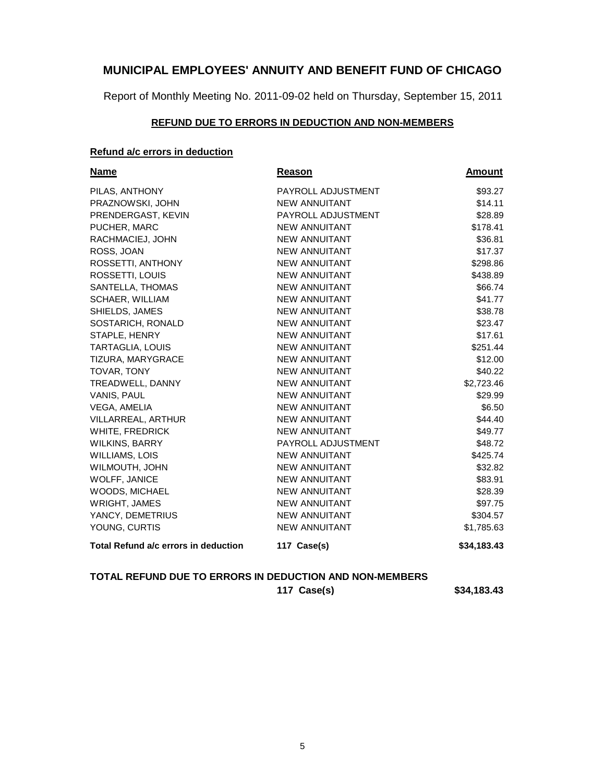Report of Monthly Meeting No. 2011-09-02 held on Thursday, September 15, 2011

#### **REFUND DUE TO ERRORS IN DEDUCTION AND NON-MEMBERS**

### **Refund a/c errors in deduction**

|                      | <b>Amount</b> |
|----------------------|---------------|
| PAYROLL ADJUSTMENT   | \$93.27       |
| <b>NEW ANNUITANT</b> | \$14.11       |
| PAYROLL ADJUSTMENT   | \$28.89       |
| <b>NEW ANNUITANT</b> | \$178.41      |
| <b>NEW ANNUITANT</b> | \$36.81       |
| <b>NEW ANNUITANT</b> | \$17.37       |
| <b>NEW ANNUITANT</b> | \$298.86      |
| <b>NEW ANNUITANT</b> | \$438.89      |
| <b>NEW ANNUITANT</b> | \$66.74       |
| <b>NEW ANNUITANT</b> | \$41.77       |
| <b>NEW ANNUITANT</b> | \$38.78       |
| <b>NEW ANNUITANT</b> | \$23.47       |
| <b>NEW ANNUITANT</b> | \$17.61       |
| <b>NEW ANNUITANT</b> | \$251.44      |
| <b>NEW ANNUITANT</b> | \$12.00       |
| <b>NEW ANNUITANT</b> | \$40.22       |
| <b>NEW ANNUITANT</b> | \$2,723.46    |
| NEW ANNUITANT        | \$29.99       |
| <b>NEW ANNUITANT</b> | \$6.50        |
| <b>NEW ANNUITANT</b> | \$44.40       |
| <b>NEW ANNUITANT</b> | \$49.77       |
| PAYROLL ADJUSTMENT   | \$48.72       |
| <b>NEW ANNUITANT</b> | \$425.74      |
| <b>NEW ANNUITANT</b> | \$32.82       |
| <b>NEW ANNUITANT</b> | \$83.91       |
| <b>NEW ANNUITANT</b> | \$28.39       |
| <b>NEW ANNUITANT</b> | \$97.75       |
| <b>NEW ANNUITANT</b> | \$304.57      |
| <b>NEW ANNUITANT</b> | \$1,785.63    |
| 117 Case(s)          | \$34,183.43   |
|                      | <b>Reason</b> |

### **TOTAL REFUND DUE TO ERRORS IN DEDUCTION AND NON-MEMBERS**

**117 Case(s) \$34,183.43**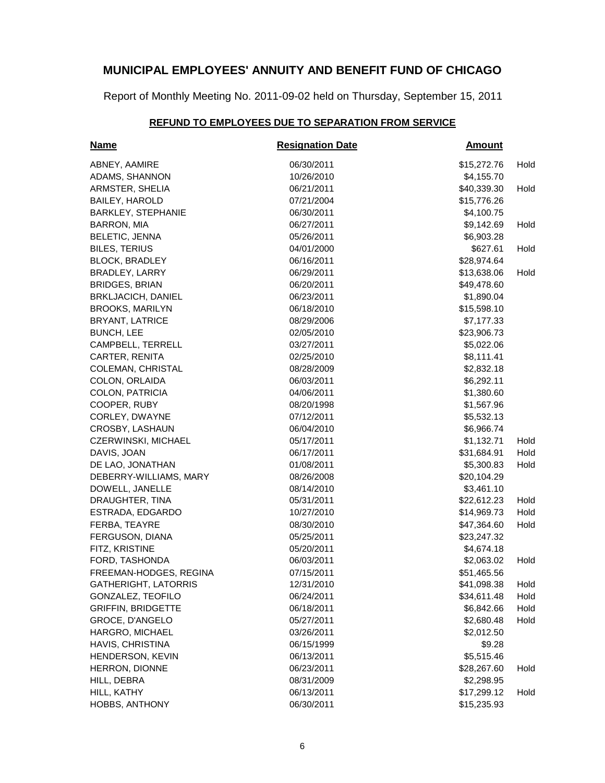Report of Monthly Meeting No. 2011-09-02 held on Thursday, September 15, 2011

### **REFUND TO EMPLOYEES DUE TO SEPARATION FROM SERVICE**

| Name                        | <b>Resignation Date</b> | <b>Amount</b> |      |
|-----------------------------|-------------------------|---------------|------|
| ABNEY, AAMIRE               | 06/30/2011              | \$15,272.76   | Hold |
| ADAMS, SHANNON              | 10/26/2010              | \$4,155.70    |      |
| ARMSTER, SHELIA             | 06/21/2011              | \$40,339.30   | Hold |
| <b>BAILEY, HAROLD</b>       | 07/21/2004              | \$15,776.26   |      |
| <b>BARKLEY, STEPHANIE</b>   | 06/30/2011              | \$4,100.75    |      |
| BARRON, MIA                 | 06/27/2011              | \$9,142.69    | Hold |
| <b>BELETIC, JENNA</b>       | 05/26/2011              | \$6,903.28    |      |
| <b>BILES, TERIUS</b>        | 04/01/2000              | \$627.61      | Hold |
| <b>BLOCK, BRADLEY</b>       | 06/16/2011              | \$28,974.64   |      |
| <b>BRADLEY, LARRY</b>       | 06/29/2011              | \$13,638.06   | Hold |
| <b>BRIDGES, BRIAN</b>       | 06/20/2011              | \$49,478.60   |      |
| <b>BRKLJACICH, DANIEL</b>   | 06/23/2011              | \$1,890.04    |      |
| <b>BROOKS, MARILYN</b>      | 06/18/2010              | \$15,598.10   |      |
| <b>BRYANT, LATRICE</b>      | 08/29/2006              | \$7,177.33    |      |
| <b>BUNCH, LEE</b>           | 02/05/2010              | \$23,906.73   |      |
| CAMPBELL, TERRELL           | 03/27/2011              | \$5,022.06    |      |
| CARTER, RENITA              | 02/25/2010              | \$8,111.41    |      |
| <b>COLEMAN, CHRISTAL</b>    | 08/28/2009              | \$2,832.18    |      |
| COLON, ORLAIDA              | 06/03/2011              | \$6,292.11    |      |
| COLON, PATRICIA             | 04/06/2011              | \$1,380.60    |      |
| COOPER, RUBY                | 08/20/1998              | \$1,567.96    |      |
| CORLEY, DWAYNE              | 07/12/2011              | \$5,532.13    |      |
| CROSBY, LASHAUN             | 06/04/2010              | \$6,966.74    |      |
| CZERWINSKI, MICHAEL         | 05/17/2011              | \$1,132.71    | Hold |
| DAVIS, JOAN                 | 06/17/2011              | \$31,684.91   | Hold |
| DE LAO, JONATHAN            | 01/08/2011              | \$5,300.83    | Hold |
| DEBERRY-WILLIAMS, MARY      | 08/26/2008              | \$20,104.29   |      |
| DOWELL, JANELLE             | 08/14/2010              | \$3,461.10    |      |
| DRAUGHTER, TINA             | 05/31/2011              | \$22,612.23   | Hold |
| ESTRADA, EDGARDO            | 10/27/2010              | \$14,969.73   | Hold |
| FERBA, TEAYRE               | 08/30/2010              | \$47,364.60   | Hold |
| FERGUSON, DIANA             | 05/25/2011              | \$23,247.32   |      |
| FITZ, KRISTINE              | 05/20/2011              | \$4,674.18    |      |
| FORD, TASHONDA              | 06/03/2011              | \$2,063.02    | Hold |
| FREEMAN-HODGES, REGINA      | 07/15/2011              | \$51,465.56   |      |
| <b>GATHERIGHT, LATORRIS</b> | 12/31/2010              | \$41,098.38   | Hold |
| GONZALEZ, TEOFILO           | 06/24/2011              | \$34,611.48   | Hold |
| <b>GRIFFIN, BRIDGETTE</b>   | 06/18/2011              | \$6,842.66    | Hold |
| GROCE, D'ANGELO             | 05/27/2011              | \$2,680.48    | Hold |
| HARGRO, MICHAEL             | 03/26/2011              | \$2,012.50    |      |
| HAVIS, CHRISTINA            | 06/15/1999              | \$9.28        |      |
| HENDERSON, KEVIN            | 06/13/2011              | \$5,515.46    |      |
| HERRON, DIONNE              | 06/23/2011              | \$28,267.60   | Hold |
| HILL, DEBRA                 | 08/31/2009              | \$2,298.95    |      |
| HILL, KATHY                 | 06/13/2011              | \$17,299.12   | Hold |
| HOBBS, ANTHONY              | 06/30/2011              | \$15,235.93   |      |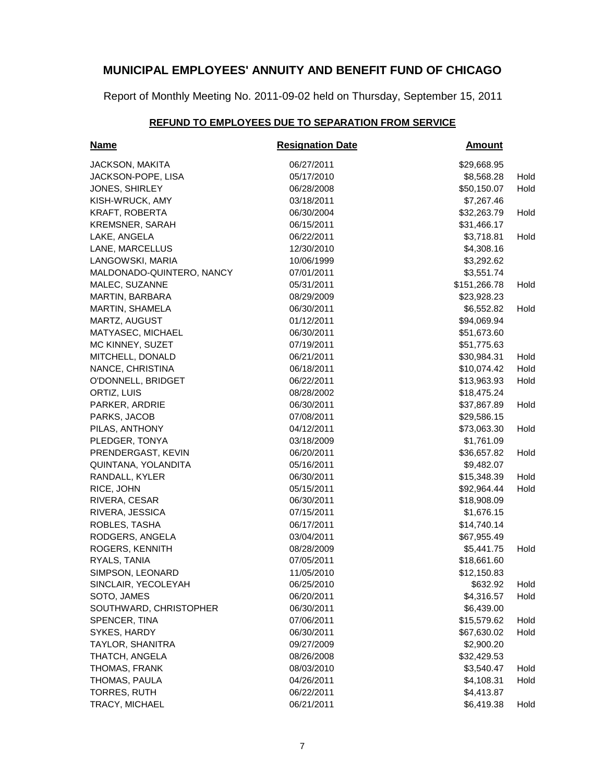Report of Monthly Meeting No. 2011-09-02 held on Thursday, September 15, 2011

# **REFUND TO EMPLOYEES DUE TO SEPARATION FROM SERVICE**

| <b>Name</b>               | <b>Resignation Date</b> | <b>Amount</b> |      |
|---------------------------|-------------------------|---------------|------|
| <b>JACKSON, MAKITA</b>    | 06/27/2011              | \$29,668.95   |      |
| JACKSON-POPE, LISA        | 05/17/2010              | \$8,568.28    | Hold |
| JONES, SHIRLEY            | 06/28/2008              | \$50,150.07   | Hold |
| KISH-WRUCK, AMY           | 03/18/2011              | \$7,267.46    |      |
| KRAFT, ROBERTA            | 06/30/2004              | \$32,263.79   | Hold |
| <b>KREMSNER, SARAH</b>    | 06/15/2011              | \$31,466.17   |      |
| LAKE, ANGELA              | 06/22/2011              | \$3,718.81    | Hold |
| LANE, MARCELLUS           | 12/30/2010              | \$4,308.16    |      |
| LANGOWSKI, MARIA          | 10/06/1999              | \$3,292.62    |      |
| MALDONADO-QUINTERO, NANCY | 07/01/2011              | \$3,551.74    |      |
| MALEC, SUZANNE            | 05/31/2011              | \$151,266.78  | Hold |
| MARTIN, BARBARA           | 08/29/2009              | \$23,928.23   |      |
| MARTIN, SHAMELA           | 06/30/2011              | \$6,552.82    | Hold |
| MARTZ, AUGUST             | 01/12/2011              | \$94,069.94   |      |
| MATYASEC, MICHAEL         | 06/30/2011              | \$51,673.60   |      |
| MC KINNEY, SUZET          | 07/19/2011              | \$51,775.63   |      |
| MITCHELL, DONALD          | 06/21/2011              | \$30,984.31   | Hold |
| NANCE, CHRISTINA          | 06/18/2011              | \$10,074.42   | Hold |
| O'DONNELL, BRIDGET        | 06/22/2011              | \$13,963.93   | Hold |
| ORTIZ, LUIS               | 08/28/2002              | \$18,475.24   |      |
| PARKER, ARDRIE            | 06/30/2011              | \$37,867.89   | Hold |
| PARKS, JACOB              | 07/08/2011              | \$29,586.15   |      |
| PILAS, ANTHONY            | 04/12/2011              | \$73,063.30   | Hold |
| PLEDGER, TONYA            | 03/18/2009              | \$1,761.09    |      |
| PRENDERGAST, KEVIN        | 06/20/2011              | \$36,657.82   | Hold |
| QUINTANA, YOLANDITA       | 05/16/2011              | \$9,482.07    |      |
| RANDALL, KYLER            | 06/30/2011              | \$15,348.39   | Hold |
| RICE, JOHN                | 05/15/2011              | \$92,964.44   | Hold |
| RIVERA, CESAR             | 06/30/2011              | \$18,908.09   |      |
| RIVERA, JESSICA           | 07/15/2011              | \$1,676.15    |      |
| ROBLES, TASHA             | 06/17/2011              | \$14,740.14   |      |
| RODGERS, ANGELA           | 03/04/2011              | \$67,955.49   |      |
| ROGERS, KENNITH           | 08/28/2009              | \$5,441.75    | Hold |
| RYALS, TANIA              | 07/05/2011              | \$18,661.60   |      |
| SIMPSON, LEONARD          | 11/05/2010              | \$12,150.83   |      |
| SINCLAIR, YECOLEYAH       | 06/25/2010              | \$632.92      | Hold |
| SOTO, JAMES               | 06/20/2011              | \$4,316.57    | Hold |
| SOUTHWARD, CHRISTOPHER    | 06/30/2011              | \$6,439.00    |      |
| SPENCER, TINA             | 07/06/2011              | \$15,579.62   | Hold |
| SYKES, HARDY              | 06/30/2011              | \$67,630.02   | Hold |
| TAYLOR, SHANITRA          | 09/27/2009              | \$2,900.20    |      |
| THATCH, ANGELA            | 08/26/2008              | \$32,429.53   |      |
| THOMAS, FRANK             | 08/03/2010              | \$3,540.47    | Hold |
| THOMAS, PAULA             | 04/26/2011              | \$4,108.31    | Hold |
| <b>TORRES, RUTH</b>       | 06/22/2011              | \$4,413.87    |      |
| TRACY, MICHAEL            | 06/21/2011              | \$6,419.38    | Hold |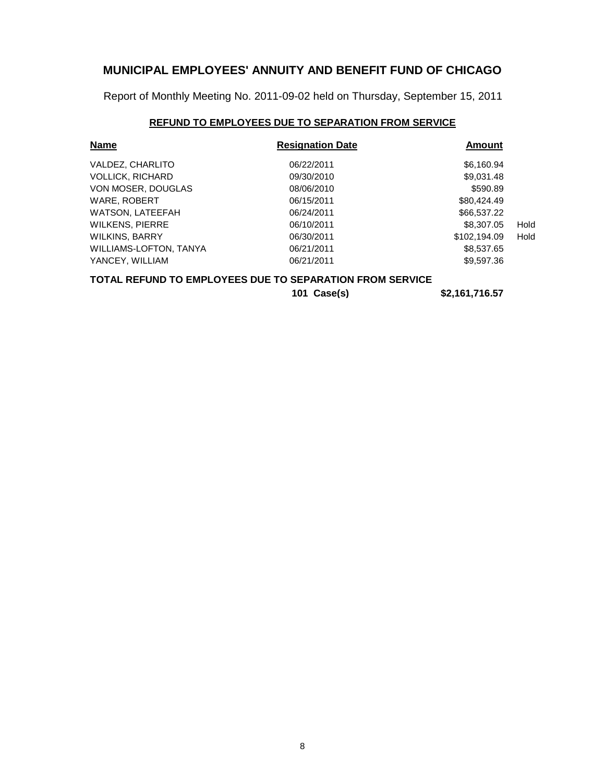Report of Monthly Meeting No. 2011-09-02 held on Thursday, September 15, 2011

### **REFUND TO EMPLOYEES DUE TO SEPARATION FROM SERVICE**

| <b>Name</b>             | <b>Resignation Date</b> | <b>Amount</b> |      |
|-------------------------|-------------------------|---------------|------|
| VALDEZ, CHARLITO        | 06/22/2011              | \$6,160.94    |      |
| <b>VOLLICK, RICHARD</b> | 09/30/2010              | \$9,031.48    |      |
| VON MOSER, DOUGLAS      | 08/06/2010              | \$590.89      |      |
| WARE, ROBERT            | 06/15/2011              | \$80,424.49   |      |
| <b>WATSON, LATEEFAH</b> | 06/24/2011              | \$66,537.22   |      |
| <b>WILKENS, PIERRE</b>  | 06/10/2011              | \$8,307.05    | Hold |
| <b>WILKINS, BARRY</b>   | 06/30/2011              | \$102.194.09  | Hold |
| WILLIAMS-LOFTON, TANYA  | 06/21/2011              | \$8,537.65    |      |
| YANCEY, WILLIAM         | 06/21/2011              | \$9,597.36    |      |

#### **TOTAL REFUND TO EMPLOYEES DUE TO SEPARATION FROM SERVICE**

**101 Case(s) \$2,161,716.57**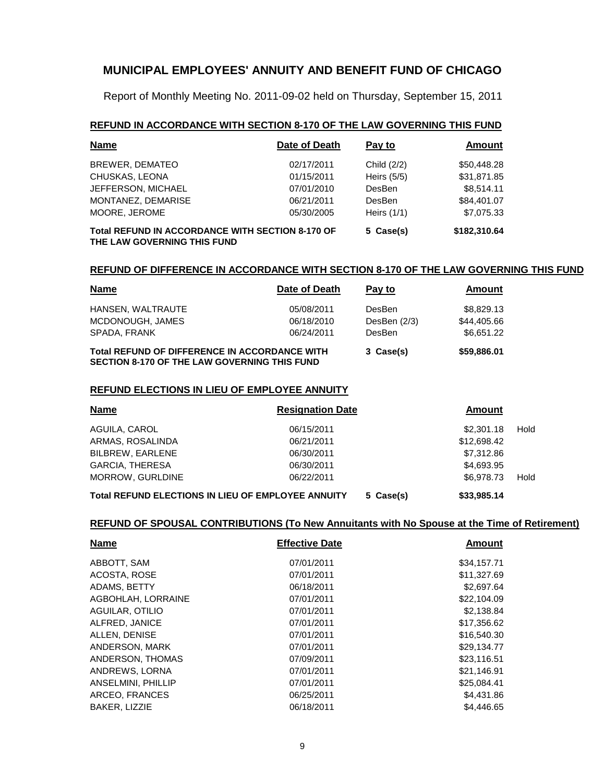Report of Monthly Meeting No. 2011-09-02 held on Thursday, September 15, 2011

#### **REFUND IN ACCORDANCE WITH SECTION 8-170 OF THE LAW GOVERNING THIS FUND**

| Name                                                                                   | Date of Death | Pay to        | Amount       |
|----------------------------------------------------------------------------------------|---------------|---------------|--------------|
| BREWER, DEMATEO                                                                        | 02/17/2011    | Child (2/2)   | \$50,448.28  |
| CHUSKAS, LEONA                                                                         | 01/15/2011    | Heirs $(5/5)$ | \$31,871.85  |
| JEFFERSON, MICHAEL                                                                     | 07/01/2010    | DesBen        | \$8,514.11   |
| MONTANEZ, DEMARISE                                                                     | 06/21/2011    | <b>DesBen</b> | \$84,401.07  |
| MOORE, JEROME                                                                          | 05/30/2005    | Heirs $(1/1)$ | \$7,075.33   |
| <b>Total REFUND IN ACCORDANCE WITH SECTION 8-170 OF</b><br>THE LAW GOVERNING THIS FUND |               | 5 Case(s)     | \$182,310.64 |

#### **REFUND OF DIFFERENCE IN ACCORDANCE WITH SECTION 8-170 OF THE LAW GOVERNING THIS FUND**

| <b>Name</b>                                                                                                 | Date of Death | Pay to         | <b>Amount</b> |
|-------------------------------------------------------------------------------------------------------------|---------------|----------------|---------------|
| HANSEN, WALTRAUTE                                                                                           | 05/08/2011    | DesBen         | \$8,829.13    |
| MCDONOUGH, JAMES                                                                                            | 06/18/2010    | DesBen $(2/3)$ | \$44,405.66   |
| SPADA, FRANK                                                                                                | 06/24/2011    | DesBen         | \$6,651.22    |
| <b>Total REFUND OF DIFFERENCE IN ACCORDANCE WITH</b><br><b>SECTION 8-170 OF THE LAW GOVERNING THIS FUND</b> |               | 3 Case(s)      | \$59,886.01   |

#### **REFUND ELECTIONS IN LIEU OF EMPLOYEE ANNUITY**

| <b>Name</b>                                               | <b>Resignation Date</b> |           | Amount      |      |
|-----------------------------------------------------------|-------------------------|-----------|-------------|------|
| AGUILA, CAROL                                             | 06/15/2011              |           | \$2,301.18  | Hold |
| ARMAS, ROSALINDA                                          | 06/21/2011              |           | \$12,698.42 |      |
| <b>BILBREW, EARLENE</b>                                   | 06/30/2011              |           | \$7,312.86  |      |
| <b>GARCIA, THERESA</b>                                    | 06/30/2011              |           | \$4,693,95  |      |
| <b>MORROW, GURLDINE</b>                                   | 06/22/2011              |           | \$6,978,73  | Hold |
| <b>Total REFUND ELECTIONS IN LIEU OF EMPLOYEE ANNUITY</b> |                         | 5 Case(s) | \$33,985,14 |      |

| <b>Name</b>            | <b>Effective Date</b> | Amount      |
|------------------------|-----------------------|-------------|
| ABBOTT, SAM            | 07/01/2011            | \$34,157.71 |
| ACOSTA, ROSE           | 07/01/2011            | \$11,327.69 |
| ADAMS, BETTY           | 06/18/2011            | \$2,697.64  |
| AGBOHLAH, LORRAINE     | 07/01/2011            | \$22,104.09 |
| <b>AGUILAR, OTILIO</b> | 07/01/2011            | \$2,138.84  |
| ALFRED, JANICE         | 07/01/2011            | \$17,356.62 |
| ALLEN, DENISE          | 07/01/2011            | \$16,540.30 |
| ANDERSON, MARK         | 07/01/2011            | \$29.134.77 |
| ANDERSON, THOMAS       | 07/09/2011            | \$23,116.51 |
| ANDREWS, LORNA         | 07/01/2011            | \$21,146.91 |
| ANSELMINI, PHILLIP     | 07/01/2011            | \$25,084.41 |
| ARCEO, FRANCES         | 06/25/2011            | \$4,431.86  |
| <b>BAKER, LIZZIE</b>   | 06/18/2011            | \$4,446.65  |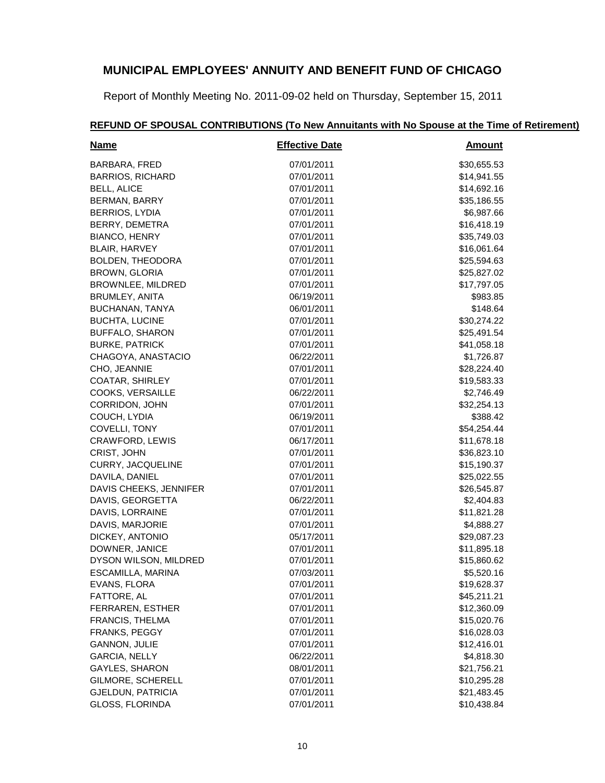Report of Monthly Meeting No. 2011-09-02 held on Thursday, September 15, 2011

#### **Name Effective Date Amount** BARBARA, FRED 07/01/2011 \$30,655.53 BARRIOS, RICHARD 07/01/2011 \$14,941.55 BELL, ALICE 614,692.16 BERMAN, BARRY 07/01/2011 \$35,186.55 BERRIOS, LYDIA 07/01/2011 \$6,987.66 BERRY, DEMETRA 67/01/2011 616.418.19 BIANCO, HENRY 67/01/2011 67/01/2011 535,749.03 BLAIR, HARVEY 07/01/2011 \$16,061.64 BOLDEN, THEODORA 07/01/2011 07/01/2011 \$25,594.63 BROWN, GLORIA 625,827.02 BROWNLEE, MILDRED 07/01/2011 67/01/2011 \$17,797.05 BRUMLEY, ANITA 6983.85 BUCHANAN, TANYA 06/01/2011 \$148.64 BUCHTA, LUCINE 07/01/2011 07/01/2011 \$30,274.22 BUFFALO, SHARON 07/01/2011 07/01/2011 \$25,491.54 BURKE, PATRICK 61 (2012) 841,058.18 (2014) 841,058.18 CHAGOYA, ANASTACIO 06/22/2011 \$1,726.87 CHO, JEANNIE 28,224.40 COATAR, SHIRLEY 07/01/2011 **619,583.33** 07/01/2011 COOKS, VERSAILLE 66/22/2011 66/22/2011 52,746.49 CORRIDON, JOHN 67/01/2011 67/01/2011 532.254.13 COUCH, LYDIA 06/19/2011 \$388.42 COVELLI, TONY 67/01/2011 654,254.44 CRAWFORD, LEWIS 06/17/2011 \$11,678.18 CRIST, JOHN 67/01/2011 636,823.10 CURRY, JACQUELINE 07/01/2011 \$15,190.37 DAVILA, DANIEL 07/01/2011 \$25,022.55 DAVIS CHEEKS, JENNIFER  $07/01/2011$   $326.545.87$ DAVIS, GEORGETTA 06/22/2011 \$2,404.83 DAVIS, LORRAINE 07/01/2011 07/01/2011 \$11,821.28 DAVIS, MARJORIE 07/01/2011 \$4,888.27 DICKEY, ANTONIO 05/17/2011 \$29,087.23 DOWNER, JANICE 07/01/2011 07/01/2011 \$11,895.18 DYSON WILSON, MILDRED 07/01/2011 07/01/2011 \$15,860.62 ESCAMILLA, MARINA 07/03/2011 \$5,520.16 EVANS, FLORA 07/01/2011 \$19,628.37 FATTORE, AL 67/01/2011 645,211.21 FERRAREN, ESTHER 07/01/2011 \$12,360.09 FRANCIS, THELMA 07/01/2011 \$15,020.76 FRANKS, PEGGY 07/01/2011 \$16,028.03 GANNON, JULIE 07/01/2011 \$12,416.01 GARCIA, NELLY 66/22/2011 6.4RCIA, NELLY 66/22/2011 GAYLES, SHARON 68/01/2011 621,756.21 GILMORE, SCHERELL 07/01/2011 \$10,295.28 GJELDUN, PATRICIA 07/01/2011 \$21,483.45 GLOSS, FLORINDA 67/01/2011 61.038.84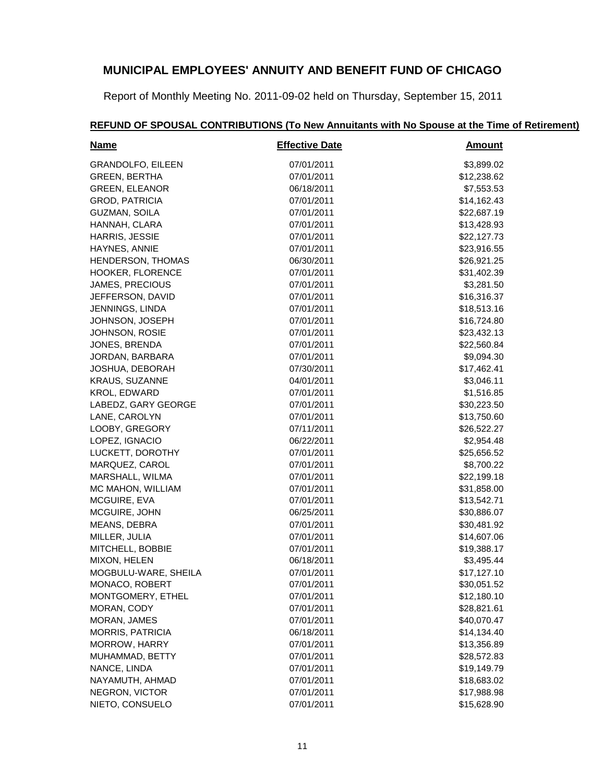Report of Monthly Meeting No. 2011-09-02 held on Thursday, September 15, 2011

#### **Name Effective Date Amount** GRANDOLFO, EILEEN 07/01/2011 \$3,899.02 GREEN, BERTHA 07/01/2011 \$12,238.62 GREEN, ELEANOR 06/18/2011 \$7,553.53 GROD, PATRICIA 07/01/2011 \$14,162.43 GUZMAN, SOILA 07/01/2011 \$22,687.19 HANNAH, CLARA 07/01/2011 \$13,428.93 HARRIS, JESSIE 07/01/2011 \$22,127.73 HAYNES, ANNIE 07/01/2011 \$23,916.55 HENDERSON, THOMAS 06/30/2011 06/30/2011 \$26,921.25 HOOKER, FLORENCE 07/01/2011 631,402.39 JAMES, PRECIOUS 07/01/2011 07/01/2011 \$3,281.50 JEFFERSON, DAVID 07/01/2011 \$16,316.37 JENNINGS, LINDA 07/01/2011 \$18,513.16 JOHNSON, JOSEPH 07/01/2011 \$16,724.80 JOHNSON, ROSIE 07/01/2011 \$23,432.13 JONES, BRENDA 07/01/2011 \$22,560.84 JORDAN, BARBARA 07/01/2011 \$9,094.30 JOSHUA, DEBORAH 07/30/2011 \$17,462.41 KRAUS, SUZANNE 04/01/2011 \$3,046.11 KROL, EDWARD 07/01/2011 \$1,516.85 LABEDZ, GARY GEORGE 07/01/2011 \$30,223.50 LANE, CAROLYN 67/01/2011 613,750.60 LOOBY, GREGORY 67/11/2011 626,522.27 LOPEZ, IGNACIO 06/22/2011 \$2,954.48 LUCKETT, DOROTHY 07/01/2011 07/01/2011 \$25,656.52 MARQUEZ, CAROL 07/01/2011 \$8,700.22 MARSHALL, WILMA 07/01/2011 \$22,199.18 MC MAHON, WILLIAM  $07/01/2011$   $831,858.00$ MCGUIRE, EVA 07/01/2011 \$13,542.71 MCGUIRE, JOHN 66/25/2011 66/25/2011 66/25/2011 MEANS, DEBRA 07/01/2011 \$30,481.92 MILLER, JULIA 607.00 (2012) 314,607.06 (2012) 314,607.06 MITCHELL, BOBBIE 07/01/2011 \$19,388.17 MIXON, HELEN 66/18/2011 66/18/2011 53,495.44 MOGBULU-WARE, SHEILA  $07/01/2011$   $07/01/2011$  \$17,127.10 MONACO, ROBERT 07/01/2011 07/01/2011 \$30,051.52 MONTGOMERY, ETHEL 07/01/2011 07/01/2011 \$12,180.10 MORAN, CODY 67/01/2011 628,821.61 MORAN, JAMES 07/01/2011 \$40,070.47 MORRIS, PATRICIA 66/18/2011 66/18/2011 514,134.40 MORROW, HARRY 07/01/2011 \$13,356.89 MUHAMMAD, BETTY 07/01/2011 07/01/2011 \$28,572.83 NANCE, LINDA 67/01/2011 619,149.79 NAYAMUTH, AHMAD 07/01/2011 \$18,683.02 NEGRON, VICTOR 07/01/2011 \$17,988.98 NIETO, CONSUELO 07/01/2011 \$15,628.90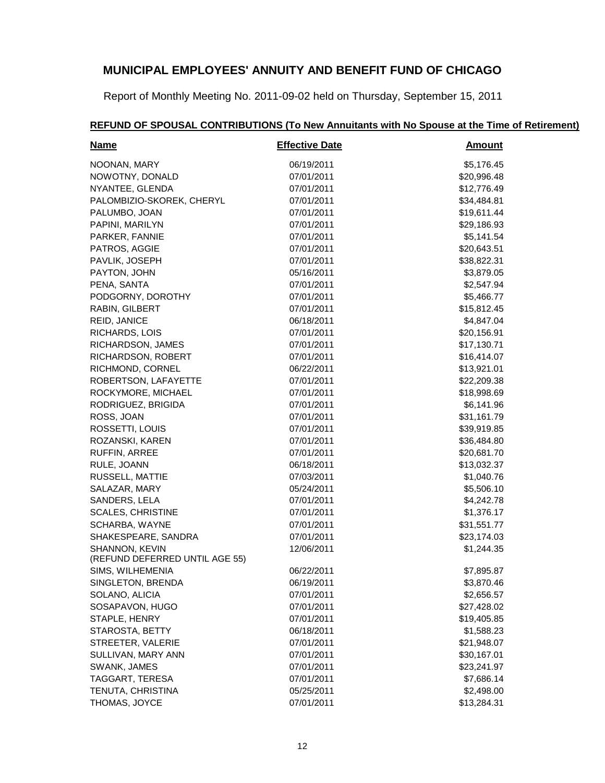Report of Monthly Meeting No. 2011-09-02 held on Thursday, September 15, 2011

#### **Name Effective Date Amount** NOONAN, MARY 66/19/2011 66/19/2011 55,176.45 NOWOTNY, DONALD 07/01/2011 07/01/2011 \$20,996.48 NYANTEE, GLENDA 07/01/2011 612,776.49 PALOMBIZIO-SKOREK, CHERYL 07/01/2011 07/01/2011 \$34,484.81 PALUMBO, JOAN 07/01/2011 519,611.44 PAPINI, MARILYN 67/01/2011 629,186.93 PARKER, FANNIE 07/01/2011 \$5,141.54 PATROS, AGGIE 07/01/2011 \$20,643.51 PAVLIK, JOSEPH 07/01/2011 07/01/2011 \$38,822.31 PAYTON, JOHN 65/16/2011 65/16/2011 53,879.05 PENA, SANTA 07/01/2011 \$2,547.94 PODGORNY, DOROTHY 07/01/2011 07/01/2011 \$5,466.77 RABIN, GILBERT 07/01/2011 \$15,812.45 REID, JANICE 64,847.04 RICHARDS, LOIS 07/01/2011 \$20,156.91 RICHARDSON, JAMES 07/01/2011 \$17,130.71 RICHARDSON, ROBERT 07/01/2011 616,414.07 RICHMOND, CORNEL 06/22/2011 06/22/2011 \$13,921.01 ROBERTSON, LAFAYETTE 07/01/2011 07/01/2011 \$22,209.38 ROCKYMORE, MICHAEL 07/01/2011 \$18,998.69 RODRIGUEZ, BRIGIDA 07/01/2011 \$6,141.96 ROSS, JOAN 67/01/2011 631,161.79 ROSSETTI, LOUIS 67/01/2011 639,919.85 ROZANSKI, KAREN 07/01/2011 \$36,484.80 RUFFIN, ARREE 07/01/2011 \$20,681.70 RULE, JOANN 66/18/2011 66/18/2011 513,032.37 RUSSELL, MATTIE 67/03/2011 61.040.76 SALAZAR, MARY 05/24/2011 \$5,506.10 SANDERS, LELA 07/01/2011 \$4,242.78 SCALES, CHRISTINE 07/01/2011 **\$1,376.17** SCHARBA, WAYNE 07/01/2011 \$31,551.77 SHAKESPEARE, SANDRA 07/01/2011 \$23,174.03 SHANNON, KEVIN (REFUND DEFERRED UNTIL AGE 55) 12/06/2011 \$1,244.35 SIMS, WILHEMENIA 06/22/2011 \$7,895.87 SINGLETON, BRENDA 06/19/2011 \$3,870.46 SOLANO, ALICIA 07/01/2011 \$2,656.57 SOSAPAVON, HUGO 07/01/2011 \$27,428.02 STAPLE, HENRY 07/01/2011 \$19,405.85 STAROSTA, BETTY 06/18/2011 \$1,588.23 STREETER, VALERIE 07/01/2011 \$21,948.07 SULLIVAN, MARY ANN 07/01/2011 \$30,167.01 SWANK, JAMES 07/01/2011 \$23,241.97 TAGGART, TERESA 07/01/2011 \$7,686.14 TENUTA, CHRISTINA 05/25/2011 \$2,498.00 THOMAS, JOYCE 07/01/2011 07/01/2011 \$13,284.31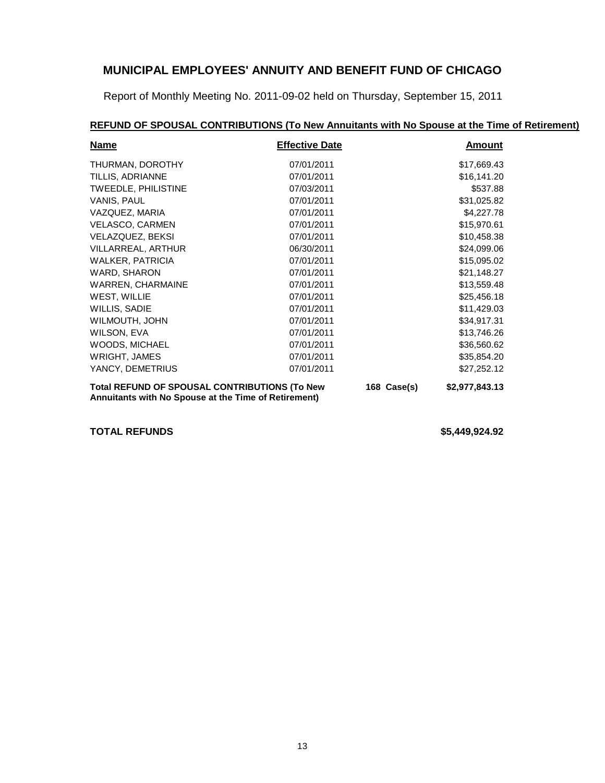Report of Monthly Meeting No. 2011-09-02 held on Thursday, September 15, 2011

# **REFUND OF SPOUSAL CONTRIBUTIONS (To New Annuitants with No Spouse at the Time of Retirement)**

| <b>Name</b>                                                                                           | <b>Effective Date</b> |             | Amount         |
|-------------------------------------------------------------------------------------------------------|-----------------------|-------------|----------------|
| THURMAN, DOROTHY                                                                                      | 07/01/2011            |             | \$17,669.43    |
| TILLIS, ADRIANNE                                                                                      | 07/01/2011            |             | \$16,141.20    |
| <b>TWEEDLE, PHILISTINE</b>                                                                            | 07/03/2011            |             | \$537.88       |
| VANIS, PAUL                                                                                           | 07/01/2011            |             | \$31,025.82    |
| VAZQUEZ, MARIA                                                                                        | 07/01/2011            |             | \$4,227.78     |
| <b>VELASCO, CARMEN</b>                                                                                | 07/01/2011            |             | \$15,970.61    |
| <b>VELAZQUEZ, BEKSI</b>                                                                               | 07/01/2011            |             | \$10,458.38    |
| VILLARREAL, ARTHUR                                                                                    | 06/30/2011            |             | \$24,099.06    |
| <b>WALKER, PATRICIA</b>                                                                               | 07/01/2011            |             | \$15,095.02    |
| WARD, SHARON                                                                                          | 07/01/2011            |             | \$21,148.27    |
| <b>WARREN, CHARMAINE</b>                                                                              | 07/01/2011            |             | \$13,559.48    |
| WEST, WILLIE                                                                                          | 07/01/2011            |             | \$25,456.18    |
| WILLIS, SADIE                                                                                         | 07/01/2011            |             | \$11,429.03    |
| WILMOUTH, JOHN                                                                                        | 07/01/2011            |             | \$34,917.31    |
| WILSON, EVA                                                                                           | 07/01/2011            |             | \$13,746.26    |
| WOODS, MICHAEL                                                                                        | 07/01/2011            |             | \$36,560.62    |
| <b>WRIGHT, JAMES</b>                                                                                  | 07/01/2011            |             | \$35,854.20    |
| YANCY, DEMETRIUS                                                                                      | 07/01/2011            |             | \$27,252.12    |
| Total REFUND OF SPOUSAL CONTRIBUTIONS (To New<br>Annuitants with No Spouse at the Time of Retirement) |                       | 168 Case(s) | \$2,977,843.13 |

**TOTAL REFUNDS \$5,449,924.92**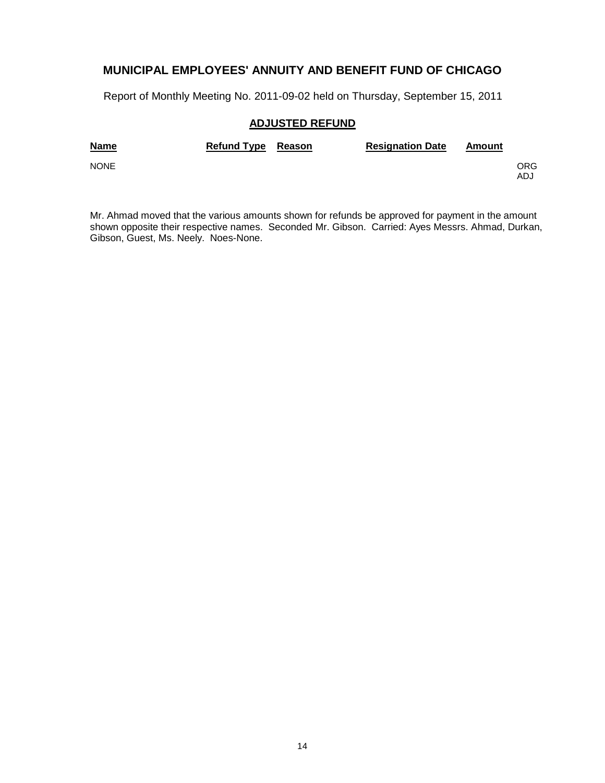Report of Monthly Meeting No. 2011-09-02 held on Thursday, September 15, 2011

### **ADJUSTED REFUND**

| <b>Name</b> | Refund Type Reason | <b>Resignation Date</b> | Amount |            |
|-------------|--------------------|-------------------------|--------|------------|
| <b>NONE</b> |                    |                         |        | ORG<br>ADJ |

Mr. Ahmad moved that the various amounts shown for refunds be approved for payment in the amount shown opposite their respective names. Seconded Mr. Gibson. Carried: Ayes Messrs. Ahmad, Durkan, Gibson, Guest, Ms. Neely. Noes-None.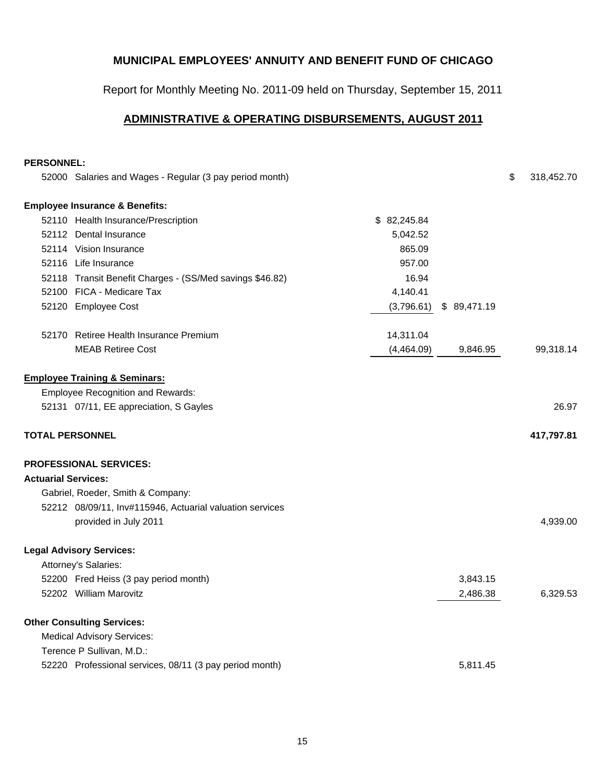Report for Monthly Meeting No. 2011-09 held on Thursday, September 15, 2011

### **ADMINISTRATIVE & OPERATING DISBURSEMENTS, AUGUST 2011**

#### **PERSONNEL:**

|                            | 52000 Salaries and Wages - Regular (3 pay period month)  |             |             | \$<br>318,452.70 |
|----------------------------|----------------------------------------------------------|-------------|-------------|------------------|
|                            | <b>Employee Insurance &amp; Benefits:</b>                |             |             |                  |
|                            | 52110 Health Insurance/Prescription                      | \$82,245.84 |             |                  |
|                            | 52112 Dental Insurance                                   | 5,042.52    |             |                  |
|                            | 52114 Vision Insurance                                   | 865.09      |             |                  |
|                            | 52116 Life Insurance                                     | 957.00      |             |                  |
|                            | 52118 Transit Benefit Charges - (SS/Med savings \$46.82) | 16.94       |             |                  |
|                            | 52100 FICA - Medicare Tax                                | 4,140.41    |             |                  |
|                            | 52120 Employee Cost                                      | (3,796.61)  | \$89,471.19 |                  |
|                            | 52170 Retiree Health Insurance Premium                   | 14,311.04   |             |                  |
|                            | <b>MEAB Retiree Cost</b>                                 | (4,464.09)  | 9,846.95    | 99,318.14        |
|                            | <b>Employee Training &amp; Seminars:</b>                 |             |             |                  |
|                            | <b>Employee Recognition and Rewards:</b>                 |             |             |                  |
|                            | 52131 07/11, EE appreciation, S Gayles                   |             |             | 26.97            |
| <b>TOTAL PERSONNEL</b>     |                                                          |             |             | 417,797.81       |
|                            | <b>PROFESSIONAL SERVICES:</b>                            |             |             |                  |
| <b>Actuarial Services:</b> |                                                          |             |             |                  |
|                            | Gabriel, Roeder, Smith & Company:                        |             |             |                  |
|                            | 52212 08/09/11, Inv#115946, Actuarial valuation services |             |             |                  |
|                            | provided in July 2011                                    |             |             | 4,939.00         |
|                            | <b>Legal Advisory Services:</b>                          |             |             |                  |
|                            | Attorney's Salaries:                                     |             |             |                  |
|                            | 52200 Fred Heiss (3 pay period month)                    |             | 3,843.15    |                  |
|                            | 52202 William Marovitz                                   |             | 2,486.38    | 6,329.53         |
|                            | <b>Other Consulting Services:</b>                        |             |             |                  |
|                            | <b>Medical Advisory Services:</b>                        |             |             |                  |
|                            | Terence P Sullivan, M.D.:                                |             |             |                  |
|                            | 52220 Professional services, 08/11 (3 pay period month)  |             | 5,811.45    |                  |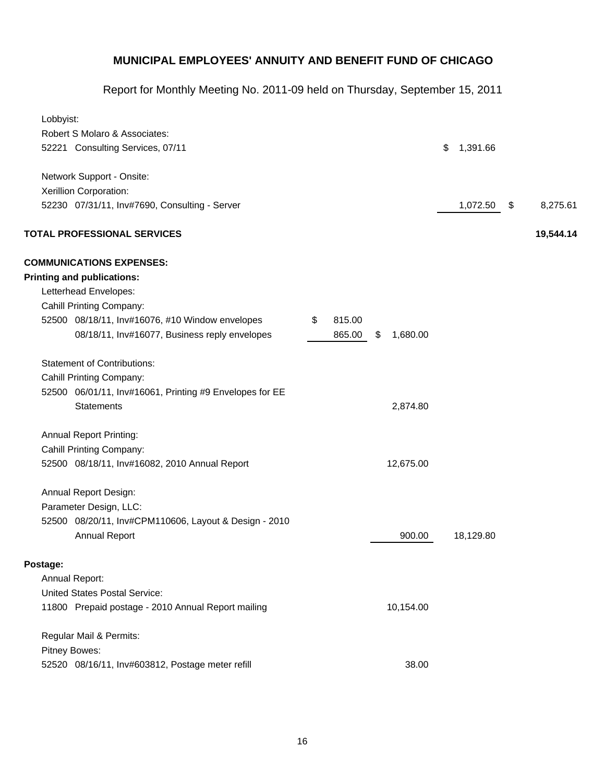| Lobbyist:                                               |                          |                |                |
|---------------------------------------------------------|--------------------------|----------------|----------------|
| Robert S Molaro & Associates:                           |                          |                |                |
| 52221 Consulting Services, 07/11                        |                          | 1,391.66<br>\$ |                |
| Network Support - Onsite:                               |                          |                |                |
| Xerillion Corporation:                                  |                          |                |                |
| 52230 07/31/11, Inv#7690, Consulting - Server           |                          | 1,072.50       | \$<br>8,275.61 |
| <b>TOTAL PROFESSIONAL SERVICES</b>                      |                          |                | 19,544.14      |
| <b>COMMUNICATIONS EXPENSES:</b>                         |                          |                |                |
| <b>Printing and publications:</b>                       |                          |                |                |
| Letterhead Envelopes:                                   |                          |                |                |
| Cahill Printing Company:                                |                          |                |                |
| 52500 08/18/11, Inv#16076, #10 Window envelopes         | 815.00<br>\$             |                |                |
| 08/18/11, Inv#16077, Business reply envelopes           | 865.00<br>1,680.00<br>\$ |                |                |
| <b>Statement of Contributions:</b>                      |                          |                |                |
| Cahill Printing Company:                                |                          |                |                |
| 52500 06/01/11, Inv#16061, Printing #9 Envelopes for EE |                          |                |                |
| <b>Statements</b>                                       | 2,874.80                 |                |                |
| <b>Annual Report Printing:</b>                          |                          |                |                |
| <b>Cahill Printing Company:</b>                         |                          |                |                |
| 52500 08/18/11, Inv#16082, 2010 Annual Report           | 12,675.00                |                |                |
| Annual Report Design:                                   |                          |                |                |
| Parameter Design, LLC:                                  |                          |                |                |
| 52500 08/20/11, Inv#CPM110606, Layout & Design - 2010   |                          |                |                |
| <b>Annual Report</b>                                    | 900.00                   | 18,129.80      |                |
| Postage:                                                |                          |                |                |
| Annual Report:                                          |                          |                |                |
| <b>United States Postal Service:</b>                    |                          |                |                |
| 11800 Prepaid postage - 2010 Annual Report mailing      | 10,154.00                |                |                |
| Regular Mail & Permits:                                 |                          |                |                |
| Pitney Bowes:                                           |                          |                |                |
| 52520 08/16/11, Inv#603812, Postage meter refill        | 38.00                    |                |                |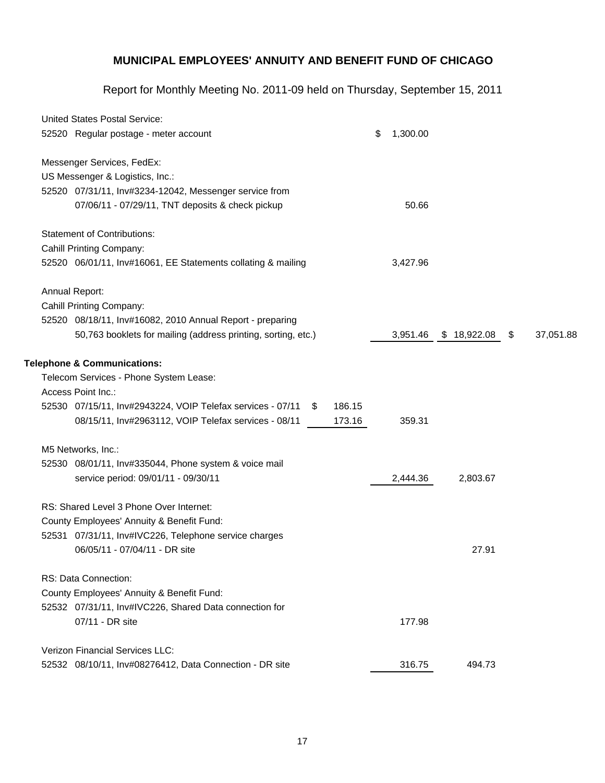| <b>United States Postal Service:</b>                          |   |        |                |             |                 |
|---------------------------------------------------------------|---|--------|----------------|-------------|-----------------|
| 52520 Regular postage - meter account                         |   |        | \$<br>1,300.00 |             |                 |
| Messenger Services, FedEx:                                    |   |        |                |             |                 |
| US Messenger & Logistics, Inc.:                               |   |        |                |             |                 |
| 52520 07/31/11, Inv#3234-12042, Messenger service from        |   |        |                |             |                 |
| 07/06/11 - 07/29/11, TNT deposits & check pickup              |   |        | 50.66          |             |                 |
| <b>Statement of Contributions:</b>                            |   |        |                |             |                 |
| <b>Cahill Printing Company:</b>                               |   |        |                |             |                 |
| 52520 06/01/11, Inv#16061, EE Statements collating & mailing  |   |        | 3,427.96       |             |                 |
| Annual Report:                                                |   |        |                |             |                 |
| <b>Cahill Printing Company:</b>                               |   |        |                |             |                 |
| 52520 08/18/11, Inv#16082, 2010 Annual Report - preparing     |   |        |                |             |                 |
| 50,763 booklets for mailing (address printing, sorting, etc.) |   |        | 3,951.46       | \$18,922.08 | \$<br>37,051.88 |
| <b>Telephone &amp; Communications:</b>                        |   |        |                |             |                 |
| Telecom Services - Phone System Lease:                        |   |        |                |             |                 |
| Access Point Inc.:                                            |   |        |                |             |                 |
| 52530 07/15/11, Inv#2943224, VOIP Telefax services - 07/11    | S | 186.15 |                |             |                 |
| 08/15/11, Inv#2963112, VOIP Telefax services - 08/11          |   | 173.16 | 359.31         |             |                 |
| M5 Networks, Inc.:                                            |   |        |                |             |                 |
| 52530 08/01/11, Inv#335044, Phone system & voice mail         |   |        |                |             |                 |
| service period: 09/01/11 - 09/30/11                           |   |        | 2,444.36       | 2,803.67    |                 |
| RS: Shared Level 3 Phone Over Internet:                       |   |        |                |             |                 |
| County Employees' Annuity & Benefit Fund:                     |   |        |                |             |                 |
| 52531 07/31/11, Inv#IVC226, Telephone service charges         |   |        |                |             |                 |
| 06/05/11 - 07/04/11 - DR site                                 |   |        |                | 27.91       |                 |
| RS: Data Connection:                                          |   |        |                |             |                 |
| County Employees' Annuity & Benefit Fund:                     |   |        |                |             |                 |
| 52532 07/31/11, Inv#IVC226, Shared Data connection for        |   |        |                |             |                 |
| 07/11 - DR site                                               |   |        | 177.98         |             |                 |
| <b>Verizon Financial Services LLC:</b>                        |   |        |                |             |                 |
| 52532 08/10/11, Inv#08276412, Data Connection - DR site       |   |        | 316.75         | 494.73      |                 |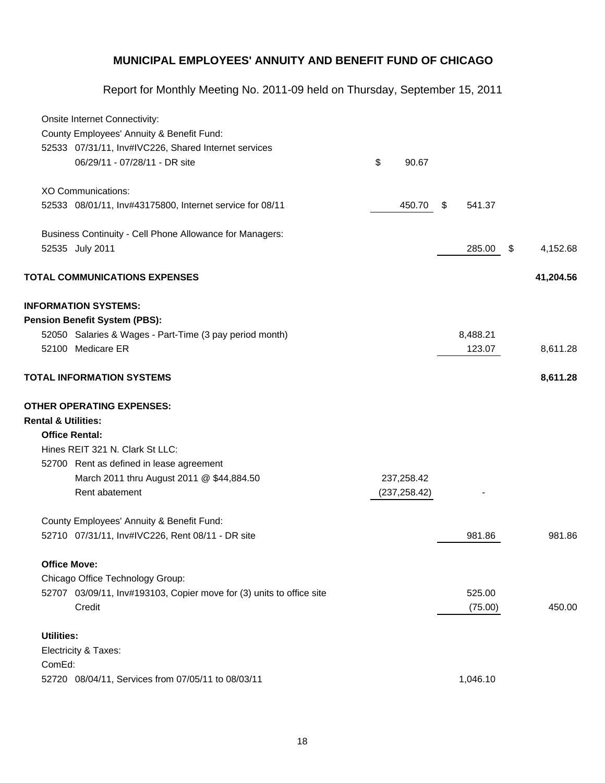|                                | Onsite Internet Connectivity:                                        |               |              |                |
|--------------------------------|----------------------------------------------------------------------|---------------|--------------|----------------|
|                                | County Employees' Annuity & Benefit Fund:                            |               |              |                |
|                                | 52533 07/31/11, Inv#IVC226, Shared Internet services                 |               |              |                |
|                                | 06/29/11 - 07/28/11 - DR site                                        | \$<br>90.67   |              |                |
|                                | <b>XO Communications:</b>                                            |               |              |                |
|                                | 52533 08/01/11, Inv#43175800, Internet service for 08/11             | 450.70        | 541.37<br>\$ |                |
|                                | Business Continuity - Cell Phone Allowance for Managers:             |               |              |                |
|                                | 52535 July 2011                                                      |               | 285.00       | \$<br>4,152.68 |
|                                | <b>TOTAL COMMUNICATIONS EXPENSES</b>                                 |               |              | 41,204.56      |
|                                | <b>INFORMATION SYSTEMS:</b>                                          |               |              |                |
|                                | <b>Pension Benefit System (PBS):</b>                                 |               |              |                |
|                                | 52050 Salaries & Wages - Part-Time (3 pay period month)              |               | 8,488.21     |                |
|                                | 52100 Medicare ER                                                    |               | 123.07       | 8,611.28       |
|                                | <b>TOTAL INFORMATION SYSTEMS</b>                                     |               |              | 8,611.28       |
| <b>Rental &amp; Utilities:</b> | <b>OTHER OPERATING EXPENSES:</b>                                     |               |              |                |
|                                | <b>Office Rental:</b>                                                |               |              |                |
|                                | Hines REIT 321 N. Clark St LLC:                                      |               |              |                |
|                                | 52700 Rent as defined in lease agreement                             |               |              |                |
|                                | March 2011 thru August 2011 @ \$44,884.50                            | 237,258.42    |              |                |
|                                | Rent abatement                                                       | (237, 258.42) |              |                |
|                                | County Employees' Annuity & Benefit Fund:                            |               |              |                |
|                                | 52710 07/31/11, Inv#IVC226, Rent 08/11 - DR site                     |               | 981.86       | 981.86         |
|                                | <b>Office Move:</b>                                                  |               |              |                |
|                                | Chicago Office Technology Group:                                     |               |              |                |
|                                | 52707 03/09/11, Inv#193103, Copier move for (3) units to office site |               | 525.00       |                |
|                                | Credit                                                               |               | (75.00)      | 450.00         |
| <b>Utilities:</b>              |                                                                      |               |              |                |
|                                | Electricity & Taxes:                                                 |               |              |                |
| ComEd:                         |                                                                      |               |              |                |
|                                | 52720 08/04/11, Services from 07/05/11 to 08/03/11                   |               | 1,046.10     |                |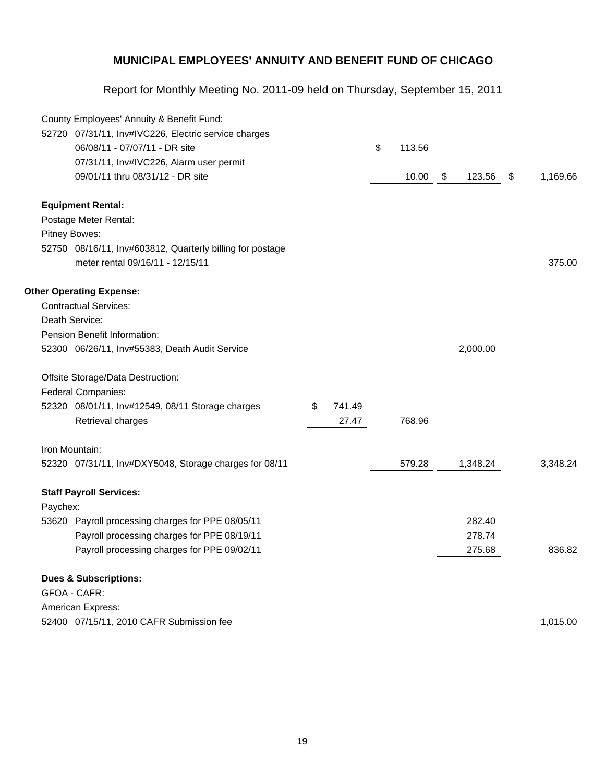|          | County Employees' Annuity & Benefit Fund:<br>52720 07/31/11, Inv#IVC226, Electric service charges |              |              |              |                |
|----------|---------------------------------------------------------------------------------------------------|--------------|--------------|--------------|----------------|
|          | 06/08/11 - 07/07/11 - DR site                                                                     |              | \$<br>113.56 |              |                |
|          | 07/31/11, Inv#IVC226, Alarm user permit                                                           |              |              |              |                |
|          | 09/01/11 thru 08/31/12 - DR site                                                                  |              | 10.00        | \$<br>123.56 | \$<br>1,169.66 |
|          | <b>Equipment Rental:</b>                                                                          |              |              |              |                |
|          | Postage Meter Rental:                                                                             |              |              |              |                |
|          | Pitney Bowes:                                                                                     |              |              |              |                |
|          | 52750 08/16/11, Inv#603812, Quarterly billing for postage                                         |              |              |              |                |
|          | meter rental 09/16/11 - 12/15/11                                                                  |              |              |              | 375.00         |
|          | <b>Other Operating Expense:</b>                                                                   |              |              |              |                |
|          | <b>Contractual Services:</b>                                                                      |              |              |              |                |
|          | Death Service:                                                                                    |              |              |              |                |
|          | Pension Benefit Information:                                                                      |              |              |              |                |
|          | 52300 06/26/11, Inv#55383, Death Audit Service                                                    |              |              | 2,000.00     |                |
|          | Offsite Storage/Data Destruction:                                                                 |              |              |              |                |
|          | Federal Companies:                                                                                |              |              |              |                |
|          | 52320 08/01/11, Inv#12549, 08/11 Storage charges                                                  | \$<br>741.49 |              |              |                |
|          | Retrieval charges                                                                                 | 27.47        | 768.96       |              |                |
|          | Iron Mountain:                                                                                    |              |              |              |                |
|          | 52320 07/31/11, Inv#DXY5048, Storage charges for 08/11                                            |              | 579.28       | 1,348.24     | 3,348.24       |
|          | <b>Staff Payroll Services:</b>                                                                    |              |              |              |                |
| Paychex: |                                                                                                   |              |              |              |                |
|          | 53620 Payroll processing charges for PPE 08/05/11                                                 |              |              | 282.40       |                |
|          | Payroll processing charges for PPE 08/19/11                                                       |              |              | 278.74       |                |
|          | Payroll processing charges for PPE 09/02/11                                                       |              |              | 275.68       | 836.82         |
|          | <b>Dues &amp; Subscriptions:</b>                                                                  |              |              |              |                |
|          | GFOA - CAFR:                                                                                      |              |              |              |                |
|          | American Express:                                                                                 |              |              |              |                |
|          | 52400 07/15/11, 2010 CAFR Submission fee                                                          |              |              |              | 1,015.00       |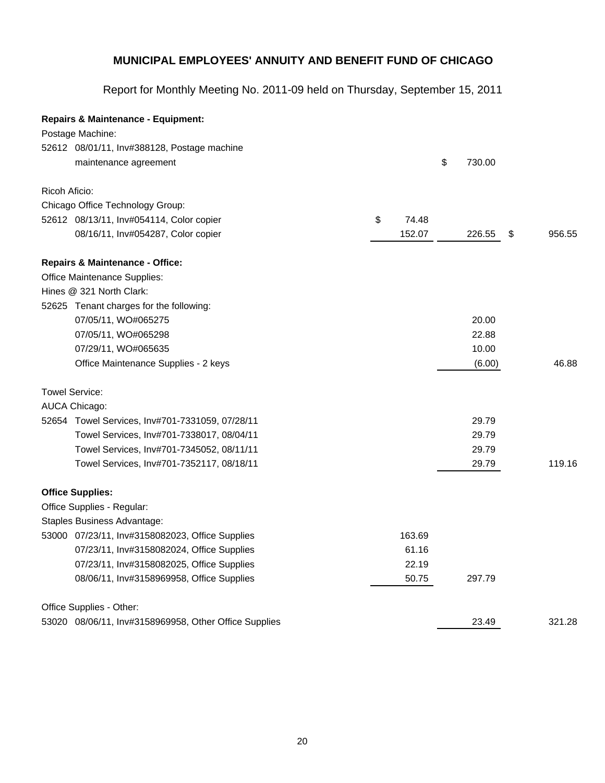|               | <b>Repairs &amp; Maintenance - Equipment:</b>         |             |              |              |
|---------------|-------------------------------------------------------|-------------|--------------|--------------|
|               | Postage Machine:                                      |             |              |              |
|               | 52612 08/01/11, Inv#388128, Postage machine           |             |              |              |
|               | maintenance agreement                                 |             | \$<br>730.00 |              |
| Ricoh Aficio: |                                                       |             |              |              |
|               | Chicago Office Technology Group:                      |             |              |              |
|               | 52612 08/13/11, Inv#054114, Color copier              | \$<br>74.48 |              |              |
|               | 08/16/11, Inv#054287, Color copier                    | 152.07      | 226.55       | \$<br>956.55 |
|               | <b>Repairs &amp; Maintenance - Office:</b>            |             |              |              |
|               | Office Maintenance Supplies:                          |             |              |              |
|               | Hines @ 321 North Clark:                              |             |              |              |
|               | 52625 Tenant charges for the following:               |             |              |              |
|               | 07/05/11, WO#065275                                   |             | 20.00        |              |
|               | 07/05/11, WO#065298                                   |             | 22.88        |              |
|               | 07/29/11, WO#065635                                   |             | 10.00        |              |
|               | Office Maintenance Supplies - 2 keys                  |             | (6.00)       | 46.88        |
|               | Towel Service:                                        |             |              |              |
|               | AUCA Chicago:                                         |             |              |              |
|               | 52654 Towel Services, Inv#701-7331059, 07/28/11       |             | 29.79        |              |
|               | Towel Services, Inv#701-7338017, 08/04/11             |             | 29.79        |              |
|               | Towel Services, Inv#701-7345052, 08/11/11             |             | 29.79        |              |
|               | Towel Services, Inv#701-7352117, 08/18/11             |             | 29.79        | 119.16       |
|               | <b>Office Supplies:</b>                               |             |              |              |
|               | Office Supplies - Regular:                            |             |              |              |
|               | Staples Business Advantage:                           |             |              |              |
|               | 53000 07/23/11, Inv#3158082023, Office Supplies       | 163.69      |              |              |
|               | 07/23/11, Inv#3158082024, Office Supplies             | 61.16       |              |              |
|               | 07/23/11, Inv#3158082025, Office Supplies             | 22.19       |              |              |
|               | 08/06/11, Inv#3158969958, Office Supplies             | 50.75       | 297.79       |              |
|               | Office Supplies - Other:                              |             |              |              |
|               | 53020 08/06/11, Inv#3158969958, Other Office Supplies |             | 23.49        | 321.28       |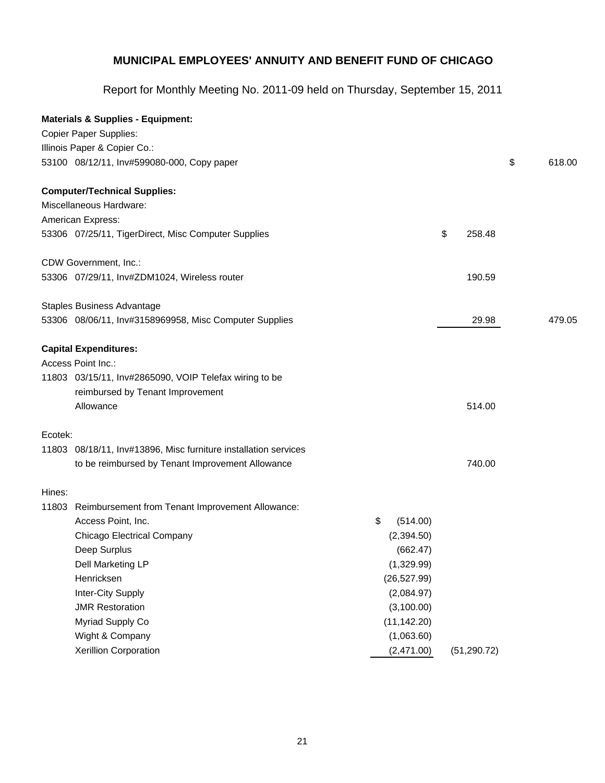|         | <b>Materials &amp; Supplies - Equipment:</b>                    |                |              |              |
|---------|-----------------------------------------------------------------|----------------|--------------|--------------|
|         | <b>Copier Paper Supplies:</b>                                   |                |              |              |
|         | Illinois Paper & Copier Co.:                                    |                |              |              |
|         | 53100 08/12/11, Inv#599080-000, Copy paper                      |                |              | \$<br>618.00 |
|         | <b>Computer/Technical Supplies:</b>                             |                |              |              |
|         | Miscellaneous Hardware:                                         |                |              |              |
|         | American Express:                                               |                |              |              |
|         | 53306 07/25/11, TigerDirect, Misc Computer Supplies             |                | \$<br>258.48 |              |
|         | CDW Government, Inc.:                                           |                |              |              |
|         | 53306 07/29/11, Inv#ZDM1024, Wireless router                    |                | 190.59       |              |
|         | <b>Staples Business Advantage</b>                               |                |              |              |
|         | 53306 08/06/11, Inv#3158969958, Misc Computer Supplies          |                | 29.98        | 479.05       |
|         | <b>Capital Expenditures:</b>                                    |                |              |              |
|         | Access Point Inc.:                                              |                |              |              |
|         | 11803 03/15/11, Inv#2865090, VOIP Telefax wiring to be          |                |              |              |
|         | reimbursed by Tenant Improvement                                |                |              |              |
|         | Allowance                                                       |                | 514.00       |              |
| Ecotek: |                                                                 |                |              |              |
|         | 11803 08/18/11, Inv#13896, Misc furniture installation services |                |              |              |
|         | to be reimbursed by Tenant Improvement Allowance                |                | 740.00       |              |
| Hines:  |                                                                 |                |              |              |
|         | 11803 Reimbursement from Tenant Improvement Allowance:          |                |              |              |
|         | Access Point, Inc.                                              | \$<br>(514.00) |              |              |
|         | <b>Chicago Electrical Company</b>                               | (2,394.50)     |              |              |
|         | Deep Surplus                                                    | (662.47)       |              |              |
|         | Dell Marketing LP                                               | (1,329.99)     |              |              |
|         | Henricksen                                                      | (26, 527.99)   |              |              |
|         | Inter-City Supply                                               | (2,084.97)     |              |              |
|         | <b>JMR Restoration</b>                                          | (3,100.00)     |              |              |
|         | Myriad Supply Co                                                | (11, 142.20)   |              |              |
|         | Wight & Company                                                 | (1,063.60)     |              |              |
|         | Xerillion Corporation                                           | (2,471.00)     | (51, 290.72) |              |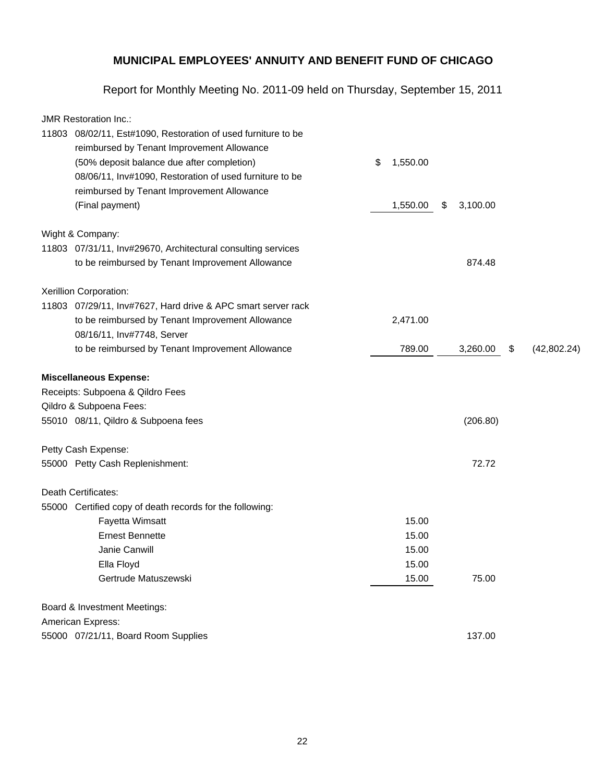|       | <b>JMR Restoration Inc.:</b>                                 |                |                |                   |
|-------|--------------------------------------------------------------|----------------|----------------|-------------------|
| 11803 | 08/02/11, Est#1090, Restoration of used furniture to be      |                |                |                   |
|       | reimbursed by Tenant Improvement Allowance                   |                |                |                   |
|       | (50% deposit balance due after completion)                   | \$<br>1,550.00 |                |                   |
|       | 08/06/11, Inv#1090, Restoration of used furniture to be      |                |                |                   |
|       | reimbursed by Tenant Improvement Allowance                   |                |                |                   |
|       | (Final payment)                                              | 1,550.00       | \$<br>3,100.00 |                   |
|       | Wight & Company:                                             |                |                |                   |
|       | 11803 07/31/11, Inv#29670, Architectural consulting services |                |                |                   |
|       | to be reimbursed by Tenant Improvement Allowance             |                | 874.48         |                   |
|       | Xerillion Corporation:                                       |                |                |                   |
|       | 11803 07/29/11, Inv#7627, Hard drive & APC smart server rack |                |                |                   |
|       | to be reimbursed by Tenant Improvement Allowance             | 2,471.00       |                |                   |
|       | 08/16/11, Inv#7748, Server                                   |                |                |                   |
|       | to be reimbursed by Tenant Improvement Allowance             | 789.00         | 3,260.00       | \$<br>(42,802.24) |
|       | <b>Miscellaneous Expense:</b>                                |                |                |                   |
|       | Receipts: Subpoena & Qildro Fees                             |                |                |                   |
|       | Qildro & Subpoena Fees:                                      |                |                |                   |
|       | 55010 08/11, Qildro & Subpoena fees                          |                | (206.80)       |                   |
|       | Petty Cash Expense:                                          |                |                |                   |
|       | 55000 Petty Cash Replenishment:                              |                | 72.72          |                   |
|       | Death Certificates:                                          |                |                |                   |
|       | 55000 Certified copy of death records for the following:     |                |                |                   |
|       | Fayetta Wimsatt                                              | 15.00          |                |                   |
|       | <b>Ernest Bennette</b>                                       | 15.00          |                |                   |
|       | Janie Canwill                                                | 15.00          |                |                   |
|       | Ella Floyd                                                   | 15.00          |                |                   |
|       | Gertrude Matuszewski                                         | 15.00          | 75.00          |                   |
|       | Board & Investment Meetings:                                 |                |                |                   |
|       | American Express:                                            |                |                |                   |
|       | 55000 07/21/11, Board Room Supplies                          |                | 137.00         |                   |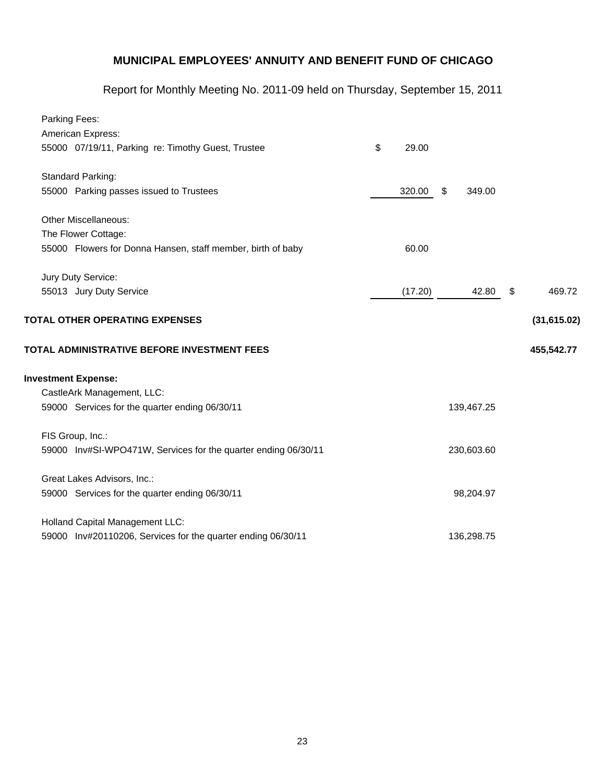| Parking Fees:                                                  |             |              |              |
|----------------------------------------------------------------|-------------|--------------|--------------|
| American Express:                                              |             |              |              |
| 55000 07/19/11, Parking re: Timothy Guest, Trustee             | \$<br>29.00 |              |              |
| Standard Parking:                                              |             |              |              |
| 55000 Parking passes issued to Trustees                        | 320.00      | \$<br>349.00 |              |
| Other Miscellaneous:                                           |             |              |              |
| The Flower Cottage:                                            |             |              |              |
| 55000 Flowers for Donna Hansen, staff member, birth of baby    | 60.00       |              |              |
| Jury Duty Service:                                             |             |              |              |
| 55013 Jury Duty Service                                        | (17.20)     | 42.80        | \$<br>469.72 |
| TOTAL OTHER OPERATING EXPENSES                                 |             |              | (31,615.02)  |
| TOTAL ADMINISTRATIVE BEFORE INVESTMENT FEES                    |             |              | 455,542.77   |
| <b>Investment Expense:</b>                                     |             |              |              |
| CastleArk Management, LLC:                                     |             |              |              |
| 59000 Services for the quarter ending 06/30/11                 |             | 139,467.25   |              |
| FIS Group, Inc.:                                               |             |              |              |
| 59000 Inv#SI-WPO471W, Services for the quarter ending 06/30/11 |             | 230,603.60   |              |
| Great Lakes Advisors, Inc.:                                    |             |              |              |
| 59000 Services for the quarter ending 06/30/11                 |             | 98,204.97    |              |
| <b>Holland Capital Management LLC:</b>                         |             |              |              |
| 59000 Inv#20110206, Services for the quarter ending 06/30/11   |             | 136,298.75   |              |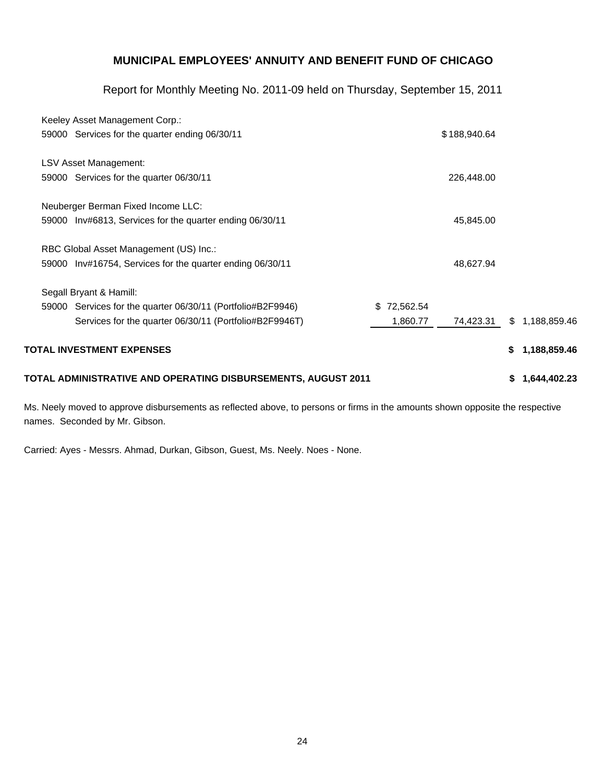Report for Monthly Meeting No. 2011-09 held on Thursday, September 15, 2011

| Keeley Asset Management Corp.:                                     |                 |              |                    |  |  |
|--------------------------------------------------------------------|-----------------|--------------|--------------------|--|--|
| 59000 Services for the quarter ending 06/30/11                     |                 | \$188,940.64 |                    |  |  |
| <b>LSV Asset Management:</b>                                       |                 |              |                    |  |  |
| 59000 Services for the quarter 06/30/11                            |                 | 226,448.00   |                    |  |  |
| Neuberger Berman Fixed Income LLC:                                 |                 |              |                    |  |  |
| 59000 Inv#6813, Services for the quarter ending 06/30/11           |                 | 45,845.00    |                    |  |  |
| RBC Global Asset Management (US) Inc.:                             |                 |              |                    |  |  |
| 59000 Inv#16754, Services for the quarter ending 06/30/11          |                 | 48,627.94    |                    |  |  |
| Segall Bryant & Hamill:                                            |                 |              |                    |  |  |
| 59000 Services for the quarter 06/30/11 (Portfolio#B2F9946)        | 72,562.54<br>S. |              |                    |  |  |
| Services for the quarter 06/30/11 (Portfolio#B2F9946T)             | 1,860.77        | 74,423.31    | 1,188,859.46<br>S. |  |  |
| <b>TOTAL INVESTMENT EXPENSES</b>                                   |                 |              | \$<br>1,188,859.46 |  |  |
| TOTAL ADMINISTRATIVE AND OPERATING DISBURSEMENTS, AUGUST 2011<br>S |                 |              |                    |  |  |

Ms. Neely moved to approve disbursements as reflected above, to persons or firms in the amounts shown opposite the respective names. Seconded by Mr. Gibson.

Carried: Ayes - Messrs. Ahmad, Durkan, Gibson, Guest, Ms. Neely. Noes - None.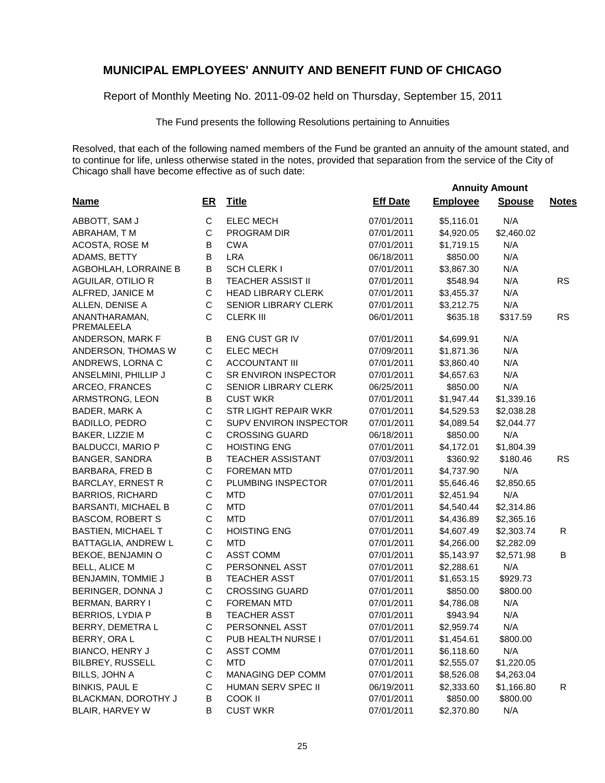Report of Monthly Meeting No. 2011-09-02 held on Thursday, September 15, 2011

The Fund presents the following Resolutions pertaining to Annuities

|                             |             |                             |                 | <b>Annuity Amount</b> |               |              |
|-----------------------------|-------------|-----------------------------|-----------------|-----------------------|---------------|--------------|
| <b>Name</b>                 | ER          | <b>Title</b>                | <b>Eff Date</b> | <b>Employee</b>       | <b>Spouse</b> | <b>Notes</b> |
| ABBOTT, SAM J               | $\mathbf C$ | <b>ELEC MECH</b>            | 07/01/2011      | \$5,116.01            | N/A           |              |
| ABRAHAM, TM                 | C           | PROGRAM DIR                 | 07/01/2011      | \$4,920.05            | \$2,460.02    |              |
| ACOSTA, ROSE M              | В           | <b>CWA</b>                  | 07/01/2011      | \$1,719.15            | N/A           |              |
| ADAMS, BETTY                | В           | <b>LRA</b>                  | 06/18/2011      | \$850.00              | N/A           |              |
| AGBOHLAH, LORRAINE B        | $\sf B$     | <b>SCH CLERK I</b>          | 07/01/2011      | \$3,867.30            | N/A           |              |
| AGUILAR, OTILIO R           | B           | <b>TEACHER ASSIST II</b>    | 07/01/2011      | \$548.94              | N/A           | <b>RS</b>    |
| ALFRED, JANICE M            | $\mathsf C$ | <b>HEAD LIBRARY CLERK</b>   | 07/01/2011      | \$3,455.37            | N/A           |              |
| ALLEN, DENISE A             | $\mathsf C$ | <b>SENIOR LIBRARY CLERK</b> | 07/01/2011      | \$3,212.75            | N/A           |              |
| ANANTHARAMAN,<br>PREMALEELA | C           | <b>CLERK III</b>            | 06/01/2011      | \$635.18              | \$317.59      | <b>RS</b>    |
| ANDERSON, MARK F            | B           | ENG CUST GR IV              | 07/01/2011      | \$4,699.91            | N/A           |              |
| ANDERSON, THOMAS W          | C           | <b>ELEC MECH</b>            | 07/09/2011      | \$1,871.36            | N/A           |              |
| ANDREWS, LORNA C            | C           | <b>ACCOUNTANT III</b>       | 07/01/2011      | \$3,860.40            | N/A           |              |
| ANSELMINI, PHILLIP J        | C           | SR ENVIRON INSPECTOR        | 07/01/2011      | \$4,657.63            | N/A           |              |
| ARCEO, FRANCES              | C           | SENIOR LIBRARY CLERK        | 06/25/2011      | \$850.00              | N/A           |              |
| ARMSTRONG, LEON             | B           | <b>CUST WKR</b>             | 07/01/2011      | \$1,947.44            | \$1,339.16    |              |
| BADER, MARK A               | C           | <b>STR LIGHT REPAIR WKR</b> | 07/01/2011      | \$4,529.53            | \$2,038.28    |              |
| <b>BADILLO, PEDRO</b>       | С           | SUPV ENVIRON INSPECTOR      | 07/01/2011      | \$4,089.54            | \$2,044.77    |              |
| BAKER, LIZZIE M             | С           | <b>CROSSING GUARD</b>       | 06/18/2011      | \$850.00              | N/A           |              |
| <b>BALDUCCI, MARIO P</b>    | C           | <b>HOISTING ENG</b>         | 07/01/2011      | \$4,172.01            | \$1,804.39    |              |
| <b>BANGER, SANDRA</b>       | B           | <b>TEACHER ASSISTANT</b>    | 07/03/2011      | \$360.92              | \$180.46      | <b>RS</b>    |
| <b>BARBARA, FRED B</b>      | $\mathsf C$ | <b>FOREMAN MTD</b>          | 07/01/2011      | \$4,737.90            | N/A           |              |
| <b>BARCLAY, ERNEST R</b>    | C           | PLUMBING INSPECTOR          | 07/01/2011      | \$5,646.46            | \$2,850.65    |              |
| <b>BARRIOS, RICHARD</b>     | C           | <b>MTD</b>                  | 07/01/2011      | \$2,451.94            | N/A           |              |
| <b>BARSANTI, MICHAEL B</b>  | С           | <b>MTD</b>                  | 07/01/2011      | \$4,540.44            | \$2,314.86    |              |
| <b>BASCOM, ROBERT S</b>     | C           | <b>MTD</b>                  | 07/01/2011      | \$4,436.89            | \$2,365.16    |              |
| <b>BASTIEN, MICHAEL T</b>   | C           | <b>HOISTING ENG</b>         | 07/01/2011      | \$4,607.49            | \$2,303.74    | R            |
| BATTAGLIA, ANDREW L         | C           | <b>MTD</b>                  | 07/01/2011      | \$4,266.00            | \$2,282.09    |              |
| BEKOE, BENJAMIN O           | C           | <b>ASST COMM</b>            | 07/01/2011      | \$5,143.97            | \$2,571.98    | B            |
| <b>BELL, ALICE M</b>        | $\mathsf C$ | PERSONNEL ASST              | 07/01/2011      | \$2,288.61            | N/A           |              |
| BENJAMIN, TOMMIE J          | В           | <b>TEACHER ASST</b>         | 07/01/2011      | \$1,653.15            | \$929.73      |              |
| BERINGER, DONNA J           | ${\bf C}$   | <b>CROSSING GUARD</b>       | 07/01/2011      | \$850.00              | \$800.00      |              |
| BERMAN, BARRY I             | C           | <b>FOREMAN MTD</b>          | 07/01/2011      | \$4,786.08            | N/A           |              |
| BERRIOS, LYDIA P            | В           | <b>TEACHER ASST</b>         | 07/01/2011      | \$943.94              | N/A           |              |
| BERRY, DEMETRA L            | C           | PERSONNEL ASST              | 07/01/2011      | \$2,959.74            | N/A           |              |
| BERRY, ORA L                | С           | PUB HEALTH NURSE I          | 07/01/2011      | \$1,454.61            | \$800.00      |              |
| BIANCO, HENRY J             | С           | <b>ASST COMM</b>            | 07/01/2011      | \$6,118.60            | N/A           |              |
| BILBREY, RUSSELL            | С           | <b>MTD</b>                  | 07/01/2011      | \$2,555.07            | \$1,220.05    |              |
| BILLS, JOHN A               | $\mathsf C$ | MANAGING DEP COMM           | 07/01/2011      | \$8,526.08            | \$4,263.04    |              |
| <b>BINKIS, PAUL E</b>       | C           | HUMAN SERV SPEC II          | 06/19/2011      | \$2,333.60            | \$1,166.80    | $\mathsf{R}$ |
| BLACKMAN, DOROTHY J         | B           | <b>COOK II</b>              | 07/01/2011      | \$850.00              | \$800.00      |              |
| <b>BLAIR, HARVEY W</b>      | В           | <b>CUST WKR</b>             | 07/01/2011      | \$2,370.80            | N/A           |              |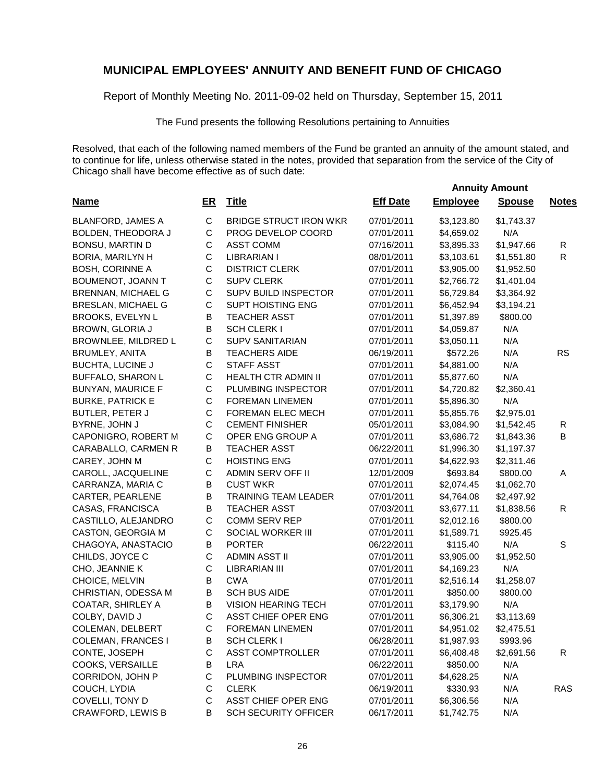Report of Monthly Meeting No. 2011-09-02 held on Thursday, September 15, 2011

The Fund presents the following Resolutions pertaining to Annuities

Resolved, that each of the following named members of the Fund be granted an annuity of the amount stated, and to continue for life, unless otherwise stated in the notes, provided that separation from the service of the City of Chicago shall have become effective as of such date:

| <b>Name</b>               | $E$ R        | <b>Title</b>                  | <b>Eff Date</b> | <b>Employee</b> | <b>Spouse</b> | <b>Notes</b> |
|---------------------------|--------------|-------------------------------|-----------------|-----------------|---------------|--------------|
| <b>BLANFORD, JAMES A</b>  | C            | <b>BRIDGE STRUCT IRON WKR</b> | 07/01/2011      | \$3,123.80      | \$1,743.37    |              |
| BOLDEN, THEODORA J        | $\mathsf C$  | PROG DEVELOP COORD            | 07/01/2011      | \$4,659.02      | N/A           |              |
| <b>BONSU, MARTIN D</b>    | C            | <b>ASST COMM</b>              | 07/16/2011      | \$3,895.33      | \$1,947.66    | ${\sf R}$    |
| BORIA, MARILYN H          | $\mathsf{C}$ | <b>LIBRARIAN I</b>            | 08/01/2011      | \$3,103.61      | \$1,551.80    | $\mathsf{R}$ |
| <b>BOSH, CORINNE A</b>    | $\mathsf C$  | <b>DISTRICT CLERK</b>         | 07/01/2011      | \$3,905.00      | \$1,952.50    |              |
| BOUMENOT, JOANN T         | $\mathsf C$  | <b>SUPV CLERK</b>             | 07/01/2011      | \$2,766.72      | \$1,401.04    |              |
| BRENNAN, MICHAEL G        | $\mathsf C$  | SUPV BUILD INSPECTOR          | 07/01/2011      | \$6,729.84      | \$3,364.92    |              |
| BRESLAN, MICHAEL G        | C            | <b>SUPT HOISTING ENG</b>      | 07/01/2011      | \$6,452.94      | \$3,194.21    |              |
| <b>BROOKS, EVELYN L</b>   | B            | <b>TEACHER ASST</b>           | 07/01/2011      | \$1,397.89      | \$800.00      |              |
| BROWN, GLORIA J           | B            | <b>SCH CLERK I</b>            | 07/01/2011      | \$4,059.87      | N/A           |              |
| BROWNLEE, MILDRED L       | $\mathsf C$  | <b>SUPV SANITARIAN</b>        | 07/01/2011      | \$3,050.11      | N/A           |              |
| BRUMLEY, ANITA            | $\sf B$      | <b>TEACHERS AIDE</b>          | 06/19/2011      | \$572.26        | N/A           | <b>RS</b>    |
| <b>BUCHTA, LUCINE J</b>   | $\mathsf C$  | <b>STAFF ASST</b>             | 07/01/2011      | \$4,881.00      | N/A           |              |
| <b>BUFFALO, SHARON L</b>  | $\mathsf C$  | <b>HEALTH CTR ADMIN II</b>    | 07/01/2011      | \$5,877.60      | N/A           |              |
| <b>BUNYAN, MAURICE F</b>  | $\mathsf C$  | PLUMBING INSPECTOR            | 07/01/2011      | \$4,720.82      | \$2,360.41    |              |
| <b>BURKE, PATRICK E</b>   | $\mathsf C$  | FOREMAN LINEMEN               | 07/01/2011      | \$5,896.30      | N/A           |              |
| BUTLER, PETER J           | $\mathsf C$  | FOREMAN ELEC MECH             | 07/01/2011      | \$5,855.76      | \$2,975.01    |              |
| BYRNE, JOHN J             | $\mathsf C$  | <b>CEMENT FINISHER</b>        | 05/01/2011      | \$3,084.90      | \$1,542.45    | $\mathsf{R}$ |
| CAPONIGRO, ROBERT M       | C            | OPER ENG GROUP A              | 07/01/2011      | \$3,686.72      | \$1,843.36    | B            |
| CARABALLO, CARMEN R       | B            | <b>TEACHER ASST</b>           | 06/22/2011      | \$1,996.30      | \$1,197.37    |              |
| CAREY, JOHN M             | $\mathsf{C}$ | <b>HOISTING ENG</b>           | 07/01/2011      | \$4,622.93      | \$2,311.46    |              |
| CAROLL, JACQUELINE        | C            | ADMIN SERV OFF II             | 12/01/2009      | \$693.84        | \$800.00      | Α            |
| CARRANZA, MARIA C         | $\mathsf B$  | <b>CUST WKR</b>               | 07/01/2011      | \$2,074.45      | \$1,062.70    |              |
| CARTER, PEARLENE          | B            | <b>TRAINING TEAM LEADER</b>   | 07/01/2011      | \$4,764.08      | \$2,497.92    |              |
| CASAS, FRANCISCA          | В            | <b>TEACHER ASST</b>           | 07/03/2011      | \$3,677.11      | \$1,838.56    | R            |
| CASTILLO, ALEJANDRO       | $\mathsf{C}$ | COMM SERV REP                 | 07/01/2011      | \$2,012.16      | \$800.00      |              |
| CASTON, GEORGIA M         | C            | SOCIAL WORKER III             | 07/01/2011      | \$1,589.71      | \$925.45      |              |
| CHAGOYA, ANASTACIO        | B            | <b>PORTER</b>                 | 06/22/2011      | \$115.40        | N/A           | S            |
| CHILDS, JOYCE C           | $\mathsf{C}$ | <b>ADMIN ASST II</b>          | 07/01/2011      | \$3,905.00      | \$1,952.50    |              |
| CHO, JEANNIE K            | C            | <b>LIBRARIAN III</b>          | 07/01/2011      | \$4,169.23      | N/A           |              |
| CHOICE, MELVIN            | B            | <b>CWA</b>                    | 07/01/2011      | \$2,516.14      | \$1,258.07    |              |
| CHRISTIAN, ODESSA M       | В            | <b>SCH BUS AIDE</b>           | 07/01/2011      | \$850.00        | \$800.00      |              |
| COATAR, SHIRLEY A         | B            | <b>VISION HEARING TECH</b>    | 07/01/2011      | \$3,179.90      | N/A           |              |
| COLBY, DAVID J            | $\mathsf{C}$ | <b>ASST CHIEF OPER ENG</b>    | 07/01/2011      | \$6,306.21      | \$3,113.69    |              |
| COLEMAN, DELBERT          | C            | <b>FOREMAN LINEMEN</b>        | 07/01/2011      | \$4,951.02      | \$2,475.51    |              |
| <b>COLEMAN, FRANCES I</b> | В            | SCH CLERK I                   | 06/28/2011      | \$1,987.93      | \$993.96      |              |
| CONTE, JOSEPH             | C            | <b>ASST COMPTROLLER</b>       | 07/01/2011      | \$6,408.48      | \$2,691.56    | $\mathsf{R}$ |
| COOKS, VERSAILLE          | B            | <b>LRA</b>                    | 06/22/2011      | \$850.00        | N/A           |              |
| CORRIDON, JOHN P          | C            | PLUMBING INSPECTOR            | 07/01/2011      | \$4,628.25      | N/A           |              |
| COUCH, LYDIA              | С            | <b>CLERK</b>                  | 06/19/2011      | \$330.93        | N/A           | <b>RAS</b>   |
| COVELLI, TONY D           | C            | ASST CHIEF OPER ENG           | 07/01/2011      | \$6,306.56      | N/A           |              |
| <b>CRAWFORD, LEWIS B</b>  | В            | <b>SCH SECURITY OFFICER</b>   | 06/17/2011      | \$1,742.75      | N/A           |              |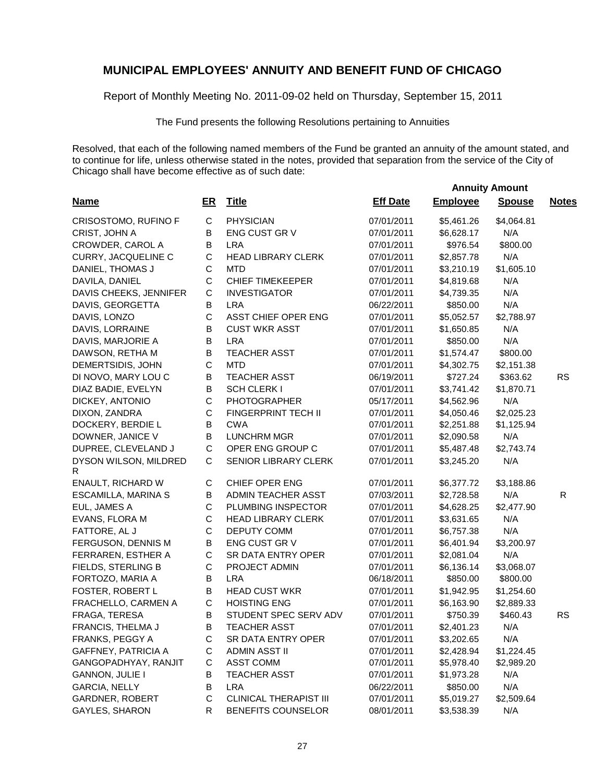Report of Monthly Meeting No. 2011-09-02 held on Thursday, September 15, 2011

The Fund presents the following Resolutions pertaining to Annuities

|                            |              |                               |                 | <b>Annuity Amount</b> |               |              |
|----------------------------|--------------|-------------------------------|-----------------|-----------------------|---------------|--------------|
| <b>Name</b>                | $E$ R        | <b>Title</b>                  | <b>Eff Date</b> | <b>Employee</b>       | <b>Spouse</b> | <b>Notes</b> |
| CRISOSTOMO, RUFINO F       | С            | <b>PHYSICIAN</b>              | 07/01/2011      | \$5,461.26            | \$4,064.81    |              |
| CRIST, JOHN A              | B            | ENG CUST GR V                 | 07/01/2011      | \$6,628.17            | N/A           |              |
| CROWDER, CAROL A           | $\sf B$      | <b>LRA</b>                    | 07/01/2011      | \$976.54              | \$800.00      |              |
| CURRY, JACQUELINE C        | C            | <b>HEAD LIBRARY CLERK</b>     | 07/01/2011      | \$2,857.78            | N/A           |              |
| DANIEL, THOMAS J           | C            | <b>MTD</b>                    | 07/01/2011      | \$3,210.19            | \$1,605.10    |              |
| DAVILA, DANIEL             | C            | <b>CHIEF TIMEKEEPER</b>       | 07/01/2011      | \$4,819.68            | N/A           |              |
| DAVIS CHEEKS, JENNIFER     | $\mathsf C$  | <b>INVESTIGATOR</b>           | 07/01/2011      | \$4,739.35            | N/A           |              |
| DAVIS, GEORGETTA           | B            | <b>LRA</b>                    | 06/22/2011      | \$850.00              | N/A           |              |
| DAVIS, LONZO               | $\mathsf C$  | ASST CHIEF OPER ENG           | 07/01/2011      | \$5,052.57            | \$2,788.97    |              |
| DAVIS, LORRAINE            | $\sf B$      | <b>CUST WKR ASST</b>          | 07/01/2011      | \$1,650.85            | N/A           |              |
| DAVIS, MARJORIE A          | $\sf B$      | <b>LRA</b>                    | 07/01/2011      | \$850.00              | N/A           |              |
| DAWSON, RETHA M            | $\sf B$      | <b>TEACHER ASST</b>           | 07/01/2011      | \$1,574.47            | \$800.00      |              |
| DEMERTSIDIS, JOHN          | $\mathsf{C}$ | <b>MTD</b>                    | 07/01/2011      | \$4,302.75            | \$2,151.38    |              |
| DI NOVO, MARY LOU C        | $\sf B$      | <b>TEACHER ASST</b>           | 06/19/2011      | \$727.24              | \$363.62      | <b>RS</b>    |
| DIAZ BADIE, EVELYN         | B            | <b>SCH CLERK I</b>            | 07/01/2011      | \$3,741.42            | \$1,870.71    |              |
| DICKEY, ANTONIO            | $\mathsf C$  | <b>PHOTOGRAPHER</b>           | 05/17/2011      | \$4,562.96            | N/A           |              |
| DIXON, ZANDRA              | $\mathsf C$  | FINGERPRINT TECH II           | 07/01/2011      | \$4,050.46            | \$2,025.23    |              |
| DOCKERY, BERDIE L          | $\sf B$      | <b>CWA</b>                    | 07/01/2011      | \$2,251.88            | \$1,125.94    |              |
| DOWNER, JANICE V           | $\sf B$      | <b>LUNCHRM MGR</b>            | 07/01/2011      | \$2,090.58            | N/A           |              |
| DUPREE, CLEVELAND J        | $\mathsf C$  | OPER ENG GROUP C              | 07/01/2011      | \$5,487.48            | \$2,743.74    |              |
| DYSON WILSON, MILDRED<br>R | C            | SENIOR LIBRARY CLERK          | 07/01/2011      | \$3,245.20            | N/A           |              |
| ENAULT, RICHARD W          | C            | CHIEF OPER ENG                | 07/01/2011      | \$6,377.72            | \$3,188.86    |              |
| ESCAMILLA, MARINA S        | B            | ADMIN TEACHER ASST            | 07/03/2011      | \$2,728.58            | N/A           | R            |
| EUL, JAMES A               | $\mathsf C$  | PLUMBING INSPECTOR            | 07/01/2011      | \$4,628.25            | \$2,477.90    |              |
| EVANS, FLORA M             | C            | <b>HEAD LIBRARY CLERK</b>     | 07/01/2011      | \$3,631.65            | N/A           |              |
| FATTORE, AL J              | $\mathsf C$  | DEPUTY COMM                   | 07/01/2011      | \$6,757.38            | N/A           |              |
| FERGUSON, DENNIS M         | $\sf B$      | ENG CUST GR V                 | 07/01/2011      | \$6,401.94            | \$3,200.97    |              |
| FERRAREN, ESTHER A         | $\mathsf C$  | SR DATA ENTRY OPER            | 07/01/2011      | \$2,081.04            | N/A           |              |
| FIELDS, STERLING B         | C            | PROJECT ADMIN                 | 07/01/2011      | \$6,136.14            | \$3,068.07    |              |
| FORTOZO, MARIA A           | B            | <b>LRA</b>                    | 06/18/2011      | \$850.00              | \$800.00      |              |
| FOSTER, ROBERT L           | $\mathsf B$  | <b>HEAD CUST WKR</b>          | 07/01/2011      | \$1,942.95            | \$1,254.60    |              |
| FRACHELLO, CARMEN A        | C            | <b>HOISTING ENG</b>           | 07/01/2011      | \$6,163.90            | \$2,889.33    |              |
| FRAGA, TERESA              | B            | STUDENT SPEC SERV ADV         | 07/01/2011      | \$750.39              | \$460.43      | RS           |
| FRANCIS, THELMA J          | $\sf B$      | <b>TEACHER ASST</b>           | 07/01/2011      | \$2,401.23            | N/A           |              |
| FRANKS, PEGGY A            | C            | SR DATA ENTRY OPER            | 07/01/2011      | \$3,202.65            | N/A           |              |
| <b>GAFFNEY, PATRICIA A</b> | C            | ADMIN ASST II                 | 07/01/2011      | \$2,428.94            | \$1,224.45    |              |
| GANGOPADHYAY, RANJIT       | C            | <b>ASST COMM</b>              | 07/01/2011      | \$5,978.40            | \$2,989.20    |              |
| <b>GANNON, JULIE I</b>     | B            | <b>TEACHER ASST</b>           | 07/01/2011      | \$1,973.28            | N/A           |              |
| <b>GARCIA, NELLY</b>       | B            | <b>LRA</b>                    | 06/22/2011      | \$850.00              | N/A           |              |
| GARDNER, ROBERT            | $\mathsf C$  | <b>CLINICAL THERAPIST III</b> | 07/01/2011      | \$5,019.27            | \$2,509.64    |              |
| <b>GAYLES, SHARON</b>      | ${\sf R}$    | BENEFITS COUNSELOR            | 08/01/2011      | \$3,538.39            | N/A           |              |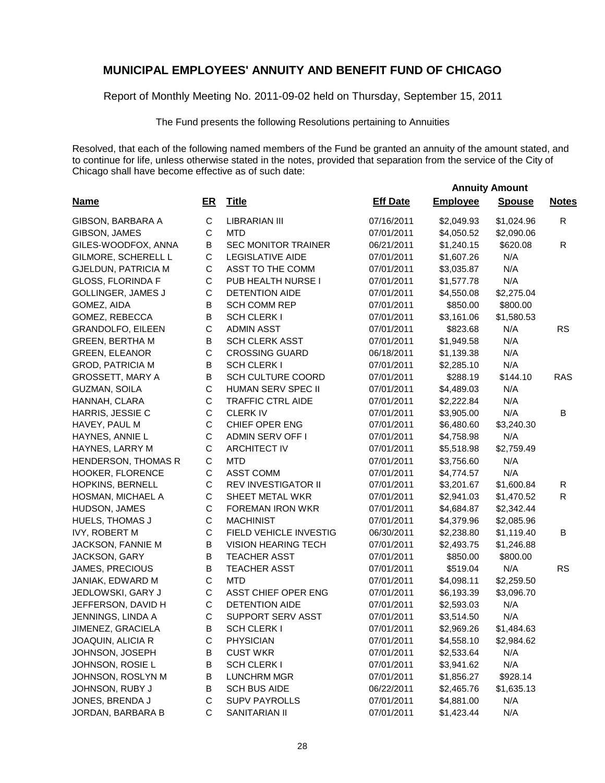Report of Monthly Meeting No. 2011-09-02 held on Thursday, September 15, 2011

The Fund presents the following Resolutions pertaining to Annuities

Resolved, that each of the following named members of the Fund be granted an annuity of the amount stated, and to continue for life, unless otherwise stated in the notes, provided that separation from the service of the City of Chicago shall have become effective as of such date:

| <b>Name</b>                | <u>ER</u>   | <b>Title</b>               | <b>Eff Date</b> | <b>Employee</b> | <b>Spouse</b> | <b>Notes</b> |
|----------------------------|-------------|----------------------------|-----------------|-----------------|---------------|--------------|
| GIBSON, BARBARA A          | C           | <b>LIBRARIAN III</b>       | 07/16/2011      | \$2,049.93      | \$1,024.96    | R            |
| GIBSON, JAMES              | $\mathsf C$ | <b>MTD</b>                 | 07/01/2011      | \$4,050.52      | \$2,090.06    |              |
| GILES-WOODFOX, ANNA        | B           | <b>SEC MONITOR TRAINER</b> | 06/21/2011      | \$1,240.15      | \$620.08      | $\mathsf{R}$ |
| GILMORE, SCHERELL L        | C           | <b>LEGISLATIVE AIDE</b>    | 07/01/2011      | \$1,607.26      | N/A           |              |
| <b>GJELDUN, PATRICIA M</b> | $\mathsf C$ | ASST TO THE COMM           | 07/01/2011      | \$3,035.87      | N/A           |              |
| GLOSS, FLORINDA F          | C           | PUB HEALTH NURSE I         | 07/01/2011      | \$1,577.78      | N/A           |              |
| <b>GOLLINGER, JAMES J</b>  | $\mathsf C$ | <b>DETENTION AIDE</b>      | 07/01/2011      | \$4,550.08      | \$2,275.04    |              |
| GOMEZ, AIDA                | В           | <b>SCH COMM REP</b>        | 07/01/2011      | \$850.00        | \$800.00      |              |
| GOMEZ, REBECCA             | B           | <b>SCH CLERK I</b>         | 07/01/2011      | \$3,161.06      | \$1,580.53    |              |
| <b>GRANDOLFO, EILEEN</b>   | $\mathsf C$ | <b>ADMIN ASST</b>          | 07/01/2011      | \$823.68        | N/A           | <b>RS</b>    |
| <b>GREEN, BERTHA M</b>     | B           | <b>SCH CLERK ASST</b>      | 07/01/2011      | \$1,949.58      | N/A           |              |
| <b>GREEN, ELEANOR</b>      | $\mathsf C$ | <b>CROSSING GUARD</b>      | 06/18/2011      | \$1,139.38      | N/A           |              |
| <b>GROD, PATRICIA M</b>    | B           | <b>SCH CLERK I</b>         | 07/01/2011      | \$2,285.10      | N/A           |              |
| GROSSETT, MARY A           | B           | SCH CULTURE COORD          | 07/01/2011      | \$288.19        | \$144.10      | RAS          |
| GUZMAN, SOILA              | $\mathsf C$ | HUMAN SERV SPEC II         | 07/01/2011      | \$4,489.03      | N/A           |              |
| HANNAH, CLARA              | C           | <b>TRAFFIC CTRL AIDE</b>   | 07/01/2011      | \$2,222.84      | N/A           |              |
| HARRIS, JESSIE C           | С           | <b>CLERKIV</b>             | 07/01/2011      | \$3,905.00      | N/A           | B            |
| HAVEY, PAUL M              | $\mathsf C$ | CHIEF OPER ENG             | 07/01/2011      | \$6,480.60      | \$3,240.30    |              |
| HAYNES, ANNIE L            | С           | ADMIN SERV OFF I           | 07/01/2011      | \$4,758.98      | N/A           |              |
| HAYNES, LARRY M            | С           | <b>ARCHITECT IV</b>        | 07/01/2011      | \$5,518.98      | \$2,759.49    |              |
| HENDERSON, THOMAS R        | С           | <b>MTD</b>                 | 07/01/2011      | \$3,756.60      | N/A           |              |
| HOOKER, FLORENCE           | С           | <b>ASST COMM</b>           | 07/01/2011      | \$4,774.57      | N/A           |              |
| HOPKINS, BERNELL           | С           | <b>REV INVESTIGATOR II</b> | 07/01/2011      | \$3,201.67      | \$1,600.84    | R            |
| HOSMAN, MICHAEL A          | С           | SHEET METAL WKR            | 07/01/2011      | \$2,941.03      | \$1,470.52    | $\mathsf{R}$ |
| HUDSON, JAMES              | С           | <b>FOREMAN IRON WKR</b>    | 07/01/2011      | \$4,684.87      | \$2,342.44    |              |
| HUELS, THOMAS J            | C           | <b>MACHINIST</b>           | 07/01/2011      | \$4,379.96      | \$2,085.96    |              |
| IVY, ROBERT M              | C           | FIELD VEHICLE INVESTIG     | 06/30/2011      | \$2,238.80      | \$1,119.40    | В            |
| JACKSON, FANNIE M          | В           | VISION HEARING TECH        | 07/01/2011      | \$2,493.75      | \$1,246.88    |              |
| JACKSON, GARY              | В           | <b>TEACHER ASST</b>        | 07/01/2011      | \$850.00        | \$800.00      |              |
| JAMES, PRECIOUS            | B           | <b>TEACHER ASST</b>        | 07/01/2011      | \$519.04        | N/A           | <b>RS</b>    |
| JANIAK, EDWARD M           | C           | <b>MTD</b>                 | 07/01/2011      | \$4,098.11      | \$2,259.50    |              |
| JEDLOWSKI, GARY J          | C           | ASST CHIEF OPER ENG        | 07/01/2011      | \$6,193.39      | \$3,096.70    |              |
| JEFFERSON, DAVID H         | C           | <b>DETENTION AIDE</b>      | 07/01/2011      | \$2,593.03      | N/A           |              |
| JENNINGS, LINDA A          | C           | SUPPORT SERV ASST          | 07/01/2011      | \$3,514.50      | N/A           |              |
| JIMENEZ, GRACIELA          | B           | <b>SCH CLERK I</b>         | 07/01/2011      | \$2,969.26      | \$1,484.63    |              |
| JOAQUIN, ALICIA R          | С           | PHYSICIAN                  | 07/01/2011      | \$4,558.10      | \$2,984.62    |              |
| JOHNSON, JOSEPH            | В           | <b>CUST WKR</b>            | 07/01/2011      | \$2,533.64      | N/A           |              |
| JOHNSON, ROSIE L           | B           | SCH CLERK I                | 07/01/2011      | \$3,941.62      | N/A           |              |
| JOHNSON, ROSLYN M          | B           | <b>LUNCHRM MGR</b>         | 07/01/2011      | \$1,856.27      | \$928.14      |              |
| JOHNSON, RUBY J            | B           | <b>SCH BUS AIDE</b>        | 06/22/2011      | \$2,465.76      | \$1,635.13    |              |
| JONES, BRENDA J            | С           | <b>SUPV PAYROLLS</b>       | 07/01/2011      | \$4,881.00      | N/A           |              |
| JORDAN, BARBARA B          | C           | SANITARIAN II              | 07/01/2011      | \$1,423.44      | N/A           |              |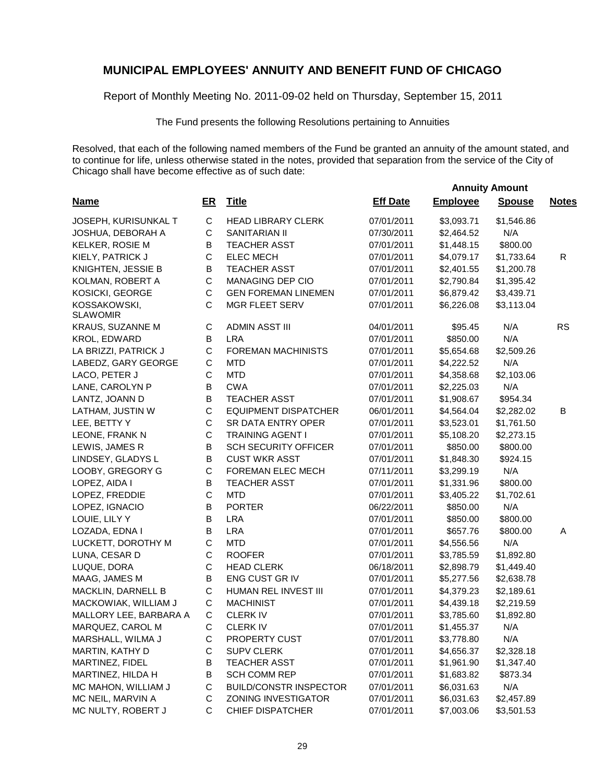Report of Monthly Meeting No. 2011-09-02 held on Thursday, September 15, 2011

The Fund presents the following Resolutions pertaining to Annuities

Resolved, that each of the following named members of the Fund be granted an annuity of the amount stated, and to continue for life, unless otherwise stated in the notes, provided that separation from the service of the City of Chicago shall have become effective as of such date:

| <b>Name</b>                     | $E$ R       | <b>Title</b>                  | <b>Eff Date</b> | <b>Employee</b> | <b>Spouse</b> | <b>Notes</b> |
|---------------------------------|-------------|-------------------------------|-----------------|-----------------|---------------|--------------|
| JOSEPH, KURISUNKAL T            | $\mathsf C$ | <b>HEAD LIBRARY CLERK</b>     | 07/01/2011      | \$3,093.71      | \$1,546.86    |              |
| JOSHUA, DEBORAH A               | C           | <b>SANITARIAN II</b>          | 07/30/2011      | \$2,464.52      | N/A           |              |
| KELKER, ROSIE M                 | В           | <b>TEACHER ASST</b>           | 07/01/2011      | \$1,448.15      | \$800.00      |              |
| KIELY, PATRICK J                | $\mathsf C$ | <b>ELEC MECH</b>              | 07/01/2011      | \$4,079.17      | \$1,733.64    | R            |
| KNIGHTEN, JESSIE B              | В           | <b>TEACHER ASST</b>           | 07/01/2011      | \$2,401.55      | \$1,200.78    |              |
| KOLMAN, ROBERT A                | $\mathsf C$ | MANAGING DEP CIO              | 07/01/2011      | \$2,790.84      | \$1,395.42    |              |
| KOSICKI, GEORGE                 | $\mathsf C$ | <b>GEN FOREMAN LINEMEN</b>    | 07/01/2011      | \$6,879.42      | \$3,439.71    |              |
| KOSSAKOWSKI,<br><b>SLAWOMIR</b> | C           | MGR FLEET SERV                | 07/01/2011      | \$6,226.08      | \$3,113.04    |              |
| KRAUS, SUZANNE M                | C           | <b>ADMIN ASST III</b>         | 04/01/2011      | \$95.45         | N/A           | <b>RS</b>    |
| KROL, EDWARD                    | B           | <b>LRA</b>                    | 07/01/2011      | \$850.00        | N/A           |              |
| LA BRIZZI, PATRICK J            | $\mathsf C$ | <b>FOREMAN MACHINISTS</b>     | 07/01/2011      | \$5,654.68      | \$2,509.26    |              |
| LABEDZ, GARY GEORGE             | С           | <b>MTD</b>                    | 07/01/2011      | \$4,222.52      | N/A           |              |
| LACO, PETER J                   | C           | <b>MTD</b>                    | 07/01/2011      | \$4,358.68      | \$2,103.06    |              |
| LANE, CAROLYN P                 | B           | <b>CWA</b>                    | 07/01/2011      | \$2,225.03      | N/A           |              |
| LANTZ, JOANN D                  | B           | <b>TEACHER ASST</b>           | 07/01/2011      | \$1,908.67      | \$954.34      |              |
| LATHAM, JUSTIN W                | $\mathsf C$ | <b>EQUIPMENT DISPATCHER</b>   | 06/01/2011      | \$4,564.04      | \$2,282.02    | В            |
| LEE, BETTY Y                    | $\mathsf C$ | <b>SR DATA ENTRY OPER</b>     | 07/01/2011      | \$3,523.01      | \$1,761.50    |              |
| LEONE, FRANK N                  | $\mathsf C$ | <b>TRAINING AGENT I</b>       | 07/01/2011      | \$5,108.20      | \$2,273.15    |              |
| LEWIS, JAMES R                  | $\sf B$     | <b>SCH SECURITY OFFICER</b>   | 07/01/2011      | \$850.00        | \$800.00      |              |
| LINDSEY, GLADYS L               | B           | <b>CUST WKR ASST</b>          | 07/01/2011      | \$1,848.30      | \$924.15      |              |
| LOOBY, GREGORY G                | $\mathsf C$ | FOREMAN ELEC MECH             | 07/11/2011      | \$3,299.19      | N/A           |              |
| LOPEZ, AIDA I                   | В           | <b>TEACHER ASST</b>           | 07/01/2011      | \$1,331.96      | \$800.00      |              |
| LOPEZ, FREDDIE                  | $\mathsf C$ | <b>MTD</b>                    | 07/01/2011      | \$3,405.22      | \$1,702.61    |              |
| LOPEZ, IGNACIO                  | B           | <b>PORTER</b>                 | 06/22/2011      | \$850.00        | N/A           |              |
| LOUIE, LILY Y                   | B           | <b>LRA</b>                    | 07/01/2011      | \$850.00        | \$800.00      |              |
| LOZADA, EDNA I                  | B           | <b>LRA</b>                    | 07/01/2011      | \$657.76        | \$800.00      | A            |
| LUCKETT, DOROTHY M              | C           | <b>MTD</b>                    | 07/01/2011      | \$4,556.56      | N/A           |              |
| LUNA, CESAR D                   | C           | <b>ROOFER</b>                 | 07/01/2011      | \$3,785.59      | \$1,892.80    |              |
| LUQUE, DORA                     | $\mathsf C$ | <b>HEAD CLERK</b>             | 06/18/2011      | \$2,898.79      | \$1,449.40    |              |
| MAAG, JAMES M                   | B           | ENG CUST GR IV                | 07/01/2011      | \$5,277.56      | \$2,638.78    |              |
| MACKLIN, DARNELL B              | $\mathsf C$ | HUMAN REL INVEST III          | 07/01/2011      | \$4,379.23      | \$2,189.61    |              |
| MACKOWIAK, WILLIAM J            | $\mathsf C$ | <b>MACHINIST</b>              | 07/01/2011      | \$4,439.18      | \$2,219.59    |              |
| MALLORY LEE, BARBARA A          | $\mathsf C$ | <b>CLERK IV</b>               | 07/01/2011      | \$3,785.60      | \$1,892.80    |              |
| MARQUEZ, CAROL M                | C           | <b>CLERKIV</b>                | 07/01/2011      | \$1,455.37      | N/A           |              |
| MARSHALL, WILMA J               | С           | <b>PROPERTY CUST</b>          | 07/01/2011      | \$3,778.80      | N/A           |              |
| MARTIN, KATHY D                 | С           | <b>SUPV CLERK</b>             | 07/01/2011      | \$4,656.37      | \$2,328.18    |              |
| MARTINEZ, FIDEL                 | B           | <b>TEACHER ASST</b>           | 07/01/2011      | \$1,961.90      | \$1,347.40    |              |
| MARTINEZ, HILDA H               | B           | <b>SCH COMM REP</b>           | 07/01/2011      | \$1,683.82      | \$873.34      |              |
| MC MAHON, WILLIAM J             | C           | <b>BUILD/CONSTR INSPECTOR</b> | 07/01/2011      | \$6,031.63      | N/A           |              |
| MC NEIL, MARVIN A               | C           | ZONING INVESTIGATOR           | 07/01/2011      | \$6,031.63      | \$2,457.89    |              |
| MC NULTY, ROBERT J              | С           | <b>CHIEF DISPATCHER</b>       | 07/01/2011      | \$7,003.06      | \$3,501.53    |              |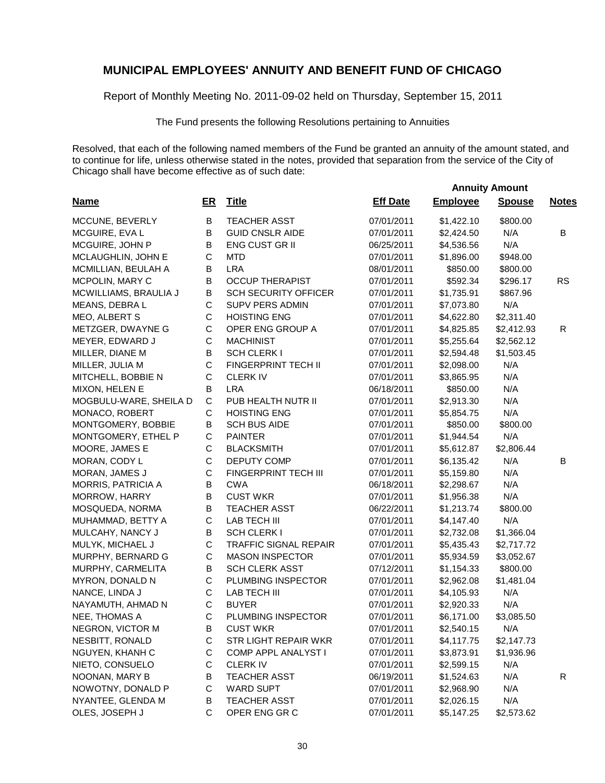Report of Monthly Meeting No. 2011-09-02 held on Thursday, September 15, 2011

The Fund presents the following Resolutions pertaining to Annuities

Resolved, that each of the following named members of the Fund be granted an annuity of the amount stated, and to continue for life, unless otherwise stated in the notes, provided that separation from the service of the City of Chicago shall have become effective as of such date:

| <b>Name</b>               | <u>ER</u>   | <b>Title</b>                 | <b>Eff Date</b> | <b>Employee</b> | <b>Spouse</b> | <b>Notes</b> |
|---------------------------|-------------|------------------------------|-----------------|-----------------|---------------|--------------|
| MCCUNE, BEVERLY           | B           | <b>TEACHER ASST</b>          | 07/01/2011      | \$1,422.10      | \$800.00      |              |
| MCGUIRE, EVA L            | B           | <b>GUID CNSLR AIDE</b>       | 07/01/2011      | \$2,424.50      | N/A           | B            |
| MCGUIRE, JOHN P           | B           | <b>ENG CUST GR II</b>        | 06/25/2011      | \$4,536.56      | N/A           |              |
| MCLAUGHLIN, JOHN E        | $\mathsf C$ | <b>MTD</b>                   | 07/01/2011      | \$1,896.00      | \$948.00      |              |
| MCMILLIAN, BEULAH A       | B           | <b>LRA</b>                   | 08/01/2011      | \$850.00        | \$800.00      |              |
| MCPOLIN, MARY C           | B           | <b>OCCUP THERAPIST</b>       | 07/01/2011      | \$592.34        | \$296.17      | <b>RS</b>    |
| MCWILLIAMS, BRAULIA J     | B           | <b>SCH SECURITY OFFICER</b>  | 07/01/2011      | \$1,735.91      | \$867.96      |              |
| MEANS, DEBRA L            | $\mathsf C$ | <b>SUPV PERS ADMIN</b>       | 07/01/2011      | \$7,073.80      | N/A           |              |
| MEO, ALBERT S             | $\mathsf C$ | <b>HOISTING ENG</b>          | 07/01/2011      | \$4,622.80      | \$2,311.40    |              |
| METZGER, DWAYNE G         | $\mathsf C$ | OPER ENG GROUP A             | 07/01/2011      | \$4,825.85      | \$2,412.93    | R            |
| MEYER, EDWARD J           | C           | <b>MACHINIST</b>             | 07/01/2011      | \$5,255.64      | \$2,562.12    |              |
| MILLER, DIANE M           | B           | SCH CLERK I                  | 07/01/2011      | \$2,594.48      | \$1,503.45    |              |
| MILLER, JULIA M           | $\mathsf C$ | FINGERPRINT TECH II          | 07/01/2011      | \$2,098.00      | N/A           |              |
| MITCHELL, BOBBIE N        | C           | <b>CLERKIV</b>               | 07/01/2011      | \$3,865.95      | N/A           |              |
| MIXON, HELEN E            | B           | <b>LRA</b>                   | 06/18/2011      | \$850.00        | N/A           |              |
| MOGBULU-WARE, SHEILA D    | $\mathsf C$ | PUB HEALTH NUTR II           | 07/01/2011      | \$2,913.30      | N/A           |              |
| MONACO, ROBERT            | C           | <b>HOISTING ENG</b>          | 07/01/2011      | \$5,854.75      | N/A           |              |
| MONTGOMERY, BOBBIE        | B           | <b>SCH BUS AIDE</b>          | 07/01/2011      | \$850.00        | \$800.00      |              |
| MONTGOMERY, ETHEL P       | C           | <b>PAINTER</b>               | 07/01/2011      | \$1,944.54      | N/A           |              |
| MOORE, JAMES E            | C           | <b>BLACKSMITH</b>            | 07/01/2011      | \$5,612.87      | \$2,806.44    |              |
| MORAN, CODY L             | C           | DEPUTY COMP                  | 07/01/2011      | \$6,135.42      | N/A           | B            |
| MORAN, JAMES J            | C           | FINGERPRINT TECH III         | 07/01/2011      | \$5,159.80      | N/A           |              |
| <b>MORRIS, PATRICIA A</b> | B           | <b>CWA</b>                   | 06/18/2011      | \$2,298.67      | N/A           |              |
| MORROW, HARRY             | $\sf B$     | <b>CUST WKR</b>              | 07/01/2011      | \$1,956.38      | N/A           |              |
| MOSQUEDA, NORMA           | B           | <b>TEACHER ASST</b>          | 06/22/2011      | \$1,213.74      | \$800.00      |              |
| MUHAMMAD, BETTY A         | C           | LAB TECH III                 | 07/01/2011      | \$4,147.40      | N/A           |              |
| MULCAHY, NANCY J          | B           | SCH CLERK I                  | 07/01/2011      | \$2,732.08      | \$1,366.04    |              |
| MULYK, MICHAEL J          | $\mathsf C$ | <b>TRAFFIC SIGNAL REPAIR</b> | 07/01/2011      | \$5,435.43      | \$2,717.72    |              |
| MURPHY, BERNARD G         | C           | <b>MASON INSPECTOR</b>       | 07/01/2011      | \$5,934.59      | \$3,052.67    |              |
| MURPHY, CARMELITA         | B           | <b>SCH CLERK ASST</b>        | 07/12/2011      | \$1,154.33      | \$800.00      |              |
| MYRON, DONALD N           | C           | PLUMBING INSPECTOR           | 07/01/2011      | \$2,962.08      | \$1,481.04    |              |
| NANCE, LINDA J            | C           | LAB TECH III                 | 07/01/2011      | \$4,105.93      | N/A           |              |
| NAYAMUTH, AHMAD N         | C           | <b>BUYER</b>                 | 07/01/2011      | \$2,920.33      | N/A           |              |
| NEE, THOMAS A             | $\mathsf C$ | PLUMBING INSPECTOR           | 07/01/2011      | \$6,171.00      | \$3,085.50    |              |
| NEGRON, VICTOR M          | В           | <b>CUST WKR</b>              | 07/01/2011      | \$2,540.15      | N/A           |              |
| NESBITT, RONALD           | C           | STR LIGHT REPAIR WKR         | 07/01/2011      | \$4,117.75      | \$2,147.73    |              |
| NGUYEN, KHANH C           | С           | COMP APPL ANALYST I          | 07/01/2011      | \$3,873.91      | \$1,936.96    |              |
| NIETO, CONSUELO           | C           | <b>CLERKIV</b>               | 07/01/2011      | \$2,599.15      | N/A           |              |
| NOONAN, MARY B            | B           | <b>TEACHER ASST</b>          | 06/19/2011      | \$1,524.63      | N/A           | $\mathsf{R}$ |
| NOWOTNY, DONALD P         | C           | <b>WARD SUPT</b>             | 07/01/2011      | \$2,968.90      | N/A           |              |
| NYANTEE, GLENDA M         | B           | <b>TEACHER ASST</b>          | 07/01/2011      | \$2,026.15      | N/A           |              |
| OLES, JOSEPH J            | C           | OPER ENG GR C                | 07/01/2011      | \$5,147.25      | \$2,573.62    |              |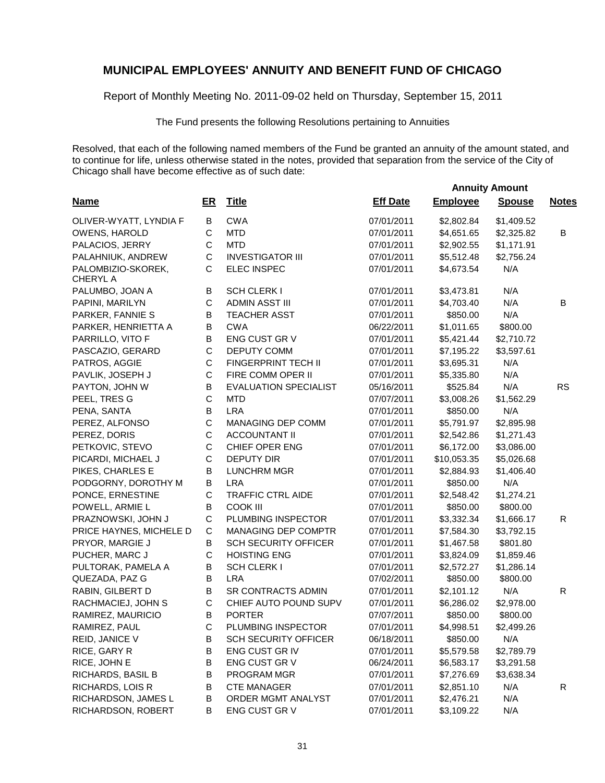Report of Monthly Meeting No. 2011-09-02 held on Thursday, September 15, 2011

The Fund presents the following Resolutions pertaining to Annuities

|                                       |              |                              |                 | <b>Annuity Amount</b> |               |              |
|---------------------------------------|--------------|------------------------------|-----------------|-----------------------|---------------|--------------|
| <b>Name</b>                           | $E$ R        | <b>Title</b>                 | <b>Eff Date</b> | <b>Employee</b>       | <b>Spouse</b> | <b>Notes</b> |
| OLIVER-WYATT, LYNDIA F                | В            | <b>CWA</b>                   | 07/01/2011      | \$2,802.84            | \$1,409.52    |              |
| OWENS, HAROLD                         | $\mathbf C$  | <b>MTD</b>                   | 07/01/2011      | \$4,651.65            | \$2,325.82    | B            |
| PALACIOS, JERRY                       | C            | <b>MTD</b>                   | 07/01/2011      | \$2,902.55            | \$1,171.91    |              |
| PALAHNIUK, ANDREW                     | C            | <b>INVESTIGATOR III</b>      | 07/01/2011      | \$5,512.48            | \$2,756.24    |              |
| PALOMBIZIO-SKOREK,<br><b>CHERYL A</b> | $\mathsf{C}$ | <b>ELEC INSPEC</b>           | 07/01/2011      | \$4,673.54            | N/A           |              |
| PALUMBO, JOAN A                       | В            | SCH CLERK I                  | 07/01/2011      | \$3,473.81            | N/A           |              |
| PAPINI, MARILYN                       | $\mathsf{C}$ | ADMIN ASST III               | 07/01/2011      | \$4,703.40            | N/A           | B            |
| PARKER, FANNIE S                      | B            | <b>TEACHER ASST</b>          | 07/01/2011      | \$850.00              | N/A           |              |
| PARKER, HENRIETTA A                   | B            | <b>CWA</b>                   | 06/22/2011      | \$1,011.65            | \$800.00      |              |
| PARRILLO, VITO F                      | В            | ENG CUST GR V                | 07/01/2011      | \$5,421.44            | \$2,710.72    |              |
| PASCAZIO, GERARD                      | $\mathsf{C}$ | <b>DEPUTY COMM</b>           | 07/01/2011      | \$7,195.22            | \$3,597.61    |              |
| PATROS, AGGIE                         | $\mathsf C$  | FINGERPRINT TECH II          | 07/01/2011      | \$3,695.31            | N/A           |              |
| PAVLIK, JOSEPH J                      | $\mathsf C$  | FIRE COMM OPER II            | 07/01/2011      | \$5,335.80            | N/A           |              |
| PAYTON, JOHN W                        | B            | <b>EVALUATION SPECIALIST</b> | 05/16/2011      | \$525.84              | N/A           | <b>RS</b>    |
| PEEL, TRES G                          | $\mathsf C$  | <b>MTD</b>                   | 07/07/2011      | \$3,008.26            | \$1,562.29    |              |
| PENA, SANTA                           | B            | <b>LRA</b>                   | 07/01/2011      | \$850.00              | N/A           |              |
| PEREZ, ALFONSO                        | $\mathsf C$  | MANAGING DEP COMM            | 07/01/2011      | \$5,791.97            | \$2,895.98    |              |
| PEREZ, DORIS                          | $\mathsf C$  | <b>ACCOUNTANT II</b>         | 07/01/2011      | \$2,542.86            | \$1,271.43    |              |
| PETKOVIC, STEVO                       | $\mathsf C$  | CHIEF OPER ENG               | 07/01/2011      | \$6,172.00            | \$3,086.00    |              |
| PICARDI, MICHAEL J                    | $\mathsf C$  | <b>DEPUTY DIR</b>            | 07/01/2011      | \$10,053.35           | \$5,026.68    |              |
| PIKES, CHARLES E                      | B            | <b>LUNCHRM MGR</b>           | 07/01/2011      | \$2,884.93            | \$1,406.40    |              |
| PODGORNY, DOROTHY M                   | B            | <b>LRA</b>                   | 07/01/2011      | \$850.00              | N/A           |              |
| PONCE, ERNESTINE                      | $\mathsf C$  | TRAFFIC CTRL AIDE            | 07/01/2011      | \$2,548.42            | \$1,274.21    |              |
| POWELL, ARMIE L                       | B            | <b>COOK III</b>              | 07/01/2011      | \$850.00              | \$800.00      |              |
| PRAZNOWSKI, JOHN J                    | $\mathbf C$  | PLUMBING INSPECTOR           | 07/01/2011      | \$3,332.34            | \$1,666.17    | R            |
| PRICE HAYNES, MICHELE D               | $\mathsf C$  | MANAGING DEP COMPTR          | 07/01/2011      | \$7,584.30            | \$3,792.15    |              |
| PRYOR, MARGIE J                       | B            | <b>SCH SECURITY OFFICER</b>  | 07/01/2011      | \$1,467.58            | \$801.80      |              |
| PUCHER, MARC J                        | $\mathsf C$  | <b>HOISTING ENG</b>          | 07/01/2011      | \$3,824.09            | \$1,859.46    |              |
| PULTORAK, PAMELA A                    | B            | <b>SCH CLERK I</b>           | 07/01/2011      | \$2,572.27            | \$1,286.14    |              |
| QUEZADA, PAZ G                        | B            | <b>LRA</b>                   | 07/02/2011      | \$850.00              | \$800.00      |              |
| RABIN, GILBERT D                      | $\sf B$      | SR CONTRACTS ADMIN           | 07/01/2011      | \$2,101.12            | N/A           | R            |
| RACHMACIEJ, JOHN S                    | $\mathbf C$  | CHIEF AUTO POUND SUPV        | 07/01/2011      | \$6,286.02            | \$2,978.00    |              |
| RAMIREZ, MAURICIO                     | В            | <b>PORTER</b>                | 07/07/2011      | \$850.00              | \$800.00      |              |
| RAMIREZ, PAUL                         | $\mathsf C$  | PLUMBING INSPECTOR           | 07/01/2011      | \$4,998.51            | \$2,499.26    |              |
| REID, JANICE V                        | Β            | <b>SCH SECURITY OFFICER</b>  | 06/18/2011      | \$850.00              | N/A           |              |
| RICE, GARY R                          | B            | ENG CUST GR IV               | 07/01/2011      | \$5,579.58            | \$2,789.79    |              |
| RICE, JOHN E                          | B            | ENG CUST GR V                | 06/24/2011      | \$6,583.17            | \$3,291.58    |              |
| RICHARDS, BASIL B                     | B            | PROGRAM MGR                  | 07/01/2011      | \$7,276.69            | \$3,638.34    |              |
| RICHARDS, LOIS R                      | B            | <b>CTE MANAGER</b>           | 07/01/2011      | \$2,851.10            | N/A           | $\mathsf{R}$ |
| RICHARDSON, JAMES L                   | B            | ORDER MGMT ANALYST           | 07/01/2011      | \$2,476.21            | N/A           |              |
| RICHARDSON, ROBERT                    | B            | ENG CUST GR V                | 07/01/2011      | \$3,109.22            | N/A           |              |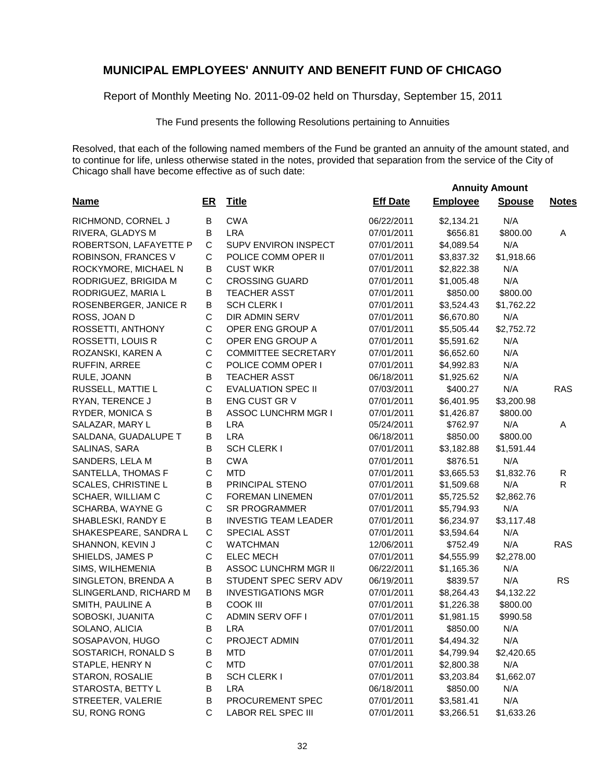Report of Monthly Meeting No. 2011-09-02 held on Thursday, September 15, 2011

The Fund presents the following Resolutions pertaining to Annuities

|                            |             |                             | <b>Annuity Amount</b> |                 |               |              |  |
|----------------------------|-------------|-----------------------------|-----------------------|-----------------|---------------|--------------|--|
| <b>Name</b>                | <u>ER</u>   | <b>Title</b>                | <b>Eff Date</b>       | <b>Employee</b> | <b>Spouse</b> | <b>Notes</b> |  |
| RICHMOND, CORNEL J         | В           | <b>CWA</b>                  | 06/22/2011            | \$2,134.21      | N/A           |              |  |
| RIVERA, GLADYS M           | B           | <b>LRA</b>                  | 07/01/2011            | \$656.81        | \$800.00      | Α            |  |
| ROBERTSON, LAFAYETTE P     | $\mathsf C$ | SUPV ENVIRON INSPECT        | 07/01/2011            | \$4,089.54      | N/A           |              |  |
| ROBINSON, FRANCES V        | $\mathsf C$ | POLICE COMM OPER II         | 07/01/2011            | \$3,837.32      | \$1,918.66    |              |  |
| ROCKYMORE, MICHAEL N       | B           | <b>CUST WKR</b>             | 07/01/2011            | \$2,822.38      | N/A           |              |  |
| RODRIGUEZ, BRIGIDA M       | $\mathsf C$ | <b>CROSSING GUARD</b>       | 07/01/2011            | \$1,005.48      | N/A           |              |  |
| RODRIGUEZ, MARIA L         | $\sf B$     | <b>TEACHER ASST</b>         | 07/01/2011            | \$850.00        | \$800.00      |              |  |
| ROSENBERGER, JANICE R      | $\sf B$     | <b>SCH CLERK I</b>          | 07/01/2011            | \$3,524.43      | \$1,762.22    |              |  |
| ROSS, JOAN D               | $\mathsf C$ | DIR ADMIN SERV              | 07/01/2011            | \$6,670.80      | N/A           |              |  |
| ROSSETTI, ANTHONY          | $\mathsf C$ | OPER ENG GROUP A            | 07/01/2011            | \$5,505.44      | \$2,752.72    |              |  |
| ROSSETTI, LOUIS R          | $\mathsf C$ | OPER ENG GROUP A            | 07/01/2011            | \$5,591.62      | N/A           |              |  |
| ROZANSKI, KAREN A          | C           | <b>COMMITTEE SECRETARY</b>  | 07/01/2011            | \$6,652.60      | N/A           |              |  |
| RUFFIN, ARREE              | $\mathsf C$ | POLICE COMM OPER I          | 07/01/2011            | \$4,992.83      | N/A           |              |  |
| RULE, JOANN                | B           | <b>TEACHER ASST</b>         | 06/18/2011            | \$1,925.62      | N/A           |              |  |
| RUSSELL, MATTIE L          | $\mathsf C$ | <b>EVALUATION SPEC II</b>   | 07/03/2011            | \$400.27        | N/A           | <b>RAS</b>   |  |
| RYAN, TERENCE J            | $\sf B$     | ENG CUST GR V               | 07/01/2011            | \$6,401.95      | \$3,200.98    |              |  |
| RYDER, MONICA S            | $\mathsf B$ | <b>ASSOC LUNCHRM MGR I</b>  | 07/01/2011            | \$1,426.87      | \$800.00      |              |  |
| SALAZAR, MARY L            | B           | <b>LRA</b>                  | 05/24/2011            | \$762.97        | N/A           | Α            |  |
| SALDANA, GUADALUPE T       | B           | <b>LRA</b>                  | 06/18/2011            | \$850.00        | \$800.00      |              |  |
| SALINAS, SARA              | B           | <b>SCH CLERK I</b>          | 07/01/2011            | \$3,182.88      | \$1,591.44    |              |  |
| SANDERS, LELA M            | B           | <b>CWA</b>                  | 07/01/2011            | \$876.51        | N/A           |              |  |
| SANTELLA, THOMAS F         | $\mathsf C$ | <b>MTD</b>                  | 07/01/2011            | \$3,665.53      | \$1,832.76    | R            |  |
| <b>SCALES, CHRISTINE L</b> | B           | PRINCIPAL STENO             | 07/01/2011            | \$1,509.68      | N/A           | R            |  |
| SCHAER, WILLIAM C          | C           | <b>FOREMAN LINEMEN</b>      | 07/01/2011            | \$5,725.52      | \$2,862.76    |              |  |
| SCHARBA, WAYNE G           | C           | <b>SR PROGRAMMER</b>        | 07/01/2011            | \$5,794.93      | N/A           |              |  |
| SHABLESKI, RANDY E         | B           | <b>INVESTIG TEAM LEADER</b> | 07/01/2011            | \$6,234.97      | \$3,117.48    |              |  |
| SHAKESPEARE, SANDRA L      | $\mathsf C$ | <b>SPECIAL ASST</b>         | 07/01/2011            | \$3,594.64      | N/A           |              |  |
| SHANNON, KEVIN J           | $\mathsf C$ | <b>WATCHMAN</b>             | 12/06/2011            | \$752.49        | N/A           | <b>RAS</b>   |  |
| SHIELDS, JAMES P           | C           | <b>ELEC MECH</b>            | 07/01/2011            | \$4,555.99      | \$2,278.00    |              |  |
| SIMS, WILHEMENIA           | В           | ASSOC LUNCHRM MGR II        | 06/22/2011            | \$1,165.36      | N/A           |              |  |
| SINGLETON, BRENDA A        | B           | STUDENT SPEC SERV ADV       | 06/19/2011            | \$839.57        | N/A           | <b>RS</b>    |  |
| SLINGERLAND, RICHARD M     | B           | <b>INVESTIGATIONS MGR</b>   | 07/01/2011            | \$8,264.43      | \$4,132.22    |              |  |
| SMITH, PAULINE A           | B           | <b>COOK III</b>             | 07/01/2011            | \$1,226.38      | \$800.00      |              |  |
| SOBOSKI, JUANITA           | C           | <b>ADMIN SERV OFF I</b>     | 07/01/2011            | \$1,981.15      | \$990.58      |              |  |
| SOLANO, ALICIA             | B           | <b>LRA</b>                  | 07/01/2011            | \$850.00        | N/A           |              |  |
| SOSAPAVON, HUGO            | C           | PROJECT ADMIN               | 07/01/2011            | \$4,494.32      | N/A           |              |  |
| SOSTARICH, RONALD S        | B           | <b>MTD</b>                  | 07/01/2011            | \$4,799.94      | \$2,420.65    |              |  |
| STAPLE, HENRY N            | C           | <b>MTD</b>                  | 07/01/2011            | \$2,800.38      | N/A           |              |  |
| STARON, ROSALIE            | B           | <b>SCH CLERK I</b>          | 07/01/2011            | \$3,203.84      | \$1,662.07    |              |  |
| STAROSTA, BETTY L          | B           | <b>LRA</b>                  | 06/18/2011            | \$850.00        | N/A           |              |  |
| STREETER, VALERIE          | B           | PROCUREMENT SPEC            | 07/01/2011            | \$3,581.41      | N/A           |              |  |
| SU, RONG RONG              | $\mathsf C$ | <b>LABOR REL SPEC III</b>   | 07/01/2011            | \$3,266.51      | \$1,633.26    |              |  |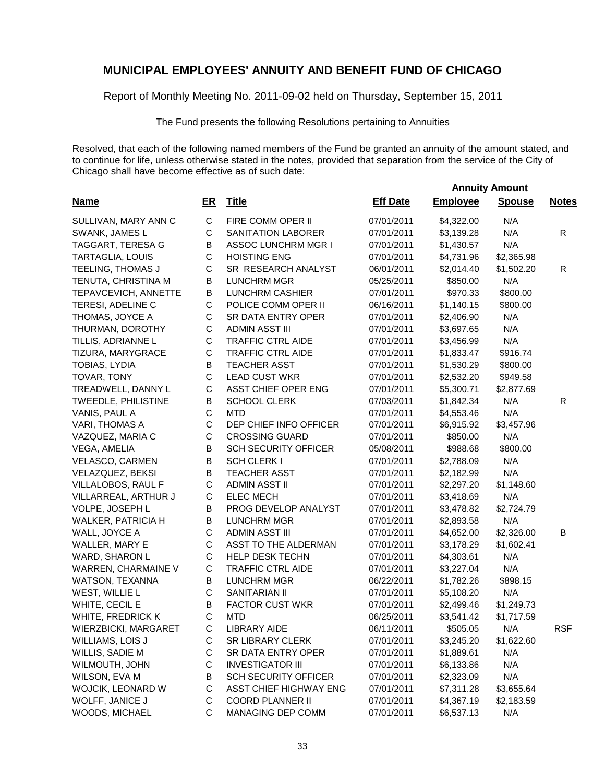Report of Monthly Meeting No. 2011-09-02 held on Thursday, September 15, 2011

The Fund presents the following Resolutions pertaining to Annuities

|                             |             |                               | <b>Annuity Amount</b> |                 |               |              |  |
|-----------------------------|-------------|-------------------------------|-----------------------|-----------------|---------------|--------------|--|
| <b>Name</b>                 | ER          | <b>Title</b>                  | <b>Eff Date</b>       | <b>Employee</b> | <b>Spouse</b> | <b>Notes</b> |  |
| SULLIVAN, MARY ANN C        | $\mathsf C$ | FIRE COMM OPER II             | 07/01/2011            | \$4,322.00      | N/A           |              |  |
| SWANK, JAMES L              | $\mathsf C$ | SANITATION LABORER            | 07/01/2011            | \$3,139.28      | N/A           | R            |  |
| TAGGART, TERESA G           | B           | <b>ASSOC LUNCHRM MGR I</b>    | 07/01/2011            | \$1,430.57      | N/A           |              |  |
| <b>TARTAGLIA, LOUIS</b>     | $\mathsf C$ | <b>HOISTING ENG</b>           | 07/01/2011            | \$4,731.96      | \$2,365.98    |              |  |
| TEELING, THOMAS J           | C           | SR RESEARCH ANALYST           | 06/01/2011            | \$2,014.40      | \$1,502.20    | $\mathsf{R}$ |  |
| TENUTA, CHRISTINA M         | B           | <b>LUNCHRM MGR</b>            | 05/25/2011            | \$850.00        | N/A           |              |  |
| TEPAVCEVICH, ANNETTE        | $\sf B$     | <b>LUNCHRM CASHIER</b>        | 07/01/2011            | \$970.33        | \$800.00      |              |  |
| TERESI, ADELINE C           | C           | POLICE COMM OPER II           | 06/16/2011            | \$1,140.15      | \$800.00      |              |  |
| THOMAS, JOYCE A             | C           | SR DATA ENTRY OPER            | 07/01/2011            | \$2,406.90      | N/A           |              |  |
| THURMAN, DOROTHY            | $\mathsf C$ | <b>ADMIN ASST III</b>         | 07/01/2011            | \$3,697.65      | N/A           |              |  |
| TILLIS, ADRIANNE L          | $\mathsf C$ | <b>TRAFFIC CTRL AIDE</b>      | 07/01/2011            | \$3,456.99      | N/A           |              |  |
| TIZURA, MARYGRACE           | C           | <b>TRAFFIC CTRL AIDE</b>      | 07/01/2011            | \$1,833.47      | \$916.74      |              |  |
| TOBIAS, LYDIA               | B           | <b>TEACHER ASST</b>           | 07/01/2011            | \$1,530.29      | \$800.00      |              |  |
| TOVAR, TONY                 | $\mathsf C$ | <b>LEAD CUST WKR</b>          | 07/01/2011            | \$2,532.20      | \$949.58      |              |  |
| TREADWELL, DANNY L          | $\mathsf C$ | ASST CHIEF OPER ENG           | 07/01/2011            | \$5,300.71      | \$2,877.69    |              |  |
| TWEEDLE, PHILISTINE         | B           | <b>SCHOOL CLERK</b>           | 07/03/2011            | \$1,842.34      | N/A           | $\mathsf R$  |  |
| VANIS, PAUL A               | $\mathsf C$ | <b>MTD</b>                    | 07/01/2011            | \$4,553.46      | N/A           |              |  |
| VARI, THOMAS A              | $\mathsf C$ | DEP CHIEF INFO OFFICER        | 07/01/2011            | \$6,915.92      | \$3,457.96    |              |  |
| VAZQUEZ, MARIA C            | $\mathsf C$ | <b>CROSSING GUARD</b>         | 07/01/2011            | \$850.00        | N/A           |              |  |
| VEGA, AMELIA                | B           | <b>SCH SECURITY OFFICER</b>   | 05/08/2011            | \$988.68        | \$800.00      |              |  |
| VELASCO, CARMEN             | B           | <b>SCH CLERK I</b>            | 07/01/2011            | \$2,788.09      | N/A           |              |  |
| VELAZQUEZ, BEKSI            | B           | <b>TEACHER ASST</b>           | 07/01/2011            | \$2,182.99      | N/A           |              |  |
| VILLALOBOS, RAUL F          | $\mathsf C$ | <b>ADMIN ASST II</b>          | 07/01/2011            | \$2,297.20      | \$1,148.60    |              |  |
| VILLARREAL, ARTHUR J        | C           | <b>ELEC MECH</b>              | 07/01/2011            | \$3,418.69      | N/A           |              |  |
| VOLPE, JOSEPH L             | B           | PROG DEVELOP ANALYST          | 07/01/2011            | \$3,478.82      | \$2,724.79    |              |  |
| WALKER, PATRICIA H          | B           | <b>LUNCHRM MGR</b>            | 07/01/2011            | \$2,893.58      | N/A           |              |  |
| WALL, JOYCE A               | $\mathsf C$ | <b>ADMIN ASST III</b>         | 07/01/2011            | \$4,652.00      | \$2,326.00    | B            |  |
| WALLER, MARY E              | C           | ASST TO THE ALDERMAN          | 07/01/2011            | \$3,178.29      | \$1,602.41    |              |  |
| WARD, SHARON L              | C           | <b>HELP DESK TECHN</b>        | 07/01/2011            | \$4,303.61      | N/A           |              |  |
| WARREN, CHARMAINE V         | C           | TRAFFIC CTRL AIDE             | 07/01/2011            | \$3,227.04      | N/A           |              |  |
| WATSON, TEXANNA             | B           | <b>LUNCHRM MGR</b>            | 06/22/2011            | \$1,782.26      | \$898.15      |              |  |
| WEST, WILLIE L              | $\mathsf C$ | SANITARIAN II                 | 07/01/2011            | \$5,108.20      | N/A           |              |  |
| WHITE, CECIL E              | B           | <b>FACTOR CUST WKR</b>        | 07/01/2011            | \$2,499.46      | \$1,249.73    |              |  |
| <b>WHITE, FREDRICK K</b>    | $\mathsf C$ | <b>MTD</b>                    | 06/25/2011            | \$3,541.42      | \$1,717.59    |              |  |
| <b>WIERZBICKI, MARGARET</b> | C           | LIBRARY AIDE                  | 06/11/2011            | \$505.05        | N/A           | <b>RSF</b>   |  |
| WILLIAMS, LOIS J            | С           | <b>SR LIBRARY CLERK</b>       | 07/01/2011            | \$3,245.20      | \$1,622.60    |              |  |
| WILLIS, SADIE M             | C           | <b>SR DATA ENTRY OPER</b>     | 07/01/2011            | \$1,889.61      | N/A           |              |  |
| WILMOUTH, JOHN              | $\mathsf C$ | <b>INVESTIGATOR III</b>       | 07/01/2011            | \$6,133.86      | N/A           |              |  |
| WILSON, EVA M               | B           | <b>SCH SECURITY OFFICER</b>   | 07/01/2011            | \$2,323.09      | N/A           |              |  |
| WOJCIK, LEONARD W           | C           | <b>ASST CHIEF HIGHWAY ENG</b> | 07/01/2011            | \$7,311.28      | \$3,655.64    |              |  |
| WOLFF, JANICE J             | C           | <b>COORD PLANNER II</b>       | 07/01/2011            | \$4,367.19      | \$2,183.59    |              |  |
| WOODS, MICHAEL              | $\mathsf C$ | MANAGING DEP COMM             | 07/01/2011            | \$6,537.13      | N/A           |              |  |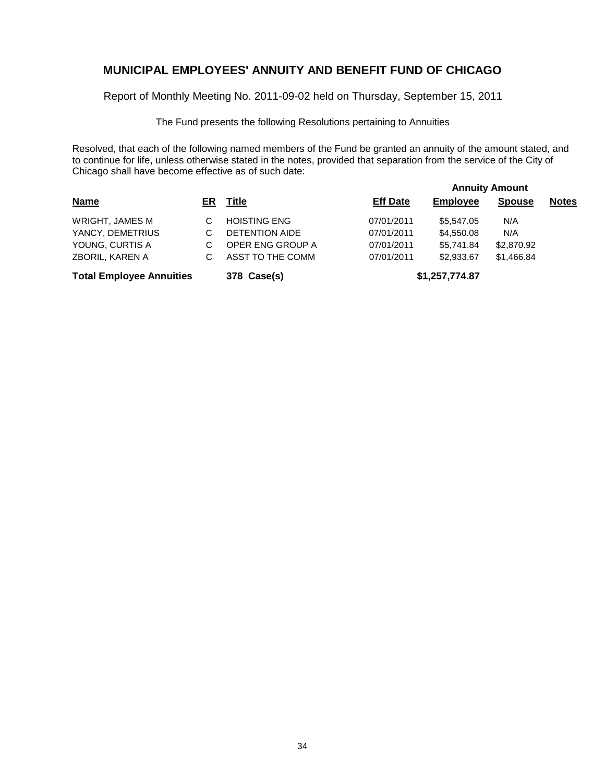Report of Monthly Meeting No. 2011-09-02 held on Thursday, September 15, 2011

The Fund presents the following Resolutions pertaining to Annuities

|                                 |    |                       |                 | <b>Annuity Amount</b> |               |              |  |  |  |
|---------------------------------|----|-----------------------|-----------------|-----------------------|---------------|--------------|--|--|--|
| <b>Name</b>                     | ER | <u>Title</u>          | <b>Eff Date</b> | <b>Employee</b>       | <b>Spouse</b> | <b>Notes</b> |  |  |  |
| WRIGHT, JAMES M                 | C  | <b>HOISTING ENG</b>   | 07/01/2011      | \$5,547.05            | N/A           |              |  |  |  |
| YANCY, DEMETRIUS                | C  | <b>DETENTION AIDE</b> | 07/01/2011      | \$4,550.08            | N/A           |              |  |  |  |
| YOUNG, CURTIS A                 | С  | OPER ENG GROUP A      | 07/01/2011      | \$5,741.84            | \$2,870.92    |              |  |  |  |
| ZBORIL, KAREN A                 | С  | ASST TO THE COMM      | 07/01/2011      | \$2,933.67            | \$1,466.84    |              |  |  |  |
| <b>Total Employee Annuities</b> |    | 378 Case(s)           |                 | \$1,257,774.87        |               |              |  |  |  |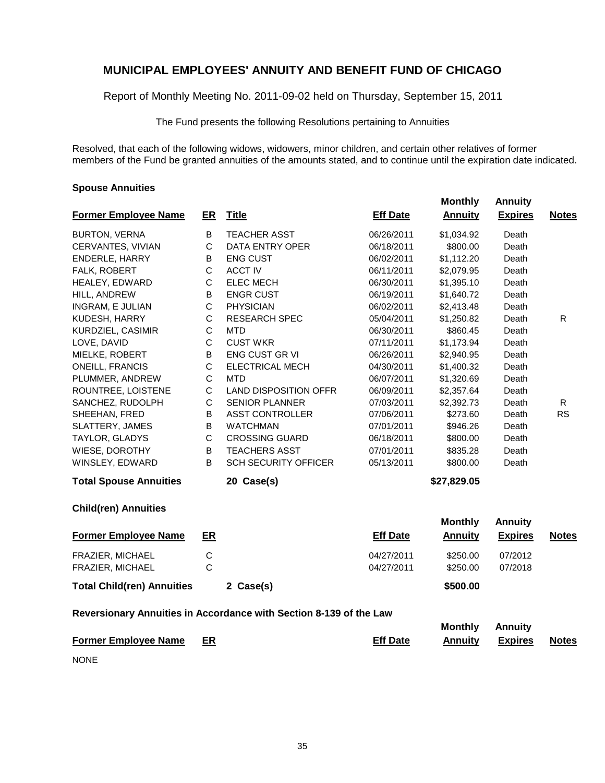Report of Monthly Meeting No. 2011-09-02 held on Thursday, September 15, 2011

The Fund presents the following Resolutions pertaining to Annuities

Resolved, that each of the following widows, widowers, minor children, and certain other relatives of former members of the Fund be granted annuities of the amounts stated, and to continue until the expiration date indicated.

#### **Spouse Annuities**

|                                   |                |                              |                 | <b>Monthly</b> | <b>Annuity</b> |              |
|-----------------------------------|----------------|------------------------------|-----------------|----------------|----------------|--------------|
| <b>Former Employee Name</b>       | ER             | <b>Title</b>                 | <b>Eff Date</b> | <b>Annuity</b> | <b>Expires</b> | <b>Notes</b> |
| <b>BURTON, VERNA</b>              | B              | <b>TEACHER ASST</b>          | 06/26/2011      | \$1,034.92     | Death          |              |
| CERVANTES, VIVIAN                 | C              | DATA ENTRY OPER              | 06/18/2011      | \$800.00       | Death          |              |
| <b>ENDERLE, HARRY</b>             | B              | <b>ENG CUST</b>              | 06/02/2011      | \$1,112.20     | Death          |              |
| FALK, ROBERT                      | C              | <b>ACCT IV</b>               | 06/11/2011      | \$2,079.95     | Death          |              |
| HEALEY, EDWARD                    | С              | <b>ELEC MECH</b>             | 06/30/2011      | \$1,395.10     | Death          |              |
| HILL, ANDREW                      | В              | <b>ENGR CUST</b>             | 06/19/2011      | \$1,640.72     | Death          |              |
| INGRAM, E JULIAN                  | C              | <b>PHYSICIAN</b>             | 06/02/2011      | \$2,413.48     | Death          |              |
| KUDESH, HARRY                     | C              | <b>RESEARCH SPEC</b>         | 05/04/2011      | \$1,250.82     | Death          | R.           |
| KURDZIEL, CASIMIR                 | C              | <b>MTD</b>                   | 06/30/2011      | \$860.45       | Death          |              |
| LOVE, DAVID                       | С              | <b>CUST WKR</b>              | 07/11/2011      | \$1,173.94     | Death          |              |
| MIELKE, ROBERT                    | В              | <b>ENG CUST GR VI</b>        | 06/26/2011      | \$2,940.95     | Death          |              |
| <b>ONEILL, FRANCIS</b>            | C              | <b>ELECTRICAL MECH</b>       | 04/30/2011      | \$1,400.32     | Death          |              |
| PLUMMER, ANDREW                   | C              | <b>MTD</b>                   | 06/07/2011      | \$1,320.69     | Death          |              |
| ROUNTREE, LOISTENE                | С              | <b>LAND DISPOSITION OFFR</b> | 06/09/2011      | \$2,357.64     | Death          |              |
| SANCHEZ, RUDOLPH                  | C              | <b>SENIOR PLANNER</b>        | 07/03/2011      | \$2,392.73     | Death          | R            |
| SHEEHAN, FRED                     | B              | <b>ASST CONTROLLER</b>       | 07/06/2011      | \$273.60       | Death          | <b>RS</b>    |
| SLATTERY, JAMES                   | B              | <b>WATCHMAN</b>              | 07/01/2011      | \$946.26       | Death          |              |
| TAYLOR, GLADYS                    | C              | <b>CROSSING GUARD</b>        | 06/18/2011      | \$800.00       | Death          |              |
| WIESE, DOROTHY                    | B              | <b>TEACHERS ASST</b>         | 07/01/2011      | \$835.28       | Death          |              |
| WINSLEY, EDWARD                   | B              | <b>SCH SECURITY OFFICER</b>  | 05/13/2011      | \$800.00       | Death          |              |
| <b>Total Spouse Annuities</b>     |                | 20 Case(s)                   |                 | \$27,829.05    |                |              |
| <b>Child(ren) Annuities</b>       |                |                              |                 |                |                |              |
|                                   |                |                              |                 | <b>Monthly</b> | <b>Annuity</b> |              |
| <b>Former Employee Name</b>       | ER             |                              | <b>Eff Date</b> | <b>Annuity</b> | <b>Expires</b> | <b>Notes</b> |
| FRAZIER, MICHAEL                  | С              |                              | 04/27/2011      | \$250.00       | 07/2012        |              |
| FRAZIER, MICHAEL                  | $\overline{C}$ |                              | 04/27/2011      | \$250.00       | 07/2018        |              |
| <b>Total Child(ren) Annuities</b> |                | 2 Case(s)                    |                 | \$500.00       |                |              |

#### **Reversionary Annuities in Accordance with Section 8-139 of the Law**

|                                |                 | <b>Monthly Annuity</b> |         |       |
|--------------------------------|-----------------|------------------------|---------|-------|
| <b>Former Employee Name ER</b> | <b>Eff Date</b> | Annuitv                | Expires | Notes |

NONE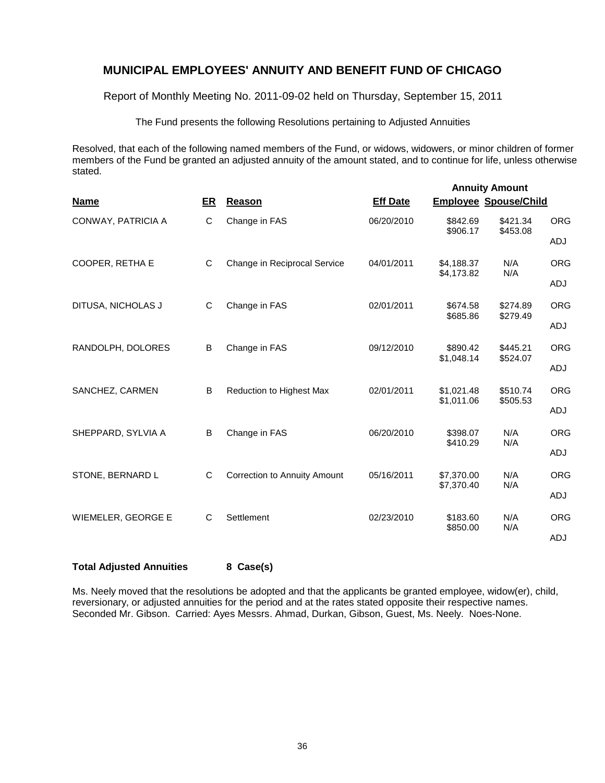Report of Monthly Meeting No. 2011-09-02 held on Thursday, September 15, 2011

The Fund presents the following Resolutions pertaining to Adjusted Annuities

Resolved, that each of the following named members of the Fund, or widows, widowers, or minor children of former members of the Fund be granted an adjusted annuity of the amount stated, and to continue for life, unless otherwise stated.

| <b>Name</b>               | ER | <b>Reason</b>                       | <b>Eff Date</b> | <b>Annuity Amount</b><br><b>Employee Spouse/Child</b> |                      |            |
|---------------------------|----|-------------------------------------|-----------------|-------------------------------------------------------|----------------------|------------|
| CONWAY, PATRICIA A        | С  | Change in FAS                       | 06/20/2010      | \$842.69<br>\$906.17                                  | \$421.34<br>\$453.08 | <b>ORG</b> |
|                           |    |                                     |                 |                                                       |                      | ADJ        |
| COOPER, RETHA E           | C  | Change in Reciprocal Service        | 04/01/2011      | \$4,188.37<br>\$4,173.82                              | N/A<br>N/A           | <b>ORG</b> |
|                           |    |                                     |                 |                                                       |                      | ADJ        |
| DITUSA, NICHOLAS J        | C  | Change in FAS                       | 02/01/2011      | \$674.58<br>\$685.86                                  | \$274.89<br>\$279.49 | <b>ORG</b> |
|                           |    |                                     |                 |                                                       |                      | <b>ADJ</b> |
| RANDOLPH, DOLORES         | B  | Change in FAS                       | 09/12/2010      | \$890.42<br>\$1,048.14                                | \$445.21<br>\$524.07 | <b>ORG</b> |
|                           |    |                                     |                 |                                                       |                      | ADJ        |
| SANCHEZ, CARMEN           | B  | Reduction to Highest Max            | 02/01/2011      | \$1,021.48<br>\$1,011.06                              | \$510.74<br>\$505.53 | <b>ORG</b> |
|                           |    |                                     |                 |                                                       |                      | <b>ADJ</b> |
| SHEPPARD, SYLVIA A        | B  | Change in FAS                       | 06/20/2010      | \$398.07<br>\$410.29                                  | N/A<br>N/A           | <b>ORG</b> |
|                           |    |                                     |                 |                                                       |                      | ADJ        |
| STONE, BERNARD L          | C  | <b>Correction to Annuity Amount</b> | 05/16/2011      | \$7,370.00<br>\$7,370.40                              | N/A<br>N/A           | <b>ORG</b> |
|                           |    |                                     |                 |                                                       |                      | ADJ        |
| <b>WIEMELER, GEORGE E</b> | C  | Settlement                          | 02/23/2010      | \$183.60<br>\$850.00                                  | N/A<br>N/A           | <b>ORG</b> |
|                           |    |                                     |                 |                                                       |                      | <b>ADJ</b> |

#### **Total Adjusted Annuities 8 Case(s)**

Ms. Neely moved that the resolutions be adopted and that the applicants be granted employee, widow(er), child, reversionary, or adjusted annuities for the period and at the rates stated opposite their respective names. Seconded Mr. Gibson. Carried: Ayes Messrs. Ahmad, Durkan, Gibson, Guest, Ms. Neely. Noes-None.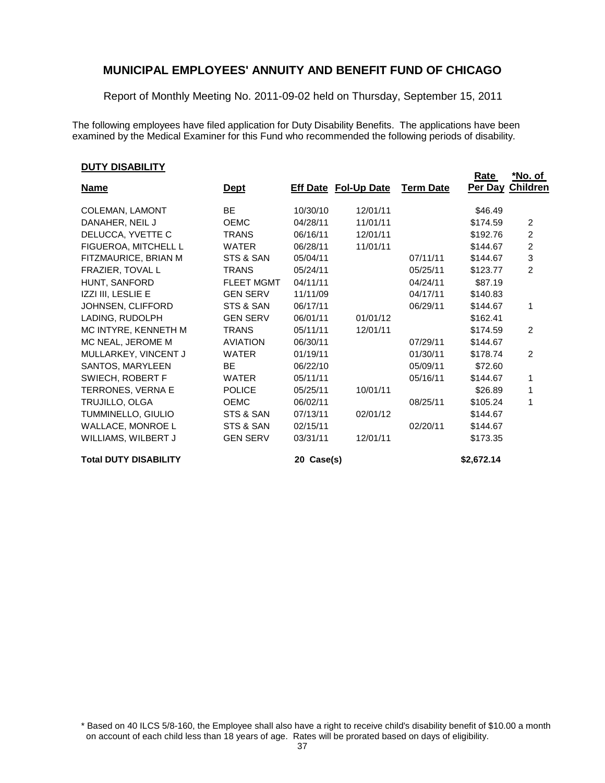Report of Monthly Meeting No. 2011-09-02 held on Thursday, September 15, 2011

The following employees have filed application for Duty Disability Benefits. The applications have been examined by the Medical Examiner for this Fund who recommended the following periods of disability.

#### **DUTY DISABILITY**

|                              |                   |            |                             |                  | <b>Rate</b> | <u>*No. of</u>            |
|------------------------------|-------------------|------------|-----------------------------|------------------|-------------|---------------------------|
| <b>Name</b>                  | <u>Dept</u>       |            | <b>Eff Date Fol-Up Date</b> | <b>Term Date</b> | Per Day     | <b>Children</b>           |
| <b>COLEMAN, LAMONT</b>       | <b>BE</b>         | 10/30/10   | 12/01/11                    |                  | \$46.49     |                           |
| DANAHER, NEIL J              | <b>OEMC</b>       | 04/28/11   | 11/01/11                    |                  | \$174.59    | 2                         |
| DELUCCA, YVETTE C            | <b>TRANS</b>      | 06/16/11   | 12/01/11                    |                  | \$192.76    | $\overline{2}$            |
| FIGUEROA, MITCHELL L         | <b>WATER</b>      | 06/28/11   | 11/01/11                    |                  | \$144.67    | $\overline{2}$            |
| FITZMAURICE, BRIAN M         | STS & SAN         | 05/04/11   |                             | 07/11/11         | \$144.67    | $\ensuremath{\mathsf{3}}$ |
| FRAZIER, TOVAL L             | <b>TRANS</b>      | 05/24/11   |                             | 05/25/11         | \$123.77    | $\overline{2}$            |
| HUNT, SANFORD                | <b>FLEET MGMT</b> | 04/11/11   |                             | 04/24/11         | \$87.19     |                           |
| IZZI III, LESLIE E           | <b>GEN SERV</b>   | 11/11/09   |                             | 04/17/11         | \$140.83    |                           |
| JOHNSEN, CLIFFORD            | STS & SAN         | 06/17/11   |                             | 06/29/11         | \$144.67    | 1                         |
| LADING, RUDOLPH              | <b>GEN SERV</b>   | 06/01/11   | 01/01/12                    |                  | \$162.41    |                           |
| MC INTYRE, KENNETH M         | <b>TRANS</b>      | 05/11/11   | 12/01/11                    |                  | \$174.59    | 2                         |
| MC NEAL, JEROME M            | <b>AVIATION</b>   | 06/30/11   |                             | 07/29/11         | \$144.67    |                           |
| MULLARKEY, VINCENT J         | <b>WATER</b>      | 01/19/11   |                             | 01/30/11         | \$178.74    | 2                         |
| SANTOS, MARYLEEN             | <b>BE</b>         | 06/22/10   |                             | 05/09/11         | \$72.60     |                           |
| SWIECH, ROBERT F             | <b>WATER</b>      | 05/11/11   |                             | 05/16/11         | \$144.67    | 1                         |
| TERRONES, VERNA E            | <b>POLICE</b>     | 05/25/11   | 10/01/11                    |                  | \$26.89     | 1                         |
| TRUJILLO, OLGA               | <b>OEMC</b>       | 06/02/11   |                             | 08/25/11         | \$105.24    | 1                         |
| TUMMINELLO, GIULIO           | STS & SAN         | 07/13/11   | 02/01/12                    |                  | \$144.67    |                           |
| WALLACE, MONROE L            | STS & SAN         | 02/15/11   |                             | 02/20/11         | \$144.67    |                           |
| WILLIAMS, WILBERT J          | <b>GEN SERV</b>   | 03/31/11   | 12/01/11                    |                  | \$173.35    |                           |
| <b>Total DUTY DISABILITY</b> |                   | 20 Case(s) |                             |                  | \$2,672.14  |                           |

\* Based on 40 ILCS 5/8-160, the Employee shall also have a right to receive child's disability benefit of \$10.00 a month on account of each child less than 18 years of age. Rates will be prorated based on days of eligibility.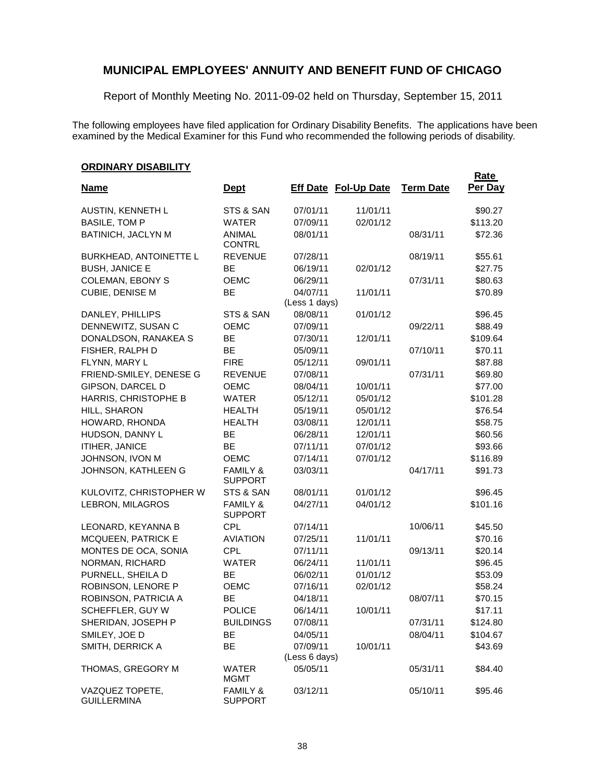Report of Monthly Meeting No. 2011-09-02 held on Thursday, September 15, 2011

The following employees have filed application for Ordinary Disability Benefits. The applications have been examined by the Medical Examiner for this Fund who recommended the following periods of disability.

#### **ORDINARY DISABILITY**

| <u>UNUMANI UNAULII I</u>              |                                       |                           |                             |                  | Rate     |
|---------------------------------------|---------------------------------------|---------------------------|-----------------------------|------------------|----------|
| <b>Name</b>                           | <b>Dept</b>                           |                           | <b>Eff Date Fol-Up Date</b> | <b>Term Date</b> | Per Day  |
| AUSTIN, KENNETH L                     | STS & SAN                             | 07/01/11                  | 11/01/11                    |                  | \$90.27  |
| <b>BASILE, TOM P</b>                  | <b>WATER</b>                          | 07/09/11                  | 02/01/12                    |                  | \$113.20 |
| BATINICH, JACLYN M                    | <b>ANIMAL</b><br><b>CONTRL</b>        | 08/01/11                  |                             | 08/31/11         | \$72.36  |
| <b>BURKHEAD, ANTOINETTE L</b>         | <b>REVENUE</b>                        | 07/28/11                  |                             | 08/19/11         | \$55.61  |
| <b>BUSH, JANICE E</b>                 | BE                                    | 06/19/11                  | 02/01/12                    |                  | \$27.75  |
| <b>COLEMAN, EBONY S</b>               | <b>OEMC</b>                           | 06/29/11                  |                             | 07/31/11         | \$80.63  |
| CUBIE, DENISE M                       | <b>BE</b>                             | 04/07/11<br>(Less 1 days) | 11/01/11                    |                  | \$70.89  |
| DANLEY, PHILLIPS                      | STS & SAN                             | 08/08/11                  | 01/01/12                    |                  | \$96.45  |
| DENNEWITZ, SUSAN C                    | <b>OEMC</b>                           | 07/09/11                  |                             | 09/22/11         | \$88.49  |
| DONALDSON, RANAKEA S                  | BE                                    | 07/30/11                  | 12/01/11                    |                  | \$109.64 |
| FISHER, RALPH D                       | BE                                    | 05/09/11                  |                             | 07/10/11         | \$70.11  |
| FLYNN, MARY L                         | <b>FIRE</b>                           | 05/12/11                  | 09/01/11                    |                  | \$87.88  |
| FRIEND-SMILEY, DENESE G               | <b>REVENUE</b>                        | 07/08/11                  |                             | 07/31/11         | \$69.80  |
| GIPSON, DARCEL D                      | <b>OEMC</b>                           | 08/04/11                  | 10/01/11                    |                  | \$77.00  |
| HARRIS, CHRISTOPHE B                  | <b>WATER</b>                          | 05/12/11                  | 05/01/12                    |                  | \$101.28 |
| HILL, SHARON                          | <b>HEALTH</b>                         | 05/19/11                  | 05/01/12                    |                  | \$76.54  |
| HOWARD, RHONDA                        | <b>HEALTH</b>                         | 03/08/11                  | 12/01/11                    |                  | \$58.75  |
| HUDSON, DANNY L                       | BE                                    | 06/28/11                  | 12/01/11                    |                  | \$60.56  |
| ITIHER, JANICE                        | <b>BE</b>                             | 07/11/11                  | 07/01/12                    |                  | \$93.66  |
| JOHNSON, IVON M                       | <b>OEMC</b>                           | 07/14/11                  | 07/01/12                    |                  | \$116.89 |
| JOHNSON, KATHLEEN G                   | <b>FAMILY &amp;</b><br><b>SUPPORT</b> | 03/03/11                  |                             | 04/17/11         | \$91.73  |
| KULOVITZ, CHRISTOPHER W               | STS & SAN                             | 08/01/11                  | 01/01/12                    |                  | \$96.45  |
| LEBRON, MILAGROS                      | <b>FAMILY &amp;</b><br><b>SUPPORT</b> | 04/27/11                  | 04/01/12                    |                  | \$101.16 |
| LEONARD, KEYANNA B                    | <b>CPL</b>                            | 07/14/11                  |                             | 10/06/11         | \$45.50  |
| MCQUEEN, PATRICK E                    | <b>AVIATION</b>                       | 07/25/11                  | 11/01/11                    |                  | \$70.16  |
| MONTES DE OCA, SONIA                  | <b>CPL</b>                            | 07/11/11                  |                             | 09/13/11         | \$20.14  |
| NORMAN, RICHARD                       | <b>WATER</b>                          | 06/24/11                  | 11/01/11                    |                  | \$96.45  |
| PURNELL, SHEILA D                     | <b>BE</b>                             | 06/02/11                  | 01/01/12                    |                  | \$53.09  |
| ROBINSON, LENORE P                    | OEMC                                  | 07/16/11                  | 02/01/12                    |                  | \$58.24  |
| ROBINSON, PATRICIA A                  | <b>BE</b>                             | 04/18/11                  |                             | 08/07/11         | \$70.15  |
| SCHEFFLER, GUY W                      | POLICE                                | 06/14/11                  | 10/01/11                    |                  | \$17.11  |
| SHERIDAN, JOSEPH P                    | <b>BUILDINGS</b>                      | 07/08/11                  |                             | 07/31/11         | \$124.80 |
| SMILEY, JOE D                         | BE                                    | 04/05/11                  |                             | 08/04/11         | \$104.67 |
| SMITH, DERRICK A                      | BE                                    | 07/09/11<br>(Less 6 days) | 10/01/11                    |                  | \$43.69  |
| THOMAS, GREGORY M                     | WATER<br><b>MGMT</b>                  | 05/05/11                  |                             | 05/31/11         | \$84.40  |
| VAZQUEZ TOPETE,<br><b>GUILLERMINA</b> | <b>FAMILY &amp;</b><br><b>SUPPORT</b> | 03/12/11                  |                             | 05/10/11         | \$95.46  |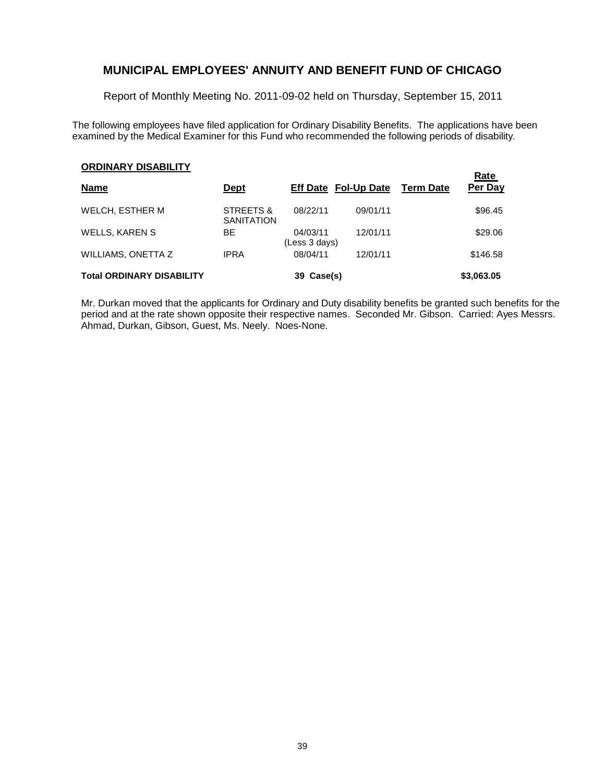Report of Monthly Meeting No. 2011-09-02 held on Thursday, September 15, 2011

The following employees have filed application for Ordinary Disability Benefits. The applications have been examined by the Medical Examiner for this Fund who recommended the following periods of disability.

### **ORDINARY DISABILITY**

| <b>Name</b>                      | <u>Dept</u>                    | <b>Eff Date Fol-Up Date</b> |          | <b>Term Date</b> | Rate<br>Per Day |
|----------------------------------|--------------------------------|-----------------------------|----------|------------------|-----------------|
| <b>WELCH, ESTHER M</b>           | STREETS &<br><b>SANITATION</b> | 08/22/11                    | 09/01/11 |                  | \$96.45         |
| <b>WELLS, KAREN S</b>            | ВE                             | 04/03/11<br>(Less 3 days)   | 12/01/11 |                  | \$29.06         |
| WILLIAMS, ONETTA Z               | <b>IPRA</b>                    | 08/04/11                    | 12/01/11 |                  | \$146.58        |
| <b>Total ORDINARY DISABILITY</b> |                                | 39 Case(s)                  |          |                  | \$3,063.05      |

Mr. Durkan moved that the applicants for Ordinary and Duty disability benefits be granted such benefits for the period and at the rate shown opposite their respective names. Seconded Mr. Gibson. Carried: Ayes Messrs. Ahmad, Durkan, Gibson, Guest, Ms. Neely. Noes-None.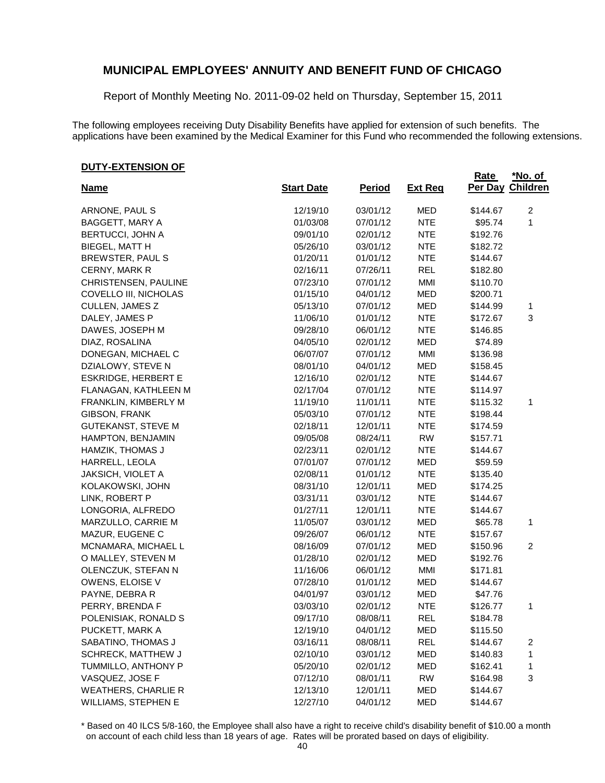Report of Monthly Meeting No. 2011-09-02 held on Thursday, September 15, 2011

The following employees receiving Duty Disability Benefits have applied for extension of such benefits. The applications have been examined by the Medical Examiner for this Fund who recommended the following extensions.

#### **DUTY-EXTENSION OF**

|                            |                   |               |                | <b>Rate</b>      | <u>*No. of</u>          |
|----------------------------|-------------------|---------------|----------------|------------------|-------------------------|
| <u>Name</u>                | <b>Start Date</b> | <b>Period</b> | <b>Ext Reg</b> | Per Day Children |                         |
| ARNONE, PAUL S             | 12/19/10          | 03/01/12      | <b>MED</b>     | \$144.67         | $\overline{2}$          |
| BAGGETT, MARY A            | 01/03/08          | 07/01/12      | <b>NTE</b>     | \$95.74          | 1                       |
| <b>BERTUCCI, JOHN A</b>    | 09/01/10          | 02/01/12      | <b>NTE</b>     | \$192.76         |                         |
| BIEGEL, MATT H             | 05/26/10          | 03/01/12      | <b>NTE</b>     | \$182.72         |                         |
| BREWSTER, PAUL S           | 01/20/11          | 01/01/12      | <b>NTE</b>     | \$144.67         |                         |
| CERNY, MARK R              | 02/16/11          | 07/26/11      | <b>REL</b>     | \$182.80         |                         |
| CHRISTENSEN, PAULINE       | 07/23/10          | 07/01/12      | MMI            | \$110.70         |                         |
| COVELLO III, NICHOLAS      | 01/15/10          | 04/01/12      | <b>MED</b>     | \$200.71         |                         |
| CULLEN, JAMES Z            | 05/13/10          | 07/01/12      | MED            | \$144.99         | 1                       |
| DALEY, JAMES P             | 11/06/10          | 01/01/12      | <b>NTE</b>     | \$172.67         | 3                       |
| DAWES, JOSEPH M            | 09/28/10          | 06/01/12      | <b>NTE</b>     | \$146.85         |                         |
| DIAZ, ROSALINA             | 04/05/10          | 02/01/12      | <b>MED</b>     | \$74.89          |                         |
| DONEGAN, MICHAEL C         | 06/07/07          | 07/01/12      | MMI            | \$136.98         |                         |
| DZIALOWY, STEVE N          | 08/01/10          | 04/01/12      | MED            | \$158.45         |                         |
| <b>ESKRIDGE, HERBERT E</b> | 12/16/10          | 02/01/12      | <b>NTE</b>     | \$144.67         |                         |
| FLANAGAN, KATHLEEN M       | 02/17/04          | 07/01/12      | <b>NTE</b>     | \$114.97         |                         |
| FRANKLIN, KIMBERLY M       | 11/19/10          | 11/01/11      | <b>NTE</b>     | \$115.32         | 1                       |
| GIBSON, FRANK              | 05/03/10          | 07/01/12      | <b>NTE</b>     | \$198.44         |                         |
| <b>GUTEKANST, STEVE M</b>  | 02/18/11          | 12/01/11      | <b>NTE</b>     | \$174.59         |                         |
| HAMPTON, BENJAMIN          | 09/05/08          | 08/24/11      | <b>RW</b>      | \$157.71         |                         |
| HAMZIK, THOMAS J           | 02/23/11          | 02/01/12      | <b>NTE</b>     | \$144.67         |                         |
| HARRELL, LEOLA             | 07/01/07          | 07/01/12      | MED            | \$59.59          |                         |
| JAKSICH, VIOLET A          | 02/08/11          | 01/01/12      | <b>NTE</b>     | \$135.40         |                         |
| KOLAKOWSKI, JOHN           | 08/31/10          | 12/01/11      | MED            | \$174.25         |                         |
| LINK, ROBERT P             | 03/31/11          | 03/01/12      | <b>NTE</b>     | \$144.67         |                         |
| LONGORIA, ALFREDO          | 01/27/11          | 12/01/11      | <b>NTE</b>     | \$144.67         |                         |
| MARZULLO, CARRIE M         | 11/05/07          | 03/01/12      | MED            | \$65.78          | 1                       |
| MAZUR, EUGENE C            | 09/26/07          | 06/01/12      | <b>NTE</b>     | \$157.67         |                         |
| MCNAMARA, MICHAEL L        | 08/16/09          | 07/01/12      | <b>MED</b>     | \$150.96         | $\overline{2}$          |
| O MALLEY, STEVEN M         | 01/28/10          | 02/01/12      | <b>MED</b>     | \$192.76         |                         |
| OLENCZUK, STEFAN N         | 11/16/06          | 06/01/12      | MMI            | \$171.81         |                         |
| OWENS, ELOISE V            | 07/28/10          | 01/01/12      | MED            | \$144.67         |                         |
| PAYNE, DEBRA R             | 04/01/97          | 03/01/12      | <b>MED</b>     | \$47.76          |                         |
| PERRY, BRENDA F            | 03/03/10          | 02/01/12      | <b>NTE</b>     | \$126.77         | 1                       |
| POLENISIAK, RONALD S       | 09/17/10          | 08/08/11      | REL            | \$184.78         |                         |
| PUCKETT, MARK A            | 12/19/10          | 04/01/12      | <b>MED</b>     | \$115.50         |                         |
| SABATINO, THOMAS J         | 03/16/11          | 08/08/11      | <b>REL</b>     | \$144.67         | $\overline{\mathbf{c}}$ |
| <b>SCHRECK, MATTHEW J</b>  | 02/10/10          | 03/01/12      | <b>MED</b>     | \$140.83         | 1                       |
| TUMMILLO, ANTHONY P        | 05/20/10          | 02/01/12      | <b>MED</b>     | \$162.41         | 1                       |
| VASQUEZ, JOSE F            | 07/12/10          | 08/01/11      | <b>RW</b>      | \$164.98         | 3                       |
| <b>WEATHERS, CHARLIE R</b> | 12/13/10          | 12/01/11      | <b>MED</b>     | \$144.67         |                         |
| WILLIAMS, STEPHEN E        | 12/27/10          | 04/01/12      | <b>MED</b>     | \$144.67         |                         |

\* Based on 40 ILCS 5/8-160, the Employee shall also have a right to receive child's disability benefit of \$10.00 a month on account of each child less than 18 years of age. Rates will be prorated based on days of eligibility.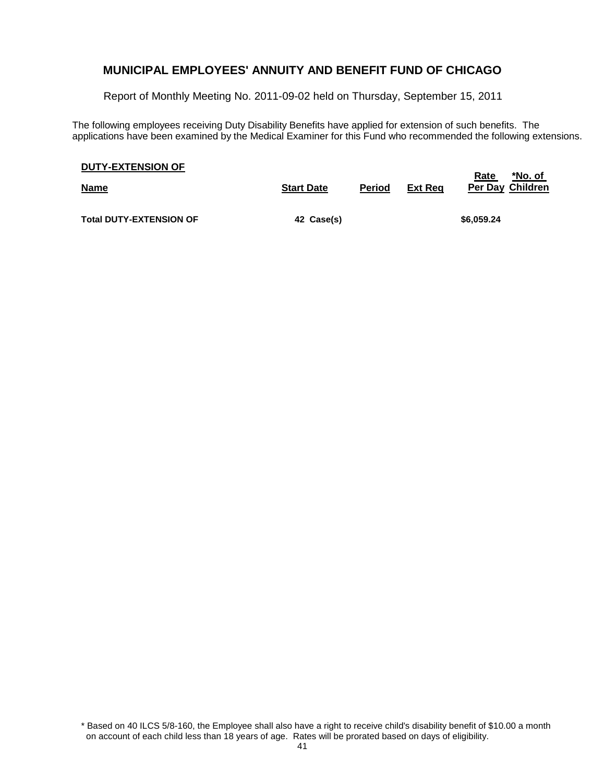Report of Monthly Meeting No. 2011-09-02 held on Thursday, September 15, 2011

The following employees receiving Duty Disability Benefits have applied for extension of such benefits. The applications have been examined by the Medical Examiner for this Fund who recommended the following extensions.

| <b>DUTY-EXTENSION OF</b> |  |
|--------------------------|--|
|                          |  |

| <b>Name</b>                    | <b>Start Date</b> | <b>Period</b> | Ext Rea | *No. of<br>Rate<br>Per Day Children |
|--------------------------------|-------------------|---------------|---------|-------------------------------------|
| <b>Total DUTY-EXTENSION OF</b> | 42 Case(s)        |               |         | \$6,059.24                          |

\* Based on 40 ILCS 5/8-160, the Employee shall also have a right to receive child's disability benefit of \$10.00 a month on account of each child less than 18 years of age. Rates will be prorated based on days of eligibility.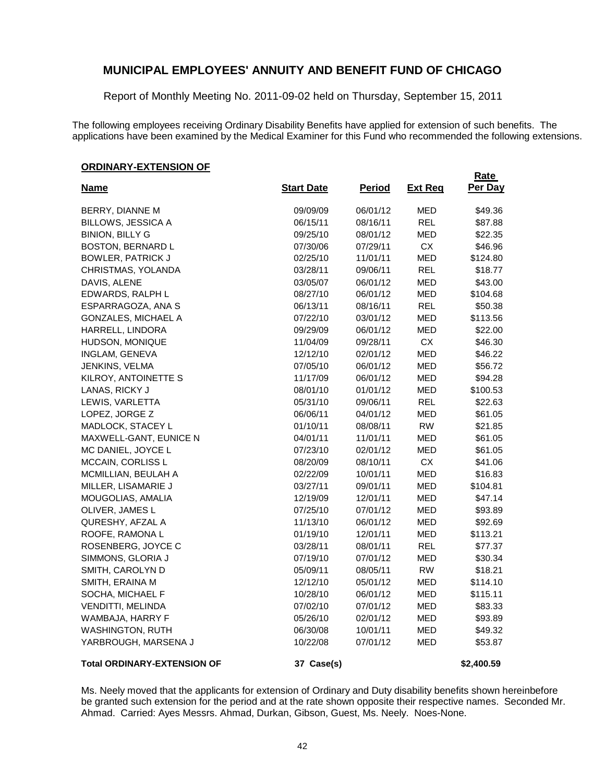Report of Monthly Meeting No. 2011-09-02 held on Thursday, September 15, 2011

The following employees receiving Ordinary Disability Benefits have applied for extension of such benefits. The applications have been examined by the Medical Examiner for this Fund who recommended the following extensions.

**Rate** 

#### **ORDINARY-EXTENSION OF**

| <b>Name</b>                        | <b>Start Date</b> | <b>Period</b> | <b>Ext Reg</b> | Per Day    |
|------------------------------------|-------------------|---------------|----------------|------------|
| BERRY, DIANNE M                    | 09/09/09          | 06/01/12      | <b>MED</b>     | \$49.36    |
| <b>BILLOWS, JESSICA A</b>          | 06/15/11          | 08/16/11      | <b>REL</b>     | \$87.88    |
| <b>BINION, BILLY G</b>             | 09/25/10          | 08/01/12      | <b>MED</b>     | \$22.35    |
| BOSTON, BERNARD L                  | 07/30/06          | 07/29/11      | CX             | \$46.96    |
| <b>BOWLER, PATRICK J</b>           | 02/25/10          | 11/01/11      | <b>MED</b>     | \$124.80   |
| CHRISTMAS, YOLANDA                 | 03/28/11          | 09/06/11      | <b>REL</b>     | \$18.77    |
| DAVIS, ALENE                       | 03/05/07          | 06/01/12      | <b>MED</b>     | \$43.00    |
| EDWARDS, RALPH L                   | 08/27/10          | 06/01/12      | <b>MED</b>     | \$104.68   |
| ESPARRAGOZA, ANA S                 | 06/13/11          | 08/16/11      | <b>REL</b>     | \$50.38    |
| GONZALES, MICHAEL A                | 07/22/10          | 03/01/12      | <b>MED</b>     | \$113.56   |
| HARRELL, LINDORA                   | 09/29/09          | 06/01/12      | <b>MED</b>     | \$22.00    |
| HUDSON, MONIQUE                    | 11/04/09          | 09/28/11      | CX             | \$46.30    |
| INGLAM, GENEVA                     | 12/12/10          | 02/01/12      | <b>MED</b>     | \$46.22    |
| JENKINS, VELMA                     | 07/05/10          | 06/01/12      | <b>MED</b>     | \$56.72    |
| KILROY, ANTOINETTE S               | 11/17/09          | 06/01/12      | MED            | \$94.28    |
| LANAS, RICKY J                     | 08/01/10          | 01/01/12      | <b>MED</b>     | \$100.53   |
| LEWIS, VARLETTA                    | 05/31/10          | 09/06/11      | <b>REL</b>     | \$22.63    |
| LOPEZ, JORGE Z                     | 06/06/11          | 04/01/12      | MED            | \$61.05    |
| MADLOCK, STACEY L                  | 01/10/11          | 08/08/11      | <b>RW</b>      | \$21.85    |
| MAXWELL-GANT, EUNICE N             | 04/01/11          | 11/01/11      | <b>MED</b>     | \$61.05    |
| MC DANIEL, JOYCE L                 | 07/23/10          | 02/01/12      | MED            | \$61.05    |
| MCCAIN, CORLISS L                  | 08/20/09          | 08/10/11      | <b>CX</b>      | \$41.06    |
| MCMILLIAN, BEULAH A                | 02/22/09          | 10/01/11      | <b>MED</b>     | \$16.83    |
| MILLER, LISAMARIE J                | 03/27/11          | 09/01/11      | <b>MED</b>     | \$104.81   |
| MOUGOLIAS, AMALIA                  | 12/19/09          | 12/01/11      | <b>MED</b>     | \$47.14    |
| OLIVER, JAMES L                    | 07/25/10          | 07/01/12      | <b>MED</b>     | \$93.89    |
| QURESHY, AFZAL A                   | 11/13/10          | 06/01/12      | <b>MED</b>     | \$92.69    |
| ROOFE, RAMONA L                    | 01/19/10          | 12/01/11      | <b>MED</b>     | \$113.21   |
| ROSENBERG, JOYCE C                 | 03/28/11          | 08/01/11      | <b>REL</b>     | \$77.37    |
| SIMMONS, GLORIA J                  | 07/19/10          | 07/01/12      | <b>MED</b>     | \$30.34    |
| SMITH, CAROLYN D                   | 05/09/11          | 08/05/11      | <b>RW</b>      | \$18.21    |
| SMITH, ERAINA M                    | 12/12/10          | 05/01/12      | MED            | \$114.10   |
| SOCHA, MICHAEL F                   | 10/28/10          | 06/01/12      | <b>MED</b>     | \$115.11   |
| VENDITTI, MELINDA                  | 07/02/10          | 07/01/12      | <b>MED</b>     | \$83.33    |
| WAMBAJA, HARRY F                   | 05/26/10          | 02/01/12      | <b>MED</b>     | \$93.89    |
| <b>WASHINGTON, RUTH</b>            | 06/30/08          | 10/01/11      | <b>MED</b>     | \$49.32    |
| YARBROUGH, MARSENA J               | 10/22/08          | 07/01/12      | <b>MED</b>     | \$53.87    |
| <b>Total ORDINARY-EXTENSION OF</b> | 37 Case(s)        |               |                | \$2,400.59 |

Ms. Neely moved that the applicants for extension of Ordinary and Duty disability benefits shown hereinbefore be granted such extension for the period and at the rate shown opposite their respective names. Seconded Mr. Ahmad. Carried: Ayes Messrs. Ahmad, Durkan, Gibson, Guest, Ms. Neely. Noes-None.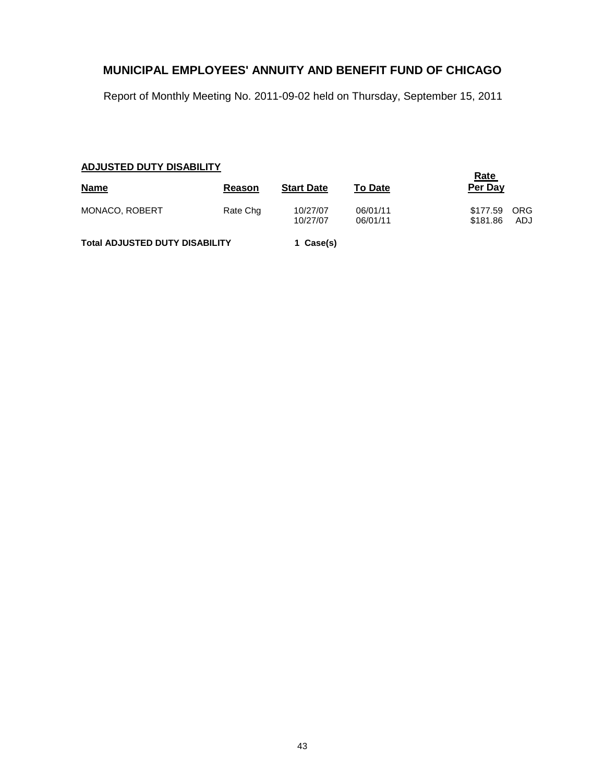Report of Monthly Meeting No. 2011-09-02 held on Thursday, September 15, 2011

### **ADJUSTED DUTY DISABILITY**

|                                       | Rate     |                      |                      |                                     |
|---------------------------------------|----------|----------------------|----------------------|-------------------------------------|
| <b>Name</b>                           | Reason   | <b>Start Date</b>    | <b>To Date</b>       | Per Day                             |
| <b>MONACO, ROBERT</b>                 | Rate Chg | 10/27/07<br>10/27/07 | 06/01/11<br>06/01/11 | ORG<br>\$177.59<br>\$181.86<br>ADJ. |
| <b>Total ADJUSTED DUTY DISABILITY</b> |          | 1 Case(s)            |                      |                                     |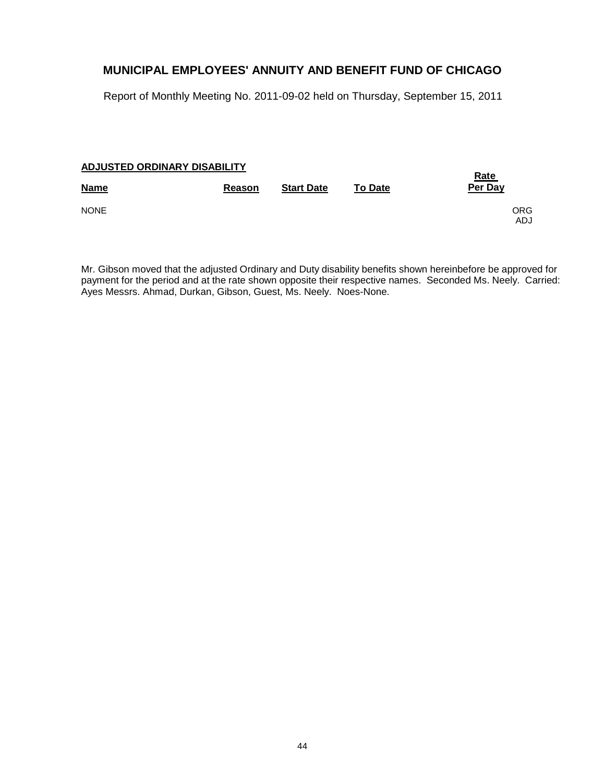Report of Monthly Meeting No. 2011-09-02 held on Thursday, September 15, 2011

#### **ADJUSTED ORDINARY DISABILITY**

| <b>Name</b> | Reason | <b>Start Date</b> | <b>To Date</b> | <u>Rate</u><br>Per Day |
|-------------|--------|-------------------|----------------|------------------------|
| <b>NONE</b> |        |                   |                | ORG<br>ADJ             |

Mr. Gibson moved that the adjusted Ordinary and Duty disability benefits shown hereinbefore be approved for payment for the period and at the rate shown opposite their respective names. Seconded Ms. Neely. Carried: Ayes Messrs. Ahmad, Durkan, Gibson, Guest, Ms. Neely. Noes-None.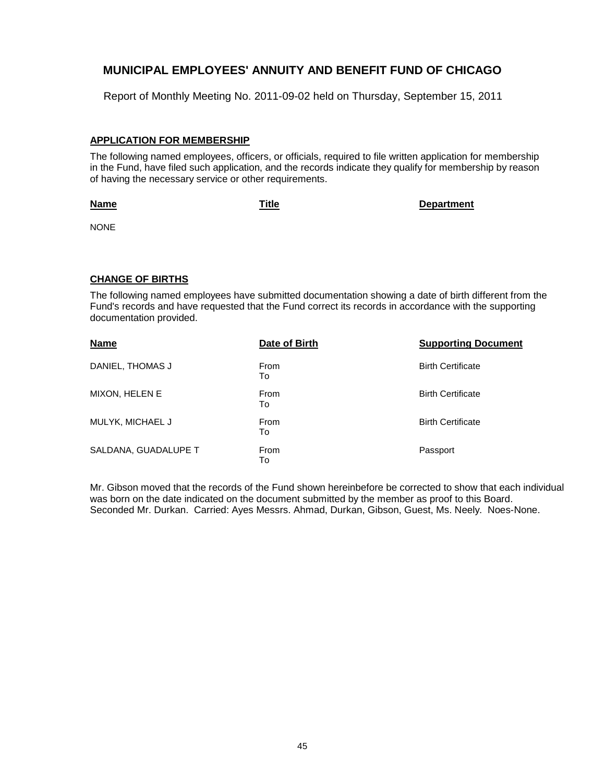Report of Monthly Meeting No. 2011-09-02 held on Thursday, September 15, 2011

#### **APPLICATION FOR MEMBERSHIP**

The following named employees, officers, or officials, required to file written application for membership in the Fund, have filed such application, and the records indicate they qualify for membership by reason of having the necessary service or other requirements.

#### **Name**

**Title Department**

NONE

#### **CHANGE OF BIRTHS**

The following named employees have submitted documentation showing a date of birth different from the Fund's records and have requested that the Fund correct its records in accordance with the supporting documentation provided.

| <b>Name</b>          | Date of Birth | <b>Supporting Document</b> |
|----------------------|---------------|----------------------------|
| DANIEL, THOMAS J     | From<br>To    | <b>Birth Certificate</b>   |
| MIXON, HELEN E       | From<br>To    | <b>Birth Certificate</b>   |
| MULYK, MICHAEL J     | From<br>To    | <b>Birth Certificate</b>   |
| SALDANA, GUADALUPE T | From<br>To    | Passport                   |

Mr. Gibson moved that the records of the Fund shown hereinbefore be corrected to show that each individual was born on the date indicated on the document submitted by the member as proof to this Board. Seconded Mr. Durkan. Carried: Ayes Messrs. Ahmad, Durkan, Gibson, Guest, Ms. Neely. Noes-None.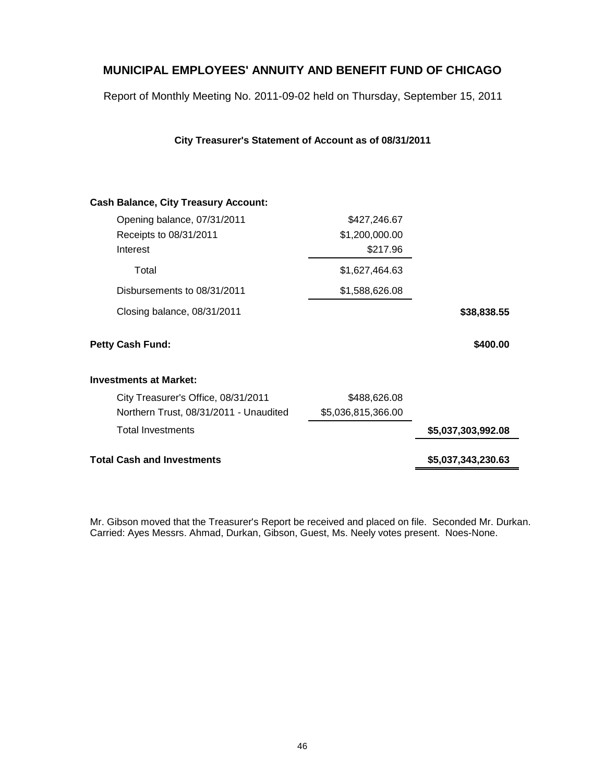Report of Monthly Meeting No. 2011-09-02 held on Thursday, September 15, 2011

### **City Treasurer's Statement of Account as of 08/31/2011**

| <b>Cash Balance, City Treasury Account:</b> |                    |                    |
|---------------------------------------------|--------------------|--------------------|
| Opening balance, 07/31/2011                 | \$427,246.67       |                    |
| Receipts to 08/31/2011                      | \$1,200,000.00     |                    |
| Interest                                    | \$217.96           |                    |
| Total                                       | \$1,627,464.63     |                    |
| Disbursements to 08/31/2011                 | \$1,588,626.08     |                    |
| Closing balance, 08/31/2011                 |                    | \$38,838.55        |
| <b>Petty Cash Fund:</b>                     |                    | \$400.00           |
| <b>Investments at Market:</b>               |                    |                    |
| City Treasurer's Office, 08/31/2011         | \$488,626.08       |                    |
| Northern Trust, 08/31/2011 - Unaudited      | \$5,036,815,366.00 |                    |
| <b>Total Investments</b>                    |                    | \$5,037,303,992.08 |
| <b>Total Cash and Investments</b>           |                    | \$5,037,343,230.63 |
|                                             |                    |                    |

Mr. Gibson moved that the Treasurer's Report be received and placed on file. Seconded Mr. Durkan. Carried: Ayes Messrs. Ahmad, Durkan, Gibson, Guest, Ms. Neely votes present. Noes-None.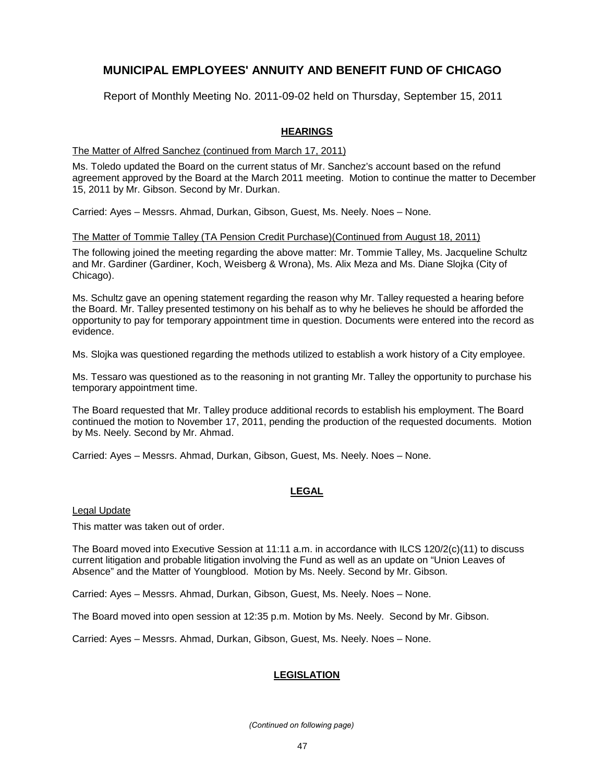Report of Monthly Meeting No. 2011-09-02 held on Thursday, September 15, 2011

### **HEARINGS**

#### The Matter of Alfred Sanchez (continued from March 17, 2011)

Ms. Toledo updated the Board on the current status of Mr. Sanchez's account based on the refund agreement approved by the Board at the March 2011 meeting. Motion to continue the matter to December 15, 2011 by Mr. Gibson. Second by Mr. Durkan.

Carried: Ayes – Messrs. Ahmad, Durkan, Gibson, Guest, Ms. Neely. Noes – None.

#### The Matter of Tommie Talley (TA Pension Credit Purchase)(Continued from August 18, 2011)

The following joined the meeting regarding the above matter: Mr. Tommie Talley, Ms. Jacqueline Schultz and Mr. Gardiner (Gardiner, Koch, Weisberg & Wrona), Ms. Alix Meza and Ms. Diane Slojka (City of Chicago).

Ms. Schultz gave an opening statement regarding the reason why Mr. Talley requested a hearing before the Board. Mr. Talley presented testimony on his behalf as to why he believes he should be afforded the opportunity to pay for temporary appointment time in question. Documents were entered into the record as evidence.

Ms. Slojka was questioned regarding the methods utilized to establish a work history of a City employee.

Ms. Tessaro was questioned as to the reasoning in not granting Mr. Talley the opportunity to purchase his temporary appointment time.

The Board requested that Mr. Talley produce additional records to establish his employment. The Board continued the motion to November 17, 2011, pending the production of the requested documents. Motion by Ms. Neely. Second by Mr. Ahmad.

Carried: Ayes – Messrs. Ahmad, Durkan, Gibson, Guest, Ms. Neely. Noes – None.

### **LEGAL**

Legal Update

This matter was taken out of order.

The Board moved into Executive Session at 11:11 a.m. in accordance with ILCS 120/2(c)(11) to discuss current litigation and probable litigation involving the Fund as well as an update on "Union Leaves of Absence" and the Matter of Youngblood. Motion by Ms. Neely. Second by Mr. Gibson.

Carried: Ayes – Messrs. Ahmad, Durkan, Gibson, Guest, Ms. Neely. Noes – None.

The Board moved into open session at 12:35 p.m. Motion by Ms. Neely. Second by Mr. Gibson.

Carried: Ayes – Messrs. Ahmad, Durkan, Gibson, Guest, Ms. Neely. Noes – None.

### **LEGISLATION**

*(Continued on following page)*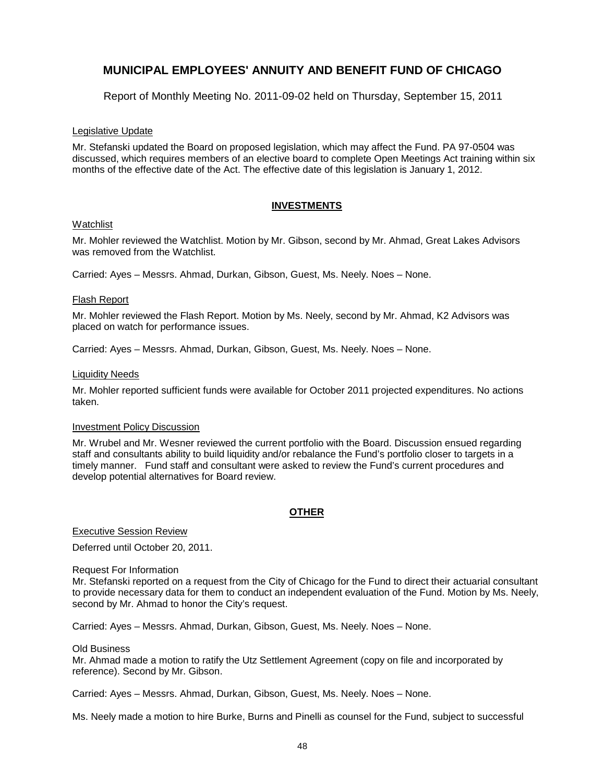Report of Monthly Meeting No. 2011-09-02 held on Thursday, September 15, 2011

#### Legislative Update

Mr. Stefanski updated the Board on proposed legislation, which may affect the Fund. PA 97-0504 was discussed, which requires members of an elective board to complete Open Meetings Act training within six months of the effective date of the Act. The effective date of this legislation is January 1, 2012.

#### **INVESTMENTS**

#### Watchlist

Mr. Mohler reviewed the Watchlist. Motion by Mr. Gibson, second by Mr. Ahmad, Great Lakes Advisors was removed from the Watchlist.

Carried: Ayes – Messrs. Ahmad, Durkan, Gibson, Guest, Ms. Neely. Noes – None.

#### Flash Report

Mr. Mohler reviewed the Flash Report. Motion by Ms. Neely, second by Mr. Ahmad, K2 Advisors was placed on watch for performance issues.

Carried: Ayes – Messrs. Ahmad, Durkan, Gibson, Guest, Ms. Neely. Noes – None.

#### Liquidity Needs

Mr. Mohler reported sufficient funds were available for October 2011 projected expenditures. No actions taken.

#### Investment Policy Discussion

Mr. Wrubel and Mr. Wesner reviewed the current portfolio with the Board. Discussion ensued regarding staff and consultants ability to build liquidity and/or rebalance the Fund's portfolio closer to targets in a timely manner. Fund staff and consultant were asked to review the Fund's current procedures and develop potential alternatives for Board review.

#### **OTHER**

Executive Session Review

Deferred until October 20, 2011.

#### Request For Information

Mr. Stefanski reported on a request from the City of Chicago for the Fund to direct their actuarial consultant to provide necessary data for them to conduct an independent evaluation of the Fund. Motion by Ms. Neely, second by Mr. Ahmad to honor the City's request.

Carried: Ayes – Messrs. Ahmad, Durkan, Gibson, Guest, Ms. Neely. Noes – None.

#### Old Business

Mr. Ahmad made a motion to ratify the Utz Settlement Agreement (copy on file and incorporated by reference). Second by Mr. Gibson.

Carried: Ayes – Messrs. Ahmad, Durkan, Gibson, Guest, Ms. Neely. Noes – None.

Ms. Neely made a motion to hire Burke, Burns and Pinelli as counsel for the Fund, subject to successful